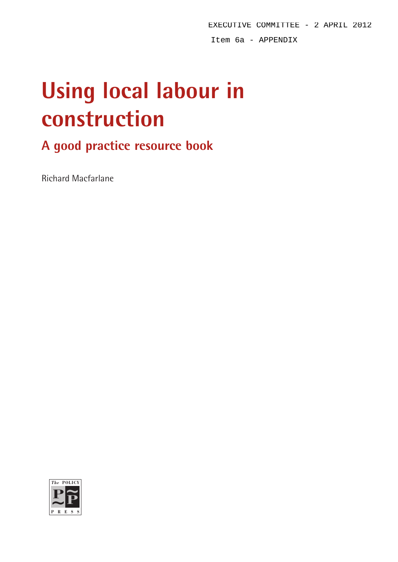EXECUTIVE COMMITTEE - 2 APRIL 2012 Item 6a - APPENDIX

# **Using local labour in construction**

# **A good practice resource book**

Richard Macfarlane

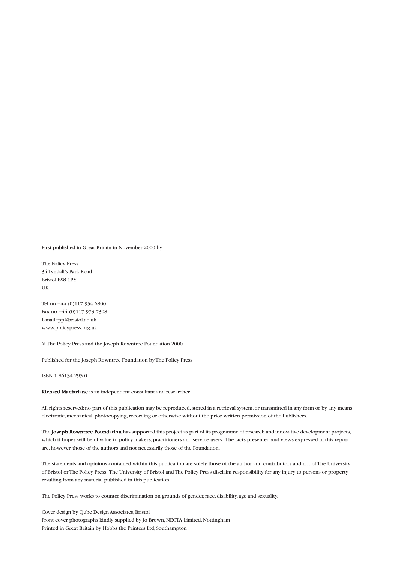First published in Great Britain in November 2000 by

The Policy Press 34 Tyndall's Park Road Bristol BS8 1PY UK

Tel no +44 (0)117 954 6800 Fax no +44 (0)117 973 7308 E-mail tpp@bristol.ac.uk www.policypress.org.uk

© The Policy Press and the Joseph Rowntree Foundation 2000

Published for the Joseph Rowntree Foundation by The Policy Press

ISBN 1 86134 295 0

Richard Macfarlane is an independent consultant and researcher.

All rights reserved: no part of this publication may be reproduced, stored in a retrieval system, or transmitted in any form or by any means, electronic, mechanical, photocopying, recording or otherwise without the prior written permission of the Publishers.

The Joseph Rowntree Foundation has supported this project as part of its programme of research and innovative development projects, which it hopes will be of value to policy makers, practitioners and service users. The facts presented and views expressed in this report are, however, those of the authors and not necessarily those of the Foundation.

The statements and opinions contained within this publication are solely those of the author and contributors and not of The University of Bristol or The Policy Press. The University of Bristol and The Policy Press disclaim responsibility for any injury to persons or property resulting from any material published in this publication.

The Policy Press works to counter discrimination on grounds of gender, race, disability, age and sexuality.

Cover design by Qube Design Associates, Bristol Front cover photographs kindly supplied by Jo Brown, NECTA Limited, Nottingham Printed in Great Britain by Hobbs the Printers Ltd, Southampton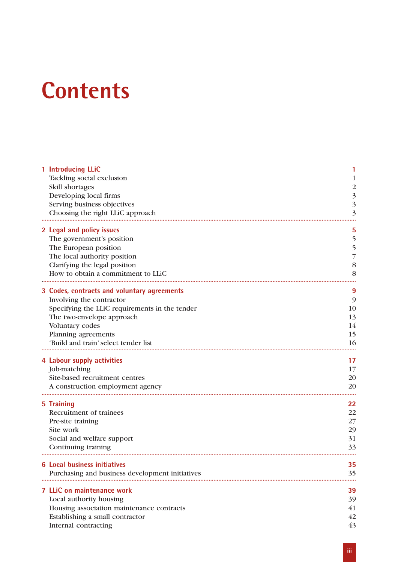# **Contents**

| 1 Introducing LLiC<br>Tackling social exclusion<br>Skill shortages<br>Developing local firms<br>Serving business objectives<br>Choosing the right LLiC approach                                                                          | $\overline{\mathbf{3}}$<br>$\overline{\mathbf{3}}$<br>3 |
|------------------------------------------------------------------------------------------------------------------------------------------------------------------------------------------------------------------------------------------|---------------------------------------------------------|
| 2 Legal and policy issues<br>The government's position<br>The European position<br>The local authority position<br>Clarifying the legal position<br>How to obtain a commitment to LLiC                                                   | 5<br>5<br>5<br>7<br>8<br>8                              |
| 3 Codes, contracts and voluntary agreements<br>Involving the contractor<br>Specifying the LLiC requirements in the tender<br>The two-envelope approach<br>Voluntary codes<br>Planning agreements<br>'Build and train' select tender list | 9<br>9<br>10<br>13<br>14<br>15<br>16                    |
| 4 Labour supply activities<br>Job-matching<br>Site-based recruitment centres<br>A construction employment agency                                                                                                                         | 17<br>17<br>20<br>20                                    |
| 5 Training<br>Recruitment of trainees<br>Pre-site training<br>Site work<br>Social and welfare support<br>Continuing training                                                                                                             | 22<br>22<br>27<br>29<br>31<br>33                        |
| <b>6 Local business initiatives</b><br>Purchasing and business development initiatives                                                                                                                                                   | 35<br>35                                                |
| <b>7 LLiC on maintenance work</b><br>Local authority housing<br>Housing association maintenance contracts<br>Establishing a small contractor<br>Internal contracting                                                                     | 39<br>39<br>41<br>42<br>43                              |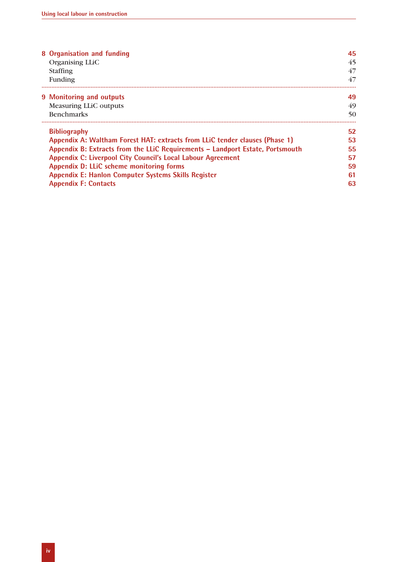| 8 Organisation and funding                                                    | 45 |
|-------------------------------------------------------------------------------|----|
| Organising LLiC                                                               | 45 |
| <b>Staffing</b>                                                               | 47 |
| Funding                                                                       | 47 |
| 9 Monitoring and outputs                                                      | 49 |
| Measuring LLiC outputs                                                        | 49 |
| <b>Benchmarks</b>                                                             | 50 |
| <b>Bibliography</b>                                                           | 52 |
| Appendix A: Waltham Forest HAT: extracts from LLIC tender clauses (Phase 1)   | 53 |
| Appendix B: Extracts from the LLIC Requirements – Landport Estate, Portsmouth | 55 |
| <b>Appendix C: Liverpool City Council's Local Labour Agreement</b>            | 57 |
| Appendix D: LLiC scheme monitoring forms                                      | 59 |
| <b>Appendix E: Hanlon Computer Systems Skills Register</b>                    | 61 |
| <b>Appendix F: Contacts</b>                                                   | 63 |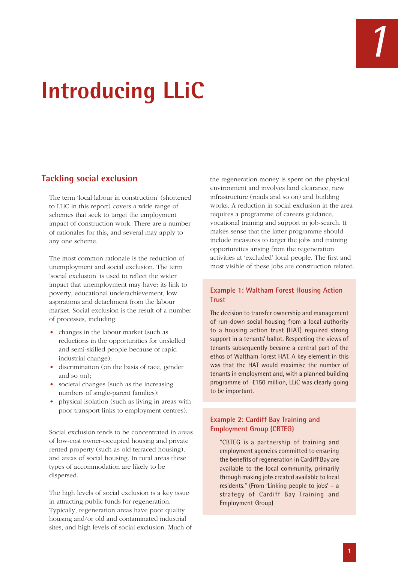# **Introducing LLiC**

# **Tackling social exclusion**

The term 'local labour in construction' (shortened to LLiC in this report) covers a wide range of schemes that seek to target the employment impact of construction work. There are a number of rationales for this, and several may apply to any one scheme.

The most common rationale is the reduction of unemployment and social exclusion. The term 'social exclusion' is used to reflect the wider impact that unemployment may have: its link to poverty, educational underachievement, low aspirations and detachment from the labour market. Social exclusion is the result of a number of processes, including:

- changes in the labour market (such as reductions in the opportunities for unskilled and semi-skilled people because of rapid industrial change);
- discrimination (on the basis of race, gender and so on);
- societal changes (such as the increasing numbers of single-parent families);
- physical isolation (such as living in areas with poor transport links to employment centres).

Social exclusion tends to be concentrated in areas of low-cost owner-occupied housing and private rented property (such as old terraced housing), and areas of social housing. In rural areas these types of accommodation are likely to be dispersed.

The high levels of social exclusion is a key issue in attracting public funds for regeneration. Typically, regeneration areas have poor quality housing and/or old and contaminated industrial sites, and high levels of social exclusion. Much of the regeneration money is spent on the physical environment and involves land clearance, new infrastructure (roads and so on) and building works. A reduction in social exclusion in the area requires a programme of careers guidance, vocational training and support in job-search. It makes sense that the latter programme should include measures to target the jobs and training opportunities arising from the regeneration activities at 'excluded' local people. The first and most visible of these jobs are construction related.

#### **Example 1: Waltham Forest Housing Action Trust**

The decision to transfer ownership and management of run-down social housing from a local authority to a housing action trust (HAT) required strong support in a tenants' ballot. Respecting the views of tenants subsequently became a central part of the ethos of Waltham Forest HAT. A key element in this was that the HAT would maximise the number of tenants in employment and, with a planned building programme of £150 million, LLiC was clearly going to be important.

#### **Example 2: Cardiff Bay Training and Employment Group (CBTEG)**

"CBTEG is a partnership of training and employment agencies committed to ensuring the benefits of regeneration in Cardiff Bay are available to the local community, primarily through making jobs created available to local residents." (From 'Linking people to jobs' – a strategy of Cardiff Bay Training and Employment Group)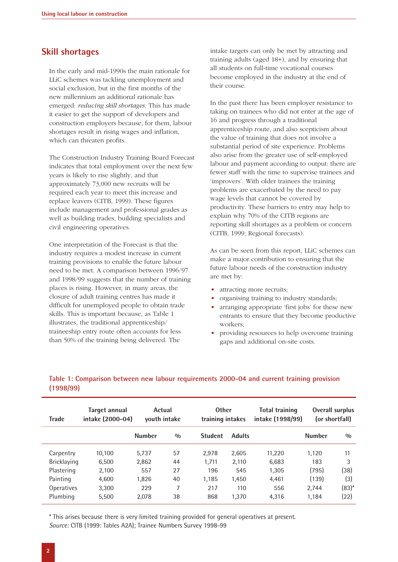#### **Skill shortages**

In the early and mid-1990s the main rationale for LLiC schemes was tackling unemployment and social exclusion, but in the first months of the new millennium an additional rationale has emerged: *reducing skill shortages*. This has made it easier to get the support of developers and construction employers because, for them, labour shortages result in rising wages and inflation, which can threaten profits.

The Construction Industry Training Board Forecast indicates that total employment over the next few years is likely to rise slightly, and that approximately 73,000 new recruits will be required each year to meet this increase and replace leavers (CITB, 1999). These figures include management and professional grades as well as building trades, building specialists and civil engineering operatives.

One interpretation of the Forecast is that the industry requires a modest increase in current training provisions to enable the future labour need to be met. A comparison between 1996/97 and 1998/99 suggests that the number of training places is rising. However, in many areas, the closure of adult training centres has made it difficult for unemployed people to obtain trade skills. This is important because, as Table 1 illustrates, the traditional apprenticeship/ traineeship entry route often accounts for less than 50% of the training being delivered. The

intake targets can only be met by attracting and training adults (aged 18+), and by ensuring that all students on full-time vocational courses become employed in the industry at the end of their course.

In the past there has been employer resistance to taking on trainees who did not enter at the age of 16 and progress through a traditional apprenticeship route, and also scepticism about the value of training that does not involve a substantial period of site experience. Problems also arise from the greater use of self-employed labour and payment according to output: there are fewer staff with the time to supervise trainees and 'improvers'. With older trainees the training problems are exacerbated by the need to pay wage levels that cannot be covered by productivity. These barriers to entry may help to explain why 70% of the CITB regions are reporting skill shortages as a problem or concern (CITB, 1999; Regional forecasts).

As can be seen from this report, LLiC schemes can make a major contribution to ensuring that the future labour needs of the construction industry are met by:

- attracting more recruits;
- organising training to industry standards;
- arranging appropriate 'first jobs' for these new entrants to ensure that they become productive workers;
- providing resources to help overcome training gaps and additional on-site costs.

| <b>Trade</b>      | Target annual<br>intake (2000-04) | Actual        | youth intake | <b>Other</b><br>training intakes |               | <b>Total training</b><br>intake (1998/99) | <b>Overall surplus</b> | (or shortfall) |
|-------------------|-----------------------------------|---------------|--------------|----------------------------------|---------------|-------------------------------------------|------------------------|----------------|
|                   |                                   | <b>Number</b> | 0/0          | <b>Student</b>                   | <b>Adults</b> |                                           | <b>Number</b>          | $\frac{0}{0}$  |
| Carpentry         | 10,100                            | 5.737         | 57           | 2.978                            | 2,605         | 11,220                                    | 1,120                  | 11             |
| Bricklaying       | 6,500                             | 2,862         | 44           | 1.711                            | 2,110         | 6,683                                     | 183                    | 3              |
| Plastering        | 2,100                             | 557           | 27           | 196                              | 545           | 1.305                                     | (795)                  | (38)           |
| Painting          | 4,600                             | 1.826         | 40           | 1.185                            | 1,450         | 4.461                                     | (139)                  | (3)            |
| <b>Operatives</b> | 3,300                             | 229           | 7            | 217                              | 110           | 556                                       | 2.744                  | $(83)*$        |
| Plumbing          | 5,500                             | 2.078         | 38           | 868                              | 1.370         | 4.316                                     | 1.184                  | (22)           |

#### **Table 1: Comparison between new labour requirements 2000-04 and current training provision (1998/99)**

\* This arises because there is very limited training provided for general operatives at present. *Source:* CITB (1999: Tables A2A); Trainee Numbers Survey 1998-99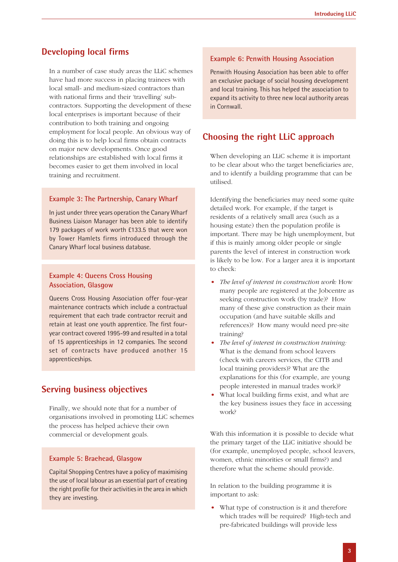### **Developing local firms**

In a number of case study areas the LLiC schemes have had more success in placing trainees with local small- and medium-sized contractors than with national firms and their 'travelling' subcontractors. Supporting the development of these local enterprises is important because of their contribution to both training and ongoing employment for local people. An obvious way of doing this is to help local firms obtain contracts on major new developments. Once good relationships are established with local firms it becomes easier to get them involved in local training and recruitment.

#### **Example 3: The Partnership, Canary Wharf**

In just under three years operation the Canary Wharf Business Liaison Manager has been able to identify 179 packages of work worth £133.5 that were won by Tower Hamlets firms introduced through the Canary Wharf local business database.

#### **Example 4: Queens Cross Housing Association, Glasgow**

Queens Cross Housing Association offer four-year maintenance contracts which include a contractual requirement that each trade contractor recruit and retain at least one youth apprentice. The first fouryear contract covered 1995-99 and resulted in a total of 15 apprenticeships in 12 companies. The second set of contracts have produced another 15 apprenticeships.

#### **Serving business objectives**

Finally, we should note that for a number of organisations involved in promoting LLiC schemes the process has helped achieve their own commercial or development goals.

#### **Example 5: Braehead, Glasgow**

Capital Shopping Centres have a policy of maximising the use of local labour as an essential part of creating the right profile for their activities in the area in which they are investing.

#### **Example 6: Penwith Housing Association**

Penwith Housing Association has been able to offer an exclusive package of social housing development and local training. This has helped the association to expand its activity to three new local authority areas in Cornwall.

#### **Choosing the right LLiC approach**

When developing an LLiC scheme it is important to be clear about who the target beneficiaries are, and to identify a building programme that can be utilised.

Identifying the beneficiaries may need some quite detailed work. For example, if the target is residents of a relatively small area (such as a housing estate) then the population profile is important. There may be high unemployment, but if this is mainly among older people or single parents the level of interest in construction work is likely to be low. For a larger area it is important to check:

- *The level of interest in construction work:* How many people are registered at the Jobcentre as seeking construction work (by trade)? How many of these give construction as their main occupation (and have suitable skills and references)? How many would need pre-site training?
- *The level of interest in construction training:* What is the demand from school leavers (check with careers services, the CITB and local training providers)? What are the explanations for this (for example, are young people interested in manual trades work)?
- What local building firms exist, and what are the key business issues they face in accessing work?

With this information it is possible to decide what the primary target of the LLiC initiative should be (for example, unemployed people, school leavers, women, ethnic minorities or small firms?) and therefore what the scheme should provide.

In relation to the building programme it is important to ask:

What type of construction is it and therefore which trades will be required? High-tech and pre-fabricated buildings will provide less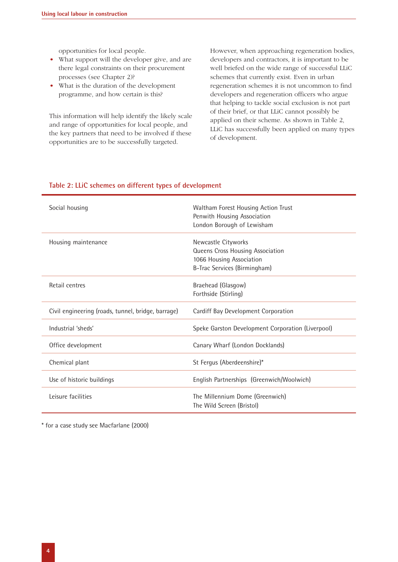opportunities for local people.

- What support will the developer give, and are there legal constraints on their procurement processes (see Chapter 2)?
- What is the duration of the development programme, and how certain is this?

This information will help identify the likely scale and range of opportunities for local people, and the key partners that need to be involved if these opportunities are to be successfully targeted.

However, when approaching regeneration bodies, developers and contractors, it is important to be well briefed on the wide range of successful LLiC schemes that currently exist. Even in urban regeneration schemes it is not uncommon to find developers and regeneration officers who argue that helping to tackle social exclusion is not part of their brief, or that LLiC cannot possibly be applied on their scheme. As shown in Table 2, LLiC has successfully been applied on many types of development.

| Social housing                                     | Waltham Forest Housing Action Trust<br>Penwith Housing Association<br>London Borough of Lewisham                    |
|----------------------------------------------------|---------------------------------------------------------------------------------------------------------------------|
| Housing maintenance                                | Newcastle Cityworks<br>Queens Cross Housing Association<br>1066 Housing Association<br>B-Trac Services (Birmingham) |
| Retail centres                                     | Braehead (Glasgow)<br>Forthside (Stirling)                                                                          |
| Civil engineering (roads, tunnel, bridge, barrage) | Cardiff Bay Development Corporation                                                                                 |
| Industrial 'sheds'                                 | Speke Garston Development Corporation (Liverpool)                                                                   |
| Office development                                 | Canary Wharf (London Docklands)                                                                                     |
| Chemical plant                                     | St Fergus (Aberdeenshire)*                                                                                          |
| Use of historic buildings                          | English Partnerships (Greenwich/Woolwich)                                                                           |
| Leisure facilities                                 | The Millennium Dome (Greenwich)<br>The Wild Screen (Bristol)                                                        |

#### **Table 2: LLiC schemes on different types of development**

\* for a case study see Macfarlane (2000)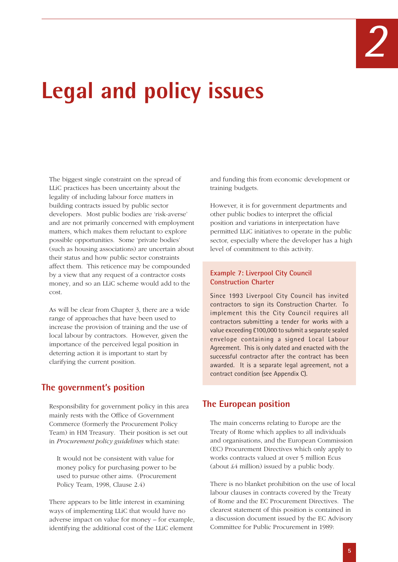# **Legal and policy issues**

The biggest single constraint on the spread of LLiC practices has been uncertainty about the legality of including labour force matters in building contracts issued by public sector developers. Most public bodies are 'risk-averse' and are not primarily concerned with employment matters, which makes them reluctant to explore possible opportunities. Some 'private bodies' (such as housing associations) are uncertain about their status and how public sector constraints affect them. This reticence may be compounded by a view that any request of a contractor costs money, and so an LLiC scheme would add to the cost.

As will be clear from Chapter 3, there are a wide range of approaches that have been used to increase the provision of training and the use of local labour by contractors. However, given the importance of the perceived legal position in deterring action it is important to start by clarifying the current position.

# **The government's position**

Responsibility for government policy in this area mainly rests with the Office of Government Commerce (formerly the Procurement Policy Team) in HM Treasury. Their position is set out in *Procurement policy guidelines* which state:

It would not be consistent with value for money policy for purchasing power to be used to pursue other aims. (Procurement Policy Team, 1998, Clause 2.4)

There appears to be little interest in examining ways of implementing LLiC that would have no adverse impact on value for money – for example, identifying the additional cost of the LLiC element

and funding this from economic development or training budgets.

However, it is for government departments and other public bodies to interpret the official position and variations in interpretation have permitted LLiC initiatives to operate in the public sector, especially where the developer has a high level of commitment to this activity.

#### **Example 7: Liverpool City Council Construction Charter**

Since 1993 Liverpool City Council has invited contractors to sign its Construction Charter. To implement this the City Council requires all contractors submitting a tender for works with a value exceeding £100,000 to submit a separate sealed envelope containing a signed Local Labour Agreement. This is only dated and enacted with the successful contractor after the contract has been awarded. It is a separate legal agreement, not a contract condition (see Appendix C).

# **The European position**

The main concerns relating to Europe are the Treaty of Rome which applies to all individuals and organisations, and the European Commission (EC) Procurement Directives which only apply to works contracts valued at over 5 million Ecus (about £4 million) issued by a public body.

There is no blanket prohibition on the use of local labour clauses in contracts covered by the Treaty of Rome and the EC Procurement Directives. The clearest statement of this position is contained in a discussion document issued by the EC Advisory Committee for Public Procurement in 1989: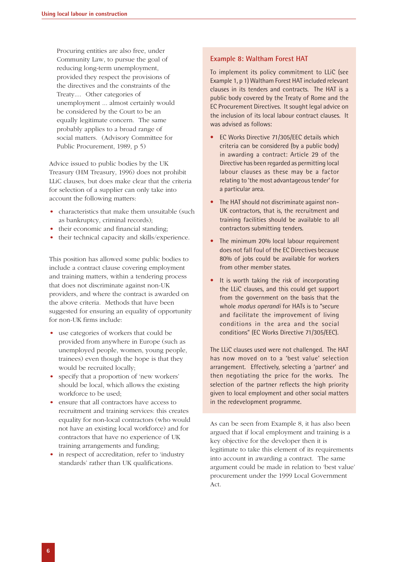Procuring entities are also free, under Community Law, to pursue the goal of reducing long-term unemployment, provided they respect the provisions of the directives and the constraints of the Treaty.... Other categories of unemployment ... almost certainly would be considered by the Court to be an equally legitimate concern. The same probably applies to a broad range of social matters. (Advisory Committee for Public Procurement, 1989, p 5)

Advice issued to public bodies by the UK Treasury (HM Treasury, 1996) does not prohibit LLiC clauses, but does make clear that the criteria for selection of a supplier can only take into account the following matters:

- characteristics that make them unsuitable (such as bankruptcy, criminal records);
- their economic and financial standing;
- their technical capacity and skills/experience.

This position has allowed some public bodies to include a contract clause covering employment and training matters, within a tendering process that does not discriminate against non-UK providers, and where the contract is awarded on the above criteria. Methods that have been suggested for ensuring an equality of opportunity for non-UK firms include:

- use categories of workers that could be provided from anywhere in Europe (such as unemployed people, women, young people, trainees) even though the hope is that they would be recruited locally;
- specify that a proportion of 'new workers' should be local, which allows the existing workforce to be used;
- ensure that all contractors have access to recruitment and training services: this creates equality for non-local contractors (who would not have an existing local workforce) and for contractors that have no experience of UK training arrangements and funding;
- in respect of accreditation, refer to 'industry standards' rather than UK qualifications.

#### **Example 8: Waltham Forest HAT**

To implement its policy commitment to LLiC (see Example 1, p 1) Waltham Forest HAT included relevant clauses in its tenders and contracts. The HAT is a public body covered by the Treaty of Rome and the EC Procurement Directives. It sought legal advice on the inclusion of its local labour contract clauses. It was advised as follows:

- EC Works Directive 71/305/EEC details which criteria can be considered (by a public body) in awarding a contract: Article 29 of the Directive has been regarded as permitting local labour clauses as these may be a factor relating to 'the most advantageous tender' for a particular area.
- The HAT should not discriminate against non-UK contractors, that is, the recruitment and training facilities should be available to all contractors submitting tenders.
- The minimum 20% local labour requirement does not fall foul of the EC Directives because 80% of jobs could be available for workers from other member states.
- It is worth taking the risk of incorporating the LLiC clauses, and this could get support from the government on the basis that the whole *modus operandi* for HATs is to "secure and facilitate the improvement of living conditions in the area and the social conditions" (EC Works Directive 71/305/EEC).

The LLiC clauses used were not challenged. The HAT has now moved on to a 'best value' selection arrangement. Effectively, selecting a 'partner' and then negotiating the price for the works. The selection of the partner reflects the high priority given to local employment and other social matters in the redevelopment programme.

As can be seen from Example 8, it has also been argued that if local employment and training is a key objective for the developer then it is legitimate to take this element of its requirements into account in awarding a contract. The same argument could be made in relation to 'best value' procurement under the 1999 Local Government Act.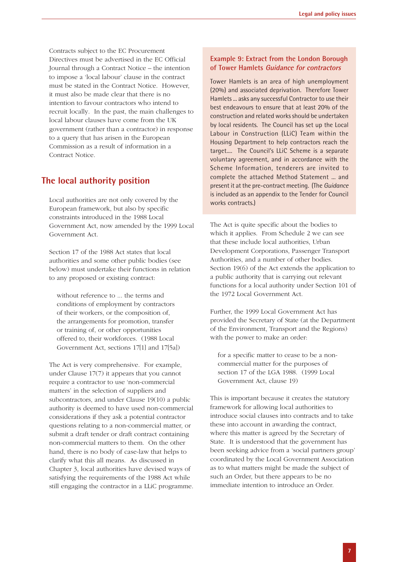Contracts subject to the EC Procurement Directives must be advertised in the EC Official Journal through a Contract Notice – the intention to impose a 'local labour' clause in the contract must be stated in the Contract Notice. However, it must also be made clear that there is no intention to favour contractors who intend to recruit locally. In the past, the main challenges to local labour clauses have come from the UK government (rather than a contractor) in response to a query that has arisen in the European Commission as a result of information in a Contract Notice.

# **The local authority position**

Local authorities are not only covered by the European framework, but also by specific constraints introduced in the 1988 Local Government Act, now amended by the 1999 Local Government Act.

Section 17 of the 1988 Act states that local authorities and some other public bodies (see below) must undertake their functions in relation to any proposed or existing contract:

without reference to ... the terms and conditions of employment by contractors of their workers, or the composition of, the arrangements for promotion, transfer or training of, or other opportunities offered to, their workforces. (1988 Local Government Act, sections 17[1] and 17[5a])

The Act is very comprehensive. For example, under Clause 17(7) it appears that you cannot require a contractor to use 'non-commercial matters' in the selection of suppliers and subcontractors, and under Clause 19(10) a public authority is deemed to have used non-commercial considerations if they ask a potential contractor questions relating to a non-commercial matter, or submit a draft tender or draft contract containing non-commercial matters to them. On the other hand, there is no body of case-law that helps to clarify what this all means. As discussed in Chapter 3, local authorities have devised ways of satisfying the requirements of the 1988 Act while still engaging the contractor in a LLiC programme.

#### **Example 9: Extract from the London Borough of Tower Hamlets Guidance for contractors**

Tower Hamlets is an area of high unemployment (20%) and associated deprivation. Therefore Tower Hamlets ... asks any successful Contractor to use their best endeavours to ensure that at least 20% of the construction and related works should be undertaken by local residents. The Council has set up the Local Labour in Construction (LLiC) Team within the Housing Department to help contractors reach the target.... The Council's LLiC Scheme is a separate voluntary agreement, and in accordance with the Scheme Information, tenderers are invited to complete the attached Method Statement ... and present it at the pre-contract meeting. (The *Guidance* is included as an appendix to the Tender for Council works contracts.)

The Act is quite specific about the bodies to which it applies. From Schedule 2 we can see that these include local authorities, Urban Development Corporations, Passenger Transport Authorities, and a number of other bodies. Section 19(6) of the Act extends the application to a public authority that is carrying out relevant functions for a local authority under Section 101 of the 1972 Local Government Act.

Further, the 1999 Local Government Act has provided the Secretary of State (at the Department of the Environment, Transport and the Regions) with the power to make an order:

for a specific matter to cease to be a noncommercial matter for the purposes of section 17 of the LGA 1988. (1999 Local Government Act, clause 19)

This is important because it creates the statutory framework for allowing local authorities to introduce social clauses into contracts and to take these into account in awarding the contract, where this matter is agreed by the Secretary of State. It is understood that the government has been seeking advice from a 'social partners group' coordinated by the Local Government Association as to what matters might be made the subject of such an Order, but there appears to be no immediate intention to introduce an Order.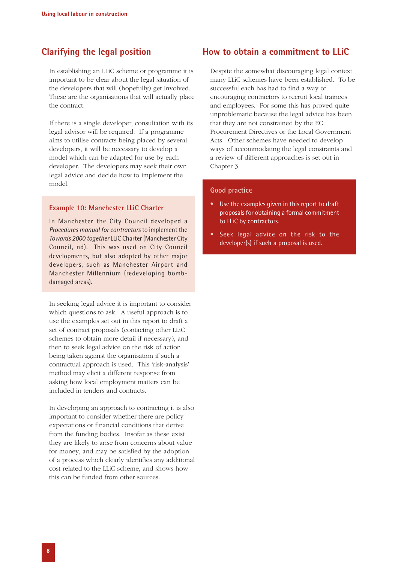# **Clarifying the legal position**

In establishing an LLiC scheme or programme it is important to be clear about the legal situation of the developers that will (hopefully) get involved. These are the organisations that will actually place the contract.

If there is a single developer, consultation with its legal advisor will be required. If a programme aims to utilise contracts being placed by several developers, it will be necessary to develop a model which can be adapted for use by each developer. The developers may seek their own legal advice and decide how to implement the model.

#### **Example 10: Manchester LLiC Charter**

In Manchester the City Council developed a *Procedures manual for contractors* to implement the *Towards 2000 together* LLiC Charter (Manchester City Council, nd). This was used on City Council developments, but also adopted by other major developers, such as Manchester Airport and Manchester Millennium (redeveloping bombdamaged areas).

In seeking legal advice it is important to consider which questions to ask. A useful approach is to use the examples set out in this report to draft a set of contract proposals (contacting other LLiC schemes to obtain more detail if necessary), and then to seek legal advice on the risk of action being taken against the organisation if such a contractual approach is used. This 'risk-analysis' method may elicit a different response from asking how local employment matters can be included in tenders and contracts.

In developing an approach to contracting it is also important to consider whether there are policy expectations or financial conditions that derive from the funding bodies. Insofar as these exist they are likely to arise from concerns about value for money, and may be satisfied by the adoption of a process which clearly identifies any additional cost related to the LLiC scheme, and shows how this can be funded from other sources.

# **How to obtain a commitment to LLiC**

Despite the somewhat discouraging legal context many LLiC schemes have been established. To be successful each has had to find a way of encouraging contractors to recruit local trainees and employees. For some this has proved quite unproblematic because the legal advice has been that they are not constrained by the EC Procurement Directives or the Local Government Acts. Other schemes have needed to develop ways of accommodating the legal constraints and a review of different approaches is set out in Chapter 3.

#### **Good practice**

- Use the examples given in this report to draft proposals for obtaining a formal commitment to LLiC by contractors.
- Seek legal advice on the risk to the developer(s) if such a proposal is used.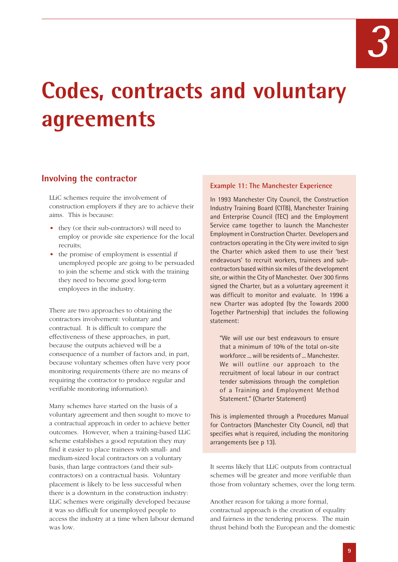# **Codes, contracts and voluntary agreements**

# **Involving the contractor**

LLiC schemes require the involvement of construction employers if they are to achieve their aims. This is because:

- they (or their sub-contractors) will need to employ or provide site experience for the local recruits;
- the promise of employment is essential if unemployed people are going to be persuaded to join the scheme and stick with the training they need to become good long-term employees in the industry.

There are two approaches to obtaining the contractors involvement: voluntary and contractual. It is difficult to compare the effectiveness of these approaches, in part, because the outputs achieved will be a consequence of a number of factors and, in part, because voluntary schemes often have very poor monitoring requirements (there are no means of requiring the contractor to produce regular and verifiable monitoring information).

Many schemes have started on the basis of a voluntary agreement and then sought to move to a contractual approach in order to achieve better outcomes. However, when a training-based LLiC scheme establishes a good reputation they may find it easier to place trainees with small- and medium-sized local contractors on a voluntary basis, than large contractors (and their subcontractors) on a contractual basis. Voluntary placement is likely to be less successful when there is a downturn in the construction industry: LLiC schemes were originally developed because it was so difficult for unemployed people to access the industry at a time when labour demand was low.

#### **Example 11: The Manchester Experience**

In 1993 Manchester City Council, the Construction Industry Training Board (CITB), Manchester Training and Enterprise Council (TEC) and the Employment Service came together to launch the Manchester Employment in Construction Charter. Developers and contractors operating in the City were invited to sign the Charter which asked them to use their 'best endeavours' to recruit workers, trainees and subcontractors based within six miles of the development site, or within the City of Manchester. Over 300 firms signed the Charter, but as a voluntary agreement it was difficult to monitor and evaluate. In 1996 a new Charter was adopted (by the Towards 2000 Together Partnership) that includes the following statement:

"We will use our best endeavours to ensure that a minimum of 10% of the total on-site workforce ... will be residents of ... Manchester. We will outline our approach to the recruitment of local labour in our contract tender submissions through the completion of a Training and Employment Method Statement." (Charter Statement)

This is implemented through a Procedures Manual for Contractors (Manchester City Council, nd) that specifies what is required, including the monitoring arrangements (see p 13).

It seems likely that LLiC outputs from contractual schemes will be greater and more verifiable than those from voluntary schemes, over the long term.

Another reason for taking a more formal, contractual approach is the creation of equality and fairness in the tendering process. The main thrust behind both the European and the domestic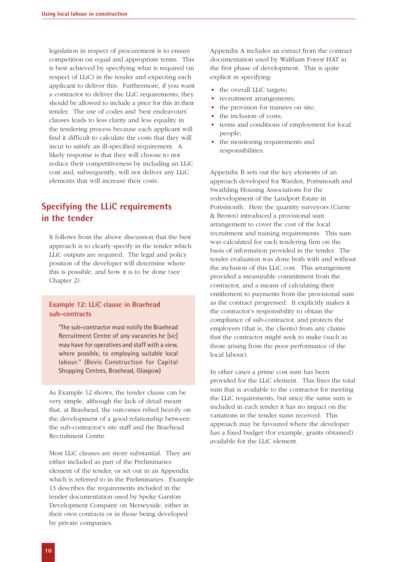legislation in respect of procurement is to ensure competition on equal and appropriate terms. This is best achieved by specifying what is required (in respect of LLiC) in the tender and expecting each applicant to deliver this. Furthermore, if you want a contractor to deliver the LLiC requirements, they should be allowed to include a price for this in their tender. The use of codes and 'best endeavours' clauses leads to less clarity and less equality in the tendering process because each applicant will find it difficult to calculate the costs that they will incur to satisfy an ill-specified requirement. A likely response is that they will choose to not reduce their competitiveness by including an LLiC cost and, subsequently, will not deliver any LLiC elements that will increase their costs.

# **Specifying the LLiC requirements in the tender**

It follows from the above discussion that the best approach is to clearly specify in the tender which LLiC outputs are required. The legal and policy position of the developer will determine where this is possible, and how it is to be done (see Chapter 2).

#### **Example 12: LLiC clause in Braehead sub-contracts**

"The sub-contractor must notify the Braehead Recruitment Centre of any vacancies he [sic] may have for operatives and staff with a view, where possible, to employing suitable local labour." (Bovis Construction for Capital Shopping Centres, Braehead, Glasgow)

As Example 12 shows, the tender clause can be very simple, although the lack of detail meant that, at Braehead, the outcomes relied heavily on the development of a good relationship between the sub-contractor's site staff and the Braehead Recruitment Centre.

Most LLiC clauses are more substantial. They are either included as part of the Preliminaries element of the tender, or set out in an Appendix which is referred to in the Preliminaries. Example 13 describes the requirements included in the tender documentation used by Speke Garston Development Company on Merseyside, either in their own contracts or in those being developed by private companies.

Appendix A includes an extract from the contract documentation used by Waltham Forest HAT in the first phase of development. This is quite explicit in specifying:

- the overall LLiC targets;
- recruitment arrangements;
- the provision for trainees on site;
- the inclusion of costs;
- terms and conditions of employment for local people;
- the monitoring requirements and responsibilities.

Appendix B sets out the key elements of an approach developed for Warden, Portsmouth and Swathling Housing Associations for the redevelopment of the Landport Estate in Portsmouth. Here the quantity surveyors (Currie & Brown) introduced a provisional sum arrangement to cover the cost of the local recruitment and training requirements. This sum was calculated for each tendering firm on the basis of information provided in the tender. The tender evaluation was done both with and without the inclusion of this LLiC cost. This arrangement provided a measurable commitment from the contractor, and a means of calculating their entitlement to payments from the provisional sum as the contract progressed. It explicitly makes it the contractor's responsibility to obtain the compliance of sub-contractor, and protects the employers (that is, the clients) from any claims that the contractor might seek to make (such as those arising from the poor performance of the local labour).

In other cases a prime cost sum has been provided for the LLiC element. This fixes the total sum that is available to the contractor for meeting the LLiC requirements, but since the same sum is included in each tender it has no impact on the variations in the tender sums received. This approach may be favoured where the developer has a fixed budget (for example, grants obtained) available for the LLiC element.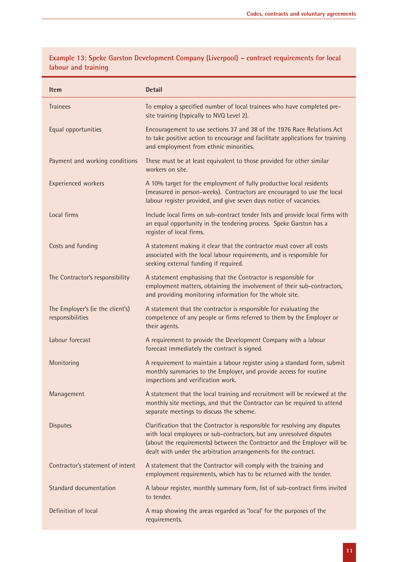| <b>Item</b>                                          | <b>Detail</b>                                                                                                                                                                                                                                                                                      |
|------------------------------------------------------|----------------------------------------------------------------------------------------------------------------------------------------------------------------------------------------------------------------------------------------------------------------------------------------------------|
| <b>Trainees</b>                                      | To employ a specified number of local trainees who have completed pre-<br>site training (typically to NVQ Level 2).                                                                                                                                                                                |
| Equal opportunities                                  | Encouragement to use sections 37 and 38 of the 1976 Race Relations Act<br>to take positive action to encourage and facilitate applications for training<br>and employment from ethnic minorities.                                                                                                  |
| Payment and working conditions                       | These must be at least equivalent to those provided for other similar<br>workers on site.                                                                                                                                                                                                          |
| Experienced workers                                  | A 10% target for the employment of fully productive local residents<br>(measured in person-weeks). Contractors are encouraged to use the local<br>labour register provided, and give seven days notice of vacancies.                                                                               |
| Local firms                                          | Include local firms on sub-contract tender lists and provide local firms with<br>an equal opportunity in the tendering process. Speke Garston has a<br>register of local firms.                                                                                                                    |
| Costs and funding                                    | A statement making it clear that the contractor must cover all costs<br>associated with the local labour requirements, and is responsible for<br>seeking external funding if required.                                                                                                             |
| The Contractor's responsibility                      | A statement emphasising that the Contractor is responsible for<br>employment matters, obtaining the involvement of their sub-contractors,<br>and providing monitoring information for the whole site.                                                                                              |
| The Employer's (ie the client's)<br>responsibilities | A statement that the contractor is responsible for evaluating the<br>competence of any people or firms referred to them by the Employer or<br>their agents.                                                                                                                                        |
| Labour forecast                                      | A requirement to provide the Development Company with a labour<br>forecast immediately the contract is signed.                                                                                                                                                                                     |
| Monitoring                                           | A requirement to maintain a labour register using a standard form, submit<br>monthly summaries to the Employer, and provide access for routine<br>inspections and verification work.                                                                                                               |
| Management                                           | A statement that the local training and recruitment will be reviewed at the<br>monthly site meetings, and that the Contractor can be required to attend<br>separate meetings to discuss the scheme.                                                                                                |
| <b>Disputes</b>                                      | Clarification that the Contractor is responsible for resolving any disputes<br>with local employees or sub-contractors, but any unresolved disputes<br>(about the requirements) between the Contractor and the Employer will be<br>dealt with under the arbitration arrangements for the contract. |
| Contractor's statement of intent                     | A statement that the Contractor will comply with the training and<br>employment requirements, which has to be returned with the tender.                                                                                                                                                            |
| Standard documentation                               | A labour register, monthly summary form, list of sub-contract firms invited<br>to tender.                                                                                                                                                                                                          |
| Definition of local                                  | A map showing the areas regarded as 'local' for the purposes of the<br>requirements.                                                                                                                                                                                                               |

**Example 13: Speke Garston Development Company (Liverpool) – contract requirements for local labour and training**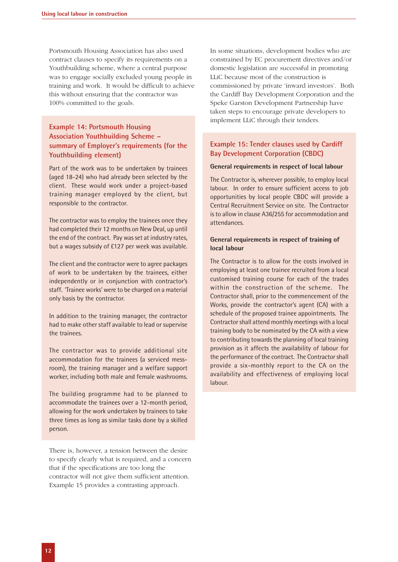Portsmouth Housing Association has also used contract clauses to specify its requirements on a Youthbuilding scheme, where a central purpose was to engage socially excluded young people in training and work. It would be difficult to achieve this without ensuring that the contractor was 100% committed to the goals.

#### **Example 14: Portsmouth Housing Association Youthbuilding Scheme – summary of Employer's requirements (for the Youthbuilding element)**

Part of the work was to be undertaken by trainees (aged 18-24) who had already been selected by the client. These would work under a project-based training manager employed by the client, but responsible to the contractor.

The contractor was to employ the trainees once they had completed their 12 months on New Deal, up until the end of the contract. Pay was set at industry rates, but a wages subsidy of £127 per week was available.

The client and the contractor were to agree packages of work to be undertaken by the trainees, either independently or in conjunction with contractor's staff. 'Trainee works' were to be charged on a material only basis by the contractor.

In addition to the training manager, the contractor had to make other staff available to lead or supervise the trainees.

The contractor was to provide additional site accommodation for the trainees (a serviced messroom), the training manager and a welfare support worker, including both male and female washrooms.

The building programme had to be planned to accommodate the trainees over a 12-month period, allowing for the work undertaken by trainees to take three times as long as similar tasks done by a skilled person.

There is, however, a tension between the desire to specify clearly what is required, and a concern that if the specifications are too long the contractor will not give them sufficient attention. Example 15 provides a contrasting approach.

In some situations, development bodies who are constrained by EC procurement directives and/or domestic legislation are successful in promoting LLiC because most of the construction is commissioned by private 'inward investors'. Both the Cardiff Bay Development Corporation and the Speke Garston Development Partnership have taken steps to encourage private developers to implement LLiC through their tenders.

#### **Example 15: Tender clauses used by Cardiff Bay Development Corporation (CBDC)**

#### **General requirements in respect of local labour**

The Contractor is, wherever possible, to employ local labour. In order to ensure sufficient access to job opportunities by local people CBDC will provide a Central Recruitment Service on site. The Contractor is to allow in clause A36/255 for accommodation and attendances.

#### **General requirements in respect of training of local labour**

The Contractor is to allow for the costs involved in employing at least one trainee recruited from a local customised training course for each of the trades within the construction of the scheme. The Contractor shall, prior to the commencement of the Works, provide the contractor's agent (CA) with a schedule of the proposed trainee appointments. The Contractor shall attend monthly meetings with a local training body to be nominated by the CA with a view to contributing towards the planning of local training provision as it affects the availability of labour for the performance of the contract. The Contractor shall provide a six-monthly report to the CA on the availability and effectiveness of employing local labour.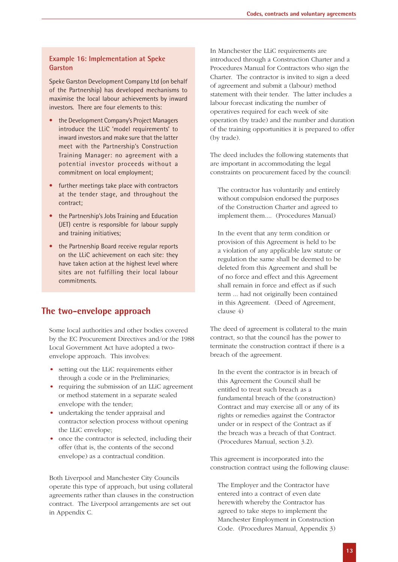#### **Example 16: Implementation at Speke Garston**

Speke Garston Development Company Ltd (on behalf of the Partnership) has developed mechanisms to maximise the local labour achievements by inward investors. There are four elements to this:

- the Development Company's Project Managers introduce the LLiC 'model requirements' to inward investors and make sure that the latter meet with the Partnership's Construction Training Manager: no agreement with a potential investor proceeds without a commitment on local employment;
- further meetings take place with contractors at the tender stage, and throughout the contract;
- the Partnership's Jobs Training and Education (JET) centre is responsible for labour supply and training initiatives;
- the Partnership Board receive regular reports on the LLiC achievement on each site: they have taken action at the highest level where sites are not fulfilling their local labour commitments.

# **The two-envelope approach**

Some local authorities and other bodies covered by the EC Procurement Directives and/or the 1988 Local Government Act have adopted a twoenvelope approach. This involves:

- setting out the LLiC requirements either through a code or in the Preliminaries;
- requiring the submission of an LLiC agreement or method statement in a separate sealed envelope with the tender;
- undertaking the tender appraisal and contractor selection process without opening the LLiC envelope;
- once the contractor is selected, including their offer (that is, the contents of the second envelope) as a contractual condition.

Both Liverpool and Manchester City Councils operate this type of approach, but using collateral agreements rather than clauses in the construction contract. The Liverpool arrangements are set out in Appendix C.

In Manchester the LLiC requirements are introduced through a Construction Charter and a Procedures Manual for Contractors who sign the Charter. The contractor is invited to sign a deed of agreement and submit a (labour) method statement with their tender. The latter includes a labour forecast indicating the number of operatives required for each week of site operation (by trade) and the number and duration of the training opportunities it is prepared to offer (by trade).

The deed includes the following statements that are important in accommodating the legal constraints on procurement faced by the council:

The contractor has voluntarily and entirely without compulsion endorsed the purposes of the Construction Charter and agreed to implement them.... (Procedures Manual)

In the event that any term condition or provision of this Agreement is held to be a violation of any applicable law statute or regulation the same shall be deemed to be deleted from this Agreement and shall be of no force and effect and this Agreement shall remain in force and effect as if such term ... had not originally been contained in this Agreement. (Deed of Agreement, clause 4)

The deed of agreement is collateral to the main contract, so that the council has the power to terminate the construction contract if there is a breach of the agreement.

In the event the contractor is in breach of this Agreement the Council shall be entitled to treat such breach as a fundamental breach of the (construction) Contract and may exercise all or any of its rights or remedies against the Contractor under or in respect of the Contract as if the breach was a breach of that Contract. (Procedures Manual, section 3.2).

This agreement is incorporated into the construction contract using the following clause:

The Employer and the Contractor have entered into a contract of even date herewith whereby the Contractor has agreed to take steps to implement the Manchester Employment in Construction Code. (Procedures Manual, Appendix 3)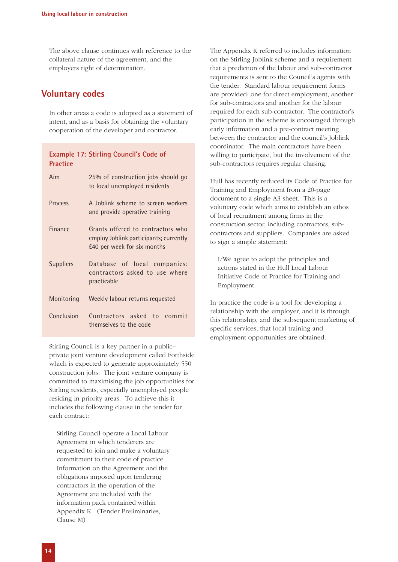The above clause continues with reference to the collateral nature of the agreement, and the employers right of determination.

### **Voluntary codes**

In other areas a code is adopted as a statement of intent, and as a basis for obtaining the voluntary cooperation of the developer and contractor.

#### **Example 17: Stirling Council's Code of Practice**

| Aim              | 25% of construction jobs should go<br>to local unemployed residents                                        |
|------------------|------------------------------------------------------------------------------------------------------------|
| <b>Process</b>   | A Joblink scheme to screen workers<br>and provide operative training                                       |
| Finance          | Grants offered to contractors who<br>employ Joblink participants; currently<br>£40 per week for six months |
| <b>Suppliers</b> | Database of local companies:<br>contractors asked to use where<br>practicable                              |
| Monitoring       | Weekly labour returns requested                                                                            |
| Conclusion       | Contractors asked to commit<br>themselves to the code                                                      |

Stirling Council is a key partner in a public– private joint venture development called Forthside which is expected to generate approximately 550 construction jobs. The joint venture company is committed to maximising the job opportunities for Stirling residents, especially unemployed people residing in priority areas. To achieve this it includes the following clause in the tender for each contract:

Stirling Council operate a Local Labour Agreement in which tenderers are requested to join and make a voluntary commitment to their code of practice. Information on the Agreement and the obligations imposed upon tendering contractors in the operation of the Agreement are included with the information pack contained within Appendix K. (Tender Preliminaries, Clause M)

The Appendix K referred to includes information on the Stirling Joblink scheme and a requirement that a prediction of the labour and sub-contractor requirements is sent to the Council's agents with the tender. Standard labour requirement forms are provided: one for direct employment, another for sub-contractors and another for the labour required for each sub-contractor. The contractor's participation in the scheme is encouraged through early information and a pre-contract meeting between the contractor and the council's Joblink coordinator. The main contractors have been willing to participate, but the involvement of the sub-contractors requires regular chasing.

Hull has recently reduced its Code of Practice for Training and Employment from a 20-page document to a single A3 sheet. This is a voluntary code which aims to establish an ethos of local recruitment among firms in the construction sector, including contractors, subcontractors and suppliers. Companies are asked to sign a simple statement:

I/We agree to adopt the principles and actions stated in the Hull Local Labour Initiative Code of Practice for Training and Employment.

In practice the code is a tool for developing a relationship with the employer, and it is through this relationship, and the subsequent marketing of specific services, that local training and employment opportunities are obtained.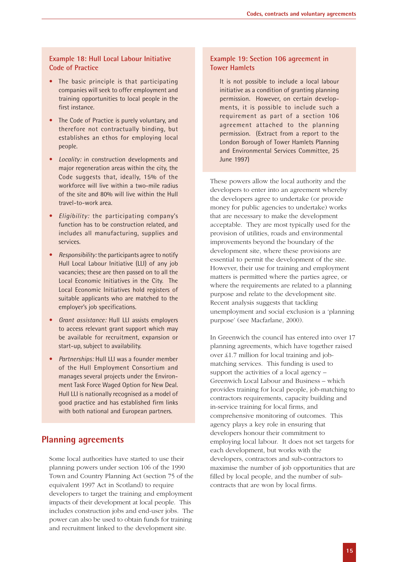#### **Example 18: Hull Local Labour Initiative Code of Practice**

- The basic principle is that participating companies will seek to offer employment and training opportunities to local people in the first instance.
- The Code of Practice is purely voluntary, and therefore not contractually binding, but establishes an ethos for employing local people.
- *Locality:* in construction developments and major regeneration areas within the city, the Code suggests that, ideally, 15% of the workforce will live within a two-mile radius of the site and 80% will live within the Hull travel-to-work area.
- *Eligibility:* the participating company's function has to be construction related, and includes all manufacturing, supplies and services.
- *Responsibility:* the participants agree to notify Hull Local Labour Initiative (LLI) of any job vacancies; these are then passed on to all the Local Economic Initiatives in the City. The Local Economic Initiatives hold registers of suitable applicants who are matched to the employer's job specifications.
- *Grant assistance:* Hull LLI assists employers to access relevant grant support which may be available for recruitment, expansion or start-up, subject to availability.
- *Partnerships:* Hull LLI was a founder member of the Hull Employment Consortium and manages several projects under the Environment Task Force Waged Option for New Deal. Hull LLI is nationally recognised as a model of good practice and has established firm links with both national and European partners.

### **Planning agreements**

Some local authorities have started to use their planning powers under section 106 of the 1990 Town and Country Planning Act (section 75 of the equivalent 1997 Act in Scotland) to require developers to target the training and employment impacts of their development at local people. This includes construction jobs and end-user jobs. The power can also be used to obtain funds for training and recruitment linked to the development site.

#### **Example 19: Section 106 agreement in Tower Hamlets**

It is not possible to include a local labour initiative as a condition of granting planning permission. However, on certain developments, it is possible to include such a requirement as part of a section 106 agreement attached to the planning permission. (Extract from a report to the London Borough of Tower Hamlets Planning and Environmental Services Committee, 25 June 1997)

These powers allow the local authority and the developers to enter into an agreement whereby the developers agree to undertake (or provide money for public agencies to undertake) works that are necessary to make the development acceptable. They are most typically used for the provision of utilities, roads and environmental improvements beyond the boundary of the development site, where these provisions are essential to permit the development of the site. However, their use for training and employment matters is permitted where the parties agree, or where the requirements are related to a planning purpose and relate to the development site. Recent analysis suggests that tackling unemployment and social exclusion is a 'planning purpose' (see Macfarlane, 2000).

In Greenwich the council has entered into over 17 planning agreements, which have together raised over £1.7 million for local training and jobmatching services. This funding is used to support the activities of a local agency – Greenwich Local Labour and Business – which provides training for local people, job-matching to contractors requirements, capacity building and in-service training for local firms, and comprehensive monitoring of outcomes. This agency plays a key role in ensuring that developers honour their commitment to employing local labour. It does not set targets for each development, but works with the developers, contractors and sub-contractors to maximise the number of job opportunities that are filled by local people, and the number of subcontracts that are won by local firms.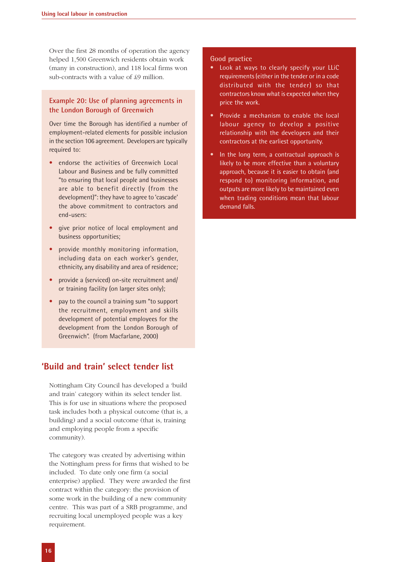Over the first 28 months of operation the agency helped 1,500 Greenwich residents obtain work (many in construction), and 118 local firms won sub-contracts with a value of £9 million.

#### **Example 20: Use of planning agreements in the London Borough of Greenwich**

Over time the Borough has identified a number of employment-related elements for possible inclusion in the section 106 agreement. Developers are typically required to:

- endorse the activities of Greenwich Local Labour and Business and be fully committed "to ensuring that local people and businesses are able to benefit directly (from the development)": they have to agree to 'cascade' the above commitment to contractors and end-users:
- give prior notice of local employment and business opportunities;
- provide monthly monitoring information, including data on each worker's gender, ethnicity, any disability and area of residence;
- provide a (serviced) on-site recruitment and/ or training facility (on larger sites only);
- pay to the council a training sum "to support the recruitment, employment and skills development of potential employees for the development from the London Borough of Greenwich". (from Macfarlane, 2000)

# **'Build and train' select tender list**

Nottingham City Council has developed a 'build and train' category within its select tender list. This is for use in situations where the proposed task includes both a physical outcome (that is, a building) and a social outcome (that is, training and employing people from a specific community).

The category was created by advertising within the Nottingham press for firms that wished to be included. To date only one firm (a social enterprise) applied. They were awarded the first contract within the category: the provision of some work in the building of a new community centre. This was part of a SRB programme, and recruiting local unemployed people was a key requirement.

#### **Good practice**

- Look at ways to clearly specify your LLiC requirements (either in the tender or in a code distributed with the tender) so that contractors know what is expected when they price the work.
- Provide a mechanism to enable the local labour agency to develop a positive relationship with the developers and their contractors at the earliest opportunity.
- In the long term, a contractual approach is likely to be more effective than a voluntary approach, because it is easier to obtain (and respond to) monitoring information, and outputs are more likely to be maintained even when trading conditions mean that labour demand falls.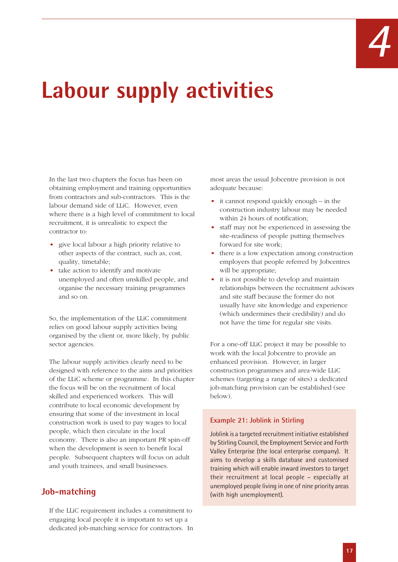

# **Labour supply activities**

In the last two chapters the focus has been on obtaining employment and training opportunities from contractors and sub-contractors. This is the labour demand side of LLiC. However, even where there is a high level of commitment to local recruitment, it is unrealistic to expect the contractor to:

- give local labour a high priority relative to other aspects of the contract, such as, cost, quality, timetable;
- take action to identify and motivate unemployed and often unskilled people, and organise the necessary training programmes and so on.

So, the implementation of the LLiC commitment relies on good labour supply activities being organised by the client or, more likely, by public sector agencies.

The labour supply activities clearly need to be designed with reference to the aims and priorities of the LLiC scheme or programme. In this chapter the focus will be on the recruitment of local skilled and experienced workers. This will contribute to local economic development by ensuring that some of the investment in local construction work is used to pay wages to local people, which then circulate in the local economy. There is also an important PR spin-off when the development is seen to benefit local people. Subsequent chapters will focus on adult and youth trainees, and small businesses.

# **Job-matching**

If the LLiC requirement includes a commitment to engaging local people it is important to set up a dedicated job-matching service for contractors. In most areas the usual Jobcentre provision is not adequate because:

- it cannot respond quickly enough in the construction industry labour may be needed within 24 hours of notification;
- staff may not be experienced in assessing the site-readiness of people putting themselves forward for site work;
- there is a low expectation among construction employers that people referred by Jobcentres will be appropriate;
- it is not possible to develop and maintain relationships between the recruitment advisors and site staff because the former do not usually have site knowledge and experience (which undermines their credibility) and do not have the time for regular site visits.

For a one-off LLiC project it may be possible to work with the local Jobcentre to provide an enhanced provision. However, in larger construction programmes and area-wide LLiC schemes (targeting a range of sites) a dedicated job-matching provision can be established (see below).

#### **Example 21: Joblink in Stirling**

Joblink is a targeted recruitment initiative established by Stirling Council, the Employment Service and Forth Valley Enterprise (the local enterprise company). It aims to develop a skills database and customised training which will enable inward investors to target their recruitment at local people – especially at unemployed people living in one of nine priority areas (with high unemployment).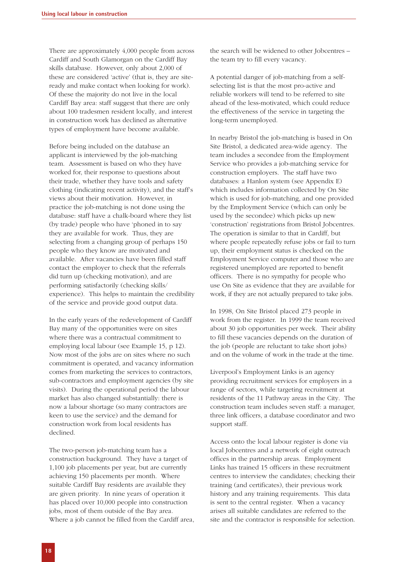There are approximately 4,000 people from across Cardiff and South Glamorgan on the Cardiff Bay skills database. However, only about 2,000 of these are considered 'active' (that is, they are siteready and make contact when looking for work). Of these the majority do not live in the local Cardiff Bay area: staff suggest that there are only about 100 tradesmen resident locally, and interest in construction work has declined as alternative types of employment have become available.

Before being included on the database an applicant is interviewed by the job-matching team. Assessment is based on who they have worked for, their response to questions about their trade, whether they have tools and safety clothing (indicating recent activity), and the staff's views about their motivation. However, in practice the job-matching is not done using the database: staff have a chalk-board where they list (by trade) people who have 'phoned in to say they are available for work. Thus, they are selecting from a changing group of perhaps 150 people who they know are motivated and available. After vacancies have been filled staff contact the employer to check that the referrals did turn up (checking motivation), and are performing satisfactorily (checking skills/ experience). This helps to maintain the credibility of the service and provide good output data.

In the early years of the redevelopment of Cardiff Bay many of the opportunities were on sites where there was a contractual commitment to employing local labour (see Example 15, p 12). Now most of the jobs are on sites where no such commitment is operated, and vacancy information comes from marketing the services to contractors, sub-contractors and employment agencies (by site visits). During the operational period the labour market has also changed substantially: there is now a labour shortage (so many contractors are keen to use the service) and the demand for construction work from local residents has declined.

The two-person job-matching team has a construction background. They have a target of 1,100 job placements per year, but are currently achieving 150 placements per month. Where suitable Cardiff Bay residents are available they are given priority. In nine years of operation it has placed over 10,000 people into construction jobs, most of them outside of the Bay area. Where a job cannot be filled from the Cardiff area, the search will be widened to other Jobcentres – the team try to fill every vacancy.

A potential danger of job-matching from a selfselecting list is that the most pro-active and reliable workers will tend to be referred to site ahead of the less-motivated, which could reduce the effectiveness of the service in targeting the long-term unemployed.

In nearby Bristol the job-matching is based in On Site Bristol, a dedicated area-wide agency. The team includes a secondee from the Employment Service who provides a job-matching service for construction employers. The staff have two databases: a Hanlon system (see Appendix E) which includes information collected by On Site which is used for job-matching, and one provided by the Employment Service (which can only be used by the secondee) which picks up new 'construction' registrations from Bristol Jobcentres. The operation is similar to that in Cardiff, but where people repeatedly refuse jobs or fail to turn up, their employment status is checked on the Employment Service computer and those who are registered unemployed are reported to benefit officers. There is no sympathy for people who use On Site as evidence that they are available for work, if they are not actually prepared to take jobs.

In 1998, On Site Bristol placed 273 people in work from the register. In 1999 the team received about 30 job opportunities per week. Their ability to fill these vacancies depends on the duration of the job (people are reluctant to take short jobs) and on the volume of work in the trade at the time.

Liverpool's Employment Links is an agency providing recruitment services for employers in a range of sectors, while targeting recruitment at residents of the 11 Pathway areas in the City. The construction team includes seven staff: a manager, three link officers, a database coordinator and two support staff.

Access onto the local labour register is done via local Jobcentres and a network of eight outreach offices in the partnership areas. Employment Links has trained 15 officers in these recruitment centres to interview the candidates; checking their training (and certificates), their previous work history and any training requirements. This data is sent to the central register. When a vacancy arises all suitable candidates are referred to the site and the contractor is responsible for selection.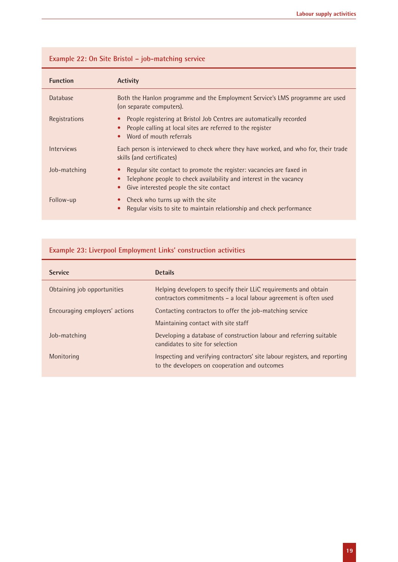| <b>Function</b> | <b>Activity</b>                                                                                                                                                                       |
|-----------------|---------------------------------------------------------------------------------------------------------------------------------------------------------------------------------------|
| <b>Database</b> | Both the Hanlon programme and the Employment Service's LMS programme are used<br>(on separate computers).                                                                             |
| Registrations   | People registering at Bristol Job Centres are automatically recorded<br>People calling at local sites are referred to the register<br>Word of mouth referrals                         |
| Interviews      | Each person is interviewed to check where they have worked, and who for, their trade<br>skills (and certificates)                                                                     |
| Job-matching    | Regular site contact to promote the register: vacancies are faxed in<br>Telephone people to check availability and interest in the vacancy<br>Give interested people the site contact |
| Follow-up       | Check who turns up with the site<br>Regular visits to site to maintain relationship and check performance                                                                             |

# **Example 22: On Site Bristol – job-matching service**

# **Example 23: Liverpool Employment Links' construction activities**

| <b>Service</b>                 | <b>Details</b>                                                                                                                       |
|--------------------------------|--------------------------------------------------------------------------------------------------------------------------------------|
| Obtaining job opportunities    | Helping developers to specify their LLIC requirements and obtain<br>contractors commitments - a local labour agreement is often used |
| Encouraging employers' actions | Contacting contractors to offer the job-matching service                                                                             |
|                                | Maintaining contact with site staff                                                                                                  |
| Job-matching                   | Developing a database of construction labour and referring suitable<br>candidates to site for selection                              |
| Monitoring                     | Inspecting and verifying contractors' site labour registers, and reporting<br>to the developers on cooperation and outcomes          |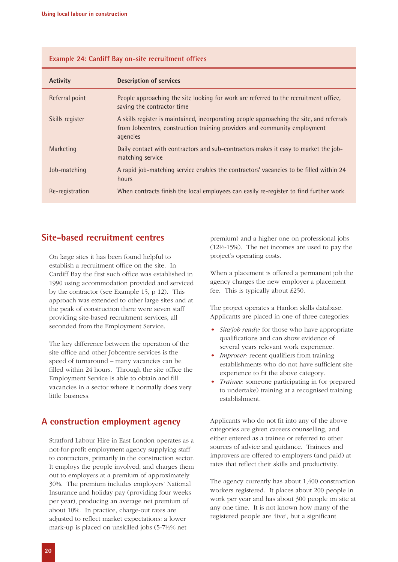| <b>Activity</b> | <b>Description of services</b>                                                                                                                                                     |
|-----------------|------------------------------------------------------------------------------------------------------------------------------------------------------------------------------------|
| Referral point  | People approaching the site looking for work are referred to the recruitment office,<br>saving the contractor time                                                                 |
| Skills register | A skills register is maintained, incorporating people approaching the site, and referrals<br>from Jobcentres, construction training providers and community employment<br>agencies |
| Marketing       | Daily contact with contractors and sub-contractors makes it easy to market the job-<br>matching service                                                                            |
| Job-matching    | A rapid job-matching service enables the contractors' vacancies to be filled within 24<br>hours                                                                                    |
| Re-registration | When contracts finish the local employees can easily re-register to find further work                                                                                              |

#### **Example 24: Cardiff Bay on-site recruitment offices**

#### **Site-based recruitment centres**

On large sites it has been found helpful to establish a recruitment office on the site. In Cardiff Bay the first such office was established in 1990 using accommodation provided and serviced by the contractor (see Example 15, p 12). This approach was extended to other large sites and at the peak of construction there were seven staff providing site-based recruitment services, all seconded from the Employment Service.

The key difference between the operation of the site office and other Jobcentre services is the speed of turnaround – many vacancies can be filled within 24 hours. Through the site office the Employment Service is able to obtain and fill vacancies in a sector where it normally does very little business.

# **A construction employment agency**

Stratford Labour Hire in East London operates as a not-for-profit employment agency supplying staff to contractors, primarily in the construction sector. It employs the people involved, and charges them out to employers at a premium of approximately 30%. The premium includes employers' National Insurance and holiday pay (providing four weeks per year), producing an average net premium of about 10%. In practice, charge-out rates are adjusted to reflect market expectations: a lower mark-up is placed on unskilled jobs (5-7½% net

premium) and a higher one on professional jobs (12½-15%). The net incomes are used to pay the project's operating costs.

When a placement is offered a permanent job the agency charges the new employer a placement fee. This is typically about £250.

The project operates a Hanlon skills database. Applicants are placed in one of three categories:

- *Site/job ready:* for those who have appropriate qualifications and can show evidence of several years relevant work experience.
- *Improver:* recent qualifiers from training establishments who do not have sufficient site experience to fit the above category.
- *Trainee:* someone participating in (or prepared to undertake) training at a recognised training establishment.

Applicants who do not fit into any of the above categories are given careers counselling, and either entered as a trainee or referred to other sources of advice and guidance. Trainees and improvers are offered to employers (and paid) at rates that reflect their skills and productivity.

The agency currently has about 1,400 construction workers registered. It places about 200 people in work per year and has about 300 people on site at any one time. It is not known how many of the registered people are 'live', but a significant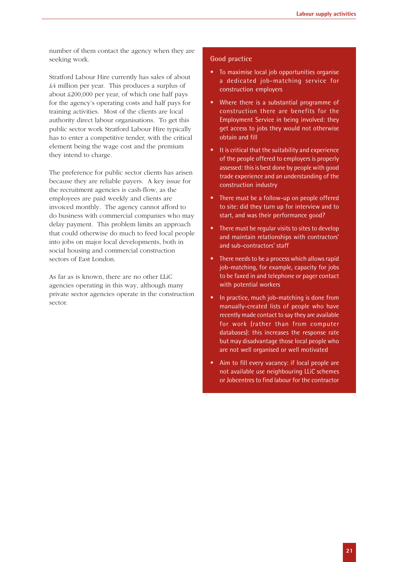number of them contact the agency when they are seeking work.

Stratford Labour Hire currently has sales of about £4 million per year. This produces a surplus of about £200,000 per year, of which one half pays for the agency's operating costs and half pays for training activities. Most of the clients are local authority direct labour organisations. To get this public sector work Stratford Labour Hire typically has to enter a competitive tender, with the critical element being the wage cost and the premium they intend to charge.

The preference for public sector clients has arisen because they are reliable payers. A key issue for the recruitment agencies is cash-flow, as the employees are paid weekly and clients are invoiced monthly. The agency cannot afford to do business with commercial companies who may delay payment. This problem limits an approach that could otherwise do much to feed local people into jobs on major local developments, both in social housing and commercial construction sectors of East London.

As far as is known, there are no other LLiC agencies operating in this way, although many private sector agencies operate in the construction sector.

#### **Good practice**

- To maximise local job opportunities organise a dedicated job-matching service for construction employers
- Where there is a substantial programme of construction there are benefits for the Employment Service in being involved: they get access to jobs they would not otherwise obtain and fill
- It is critical that the suitability and experience of the people offered to employers is properly assessed: this is best done by people with good trade experience and an understanding of the construction industry
- There must be a follow-up on people offered to site: did they turn up for interview and to start, and was their performance good?
- There must be regular visits to sites to develop and maintain relationships with contractors' and sub-contractors' staff
- There needs to be a process which allows rapid job-matching, for example, capacity for jobs to be faxed in and telephone or pager contact with potential workers
- In practice, much job-matching is done from manually-created lists of people who have recently made contact to say they are available for work (rather than from computer databases): this increases the response rate but may disadvantage those local people who are not well organised or well motivated
- Aim to fill every vacancy: if local people are not available use neighbouring LLiC schemes or Jobcentres to find labour for the contractor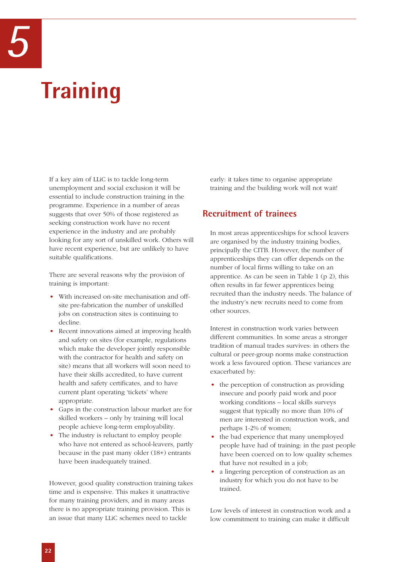# **Training**

If a key aim of LLiC is to tackle long-term unemployment and social exclusion it will be essential to include construction training in the programme. Experience in a number of areas suggests that over 50% of those registered as seeking construction work have no recent experience in the industry and are probably looking for any sort of unskilled work. Others will have recent experience, but are unlikely to have suitable qualifications.

There are several reasons why the provision of training is important:

- With increased on-site mechanisation and offsite pre-fabrication the number of unskilled jobs on construction sites is continuing to decline.
- Recent innovations aimed at improving health and safety on sites (for example, regulations which make the developer jointly responsible with the contractor for health and safety on site) means that all workers will soon need to have their skills accredited, to have current health and safety certificates, and to have current plant operating 'tickets' where appropriate.
- Gaps in the construction labour market are for skilled workers – only by training will local people achieve long-term employability.
- The industry is reluctant to employ people who have not entered as school-leavers, partly because in the past many older (18+) entrants have been inadequately trained.

However, good quality construction training takes time and is expensive. This makes it unattractive for many training providers, and in many areas there is no appropriate training provision. This is an issue that many LLiC schemes need to tackle

early: it takes time to organise appropriate training and the building work will not wait!

# **Recruitment of trainees**

In most areas apprenticeships for school leavers are organised by the industry training bodies, principally the CITB. However, the number of apprenticeships they can offer depends on the number of local firms willing to take on an apprentice. As can be seen in Table 1 (p 2), this often results in far fewer apprentices being recruited than the industry needs. The balance of the industry's new recruits need to come from other sources.

Interest in construction work varies between different communities. In some areas a stronger tradition of manual trades survives: in others the cultural or peer-group norms make construction work a less favoured option. These variances are exacerbated by:

- the perception of construction as providing insecure and poorly paid work and poor working conditions – local skills surveys suggest that typically no more than 10% of men are interested in construction work, and perhaps 1-2% of women;
- the bad experience that many unemployed people have had of training: in the past people have been coerced on to low quality schemes that have not resulted in a job;
- a lingering perception of construction as an industry for which you do not have to be trained.

Low levels of interest in construction work and a low commitment to training can make it difficult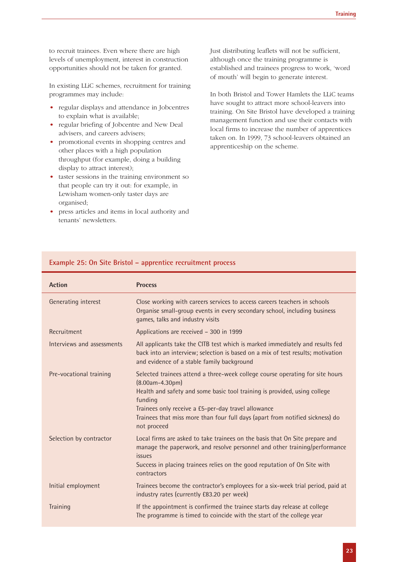to recruit trainees. Even where there are high levels of unemployment, interest in construction opportunities should not be taken for granted.

In existing LLiC schemes, recruitment for training programmes may include:

- regular displays and attendance in Jobcentres to explain what is available;
- regular briefing of Jobcentre and New Deal advisers, and careers advisers;
- promotional events in shopping centres and other places with a high population throughput (for example, doing a building display to attract interest);
- taster sessions in the training environment so that people can try it out: for example, in Lewisham women-only taster days are organised;
- press articles and items in local authority and tenants' newsletters.

Just distributing leaflets will not be sufficient, although once the training programme is established and trainees progress to work, 'word of mouth' will begin to generate interest.

In both Bristol and Tower Hamlets the LLiC teams have sought to attract more school-leavers into training. On Site Bristol have developed a training management function and use their contacts with local firms to increase the number of apprentices taken on. In 1999, 73 school-leavers obtained an apprenticeship on the scheme.

| <b>Action</b>              | <b>Process</b>                                                                                                                                                                                                                                                                                                                                      |
|----------------------------|-----------------------------------------------------------------------------------------------------------------------------------------------------------------------------------------------------------------------------------------------------------------------------------------------------------------------------------------------------|
| Generating interest        | Close working with careers services to access careers teachers in schools<br>Organise small-group events in every secondary school, including business<br>games, talks and industry visits                                                                                                                                                          |
| Recruitment                | Applications are received - 300 in 1999                                                                                                                                                                                                                                                                                                             |
| Interviews and assessments | All applicants take the CITB test which is marked immediately and results fed<br>back into an interview; selection is based on a mix of test results; motivation<br>and evidence of a stable family background                                                                                                                                      |
| Pre-vocational training    | Selected trainees attend a three-week college course operating for site hours<br>$(8.00am - 4.30pm)$<br>Health and safety and some basic tool training is provided, using college<br>funding<br>Trainees only receive a £5-per-day travel allowance<br>Trainees that miss more than four full days (apart from notified sickness) do<br>not proceed |
| Selection by contractor    | Local firms are asked to take trainees on the basis that On Site prepare and<br>manage the paperwork, and resolve personnel and other training/performance<br>issues<br>Success in placing trainees relies on the good reputation of On Site with<br>contractors                                                                                    |
| Initial employment         | Trainees become the contractor's employees for a six-week trial period, paid at<br>industry rates (currently £83.20 per week)                                                                                                                                                                                                                       |
| <b>Training</b>            | If the appointment is confirmed the trainee starts day release at college<br>The programme is timed to coincide with the start of the college year                                                                                                                                                                                                  |

#### **Example 25: On Site Bristol – apprentice recruitment process**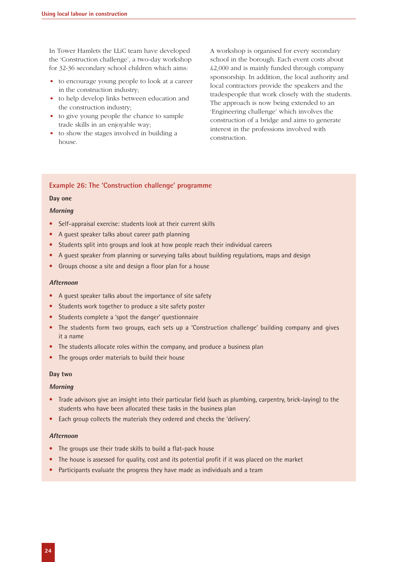In Tower Hamlets the LLiC team have developed the 'Construction challenge', a two-day workshop for 32-36 secondary school children which aims:

- to encourage young people to look at a career in the construction industry;
- to help develop links between education and the construction industry;
- to give young people the chance to sample trade skills in an enjoyable way;
- to show the stages involved in building a house.

A workshop is organised for every secondary school in the borough. Each event costs about £2,000 and is mainly funded through company sponsorship. In addition, the local authority and local contractors provide the speakers and the tradespeople that work closely with the students. The approach is now being extended to an 'Engineering challenge' which involves the construction of a bridge and aims to generate interest in the professions involved with construction.

#### **Example 26: The 'Construction challenge' programme**

#### **Day one**

#### **Morning**

- Self-appraisal exercise: students look at their current skills
- A guest speaker talks about career path planning
- Students split into groups and look at how people reach their individual careers
- A guest speaker from planning or surveying talks about building regulations, maps and design
- Groups choose a site and design a floor plan for a house

#### **Afternoon**

- A guest speaker talks about the importance of site safety
- Students work together to produce a site safety poster
- Students complete a 'spot the danger' questionnaire
- The students form two groups, each sets up a 'Construction challenge' building company and gives it a name
- The students allocate roles within the company, and produce a business plan
- The groups order materials to build their house

#### **Day two**

#### **Morning**

- Trade advisors give an insight into their particular field (such as plumbing, carpentry, brick-laying) to the students who have been allocated these tasks in the business plan
- Each group collects the materials they ordered and checks the 'delivery'.

#### **Afternoon**

- The groups use their trade skills to build a flat-pack house
- The house is assessed for quality, cost and its potential profit if it was placed on the market
- Participants evaluate the progress they have made as individuals and a team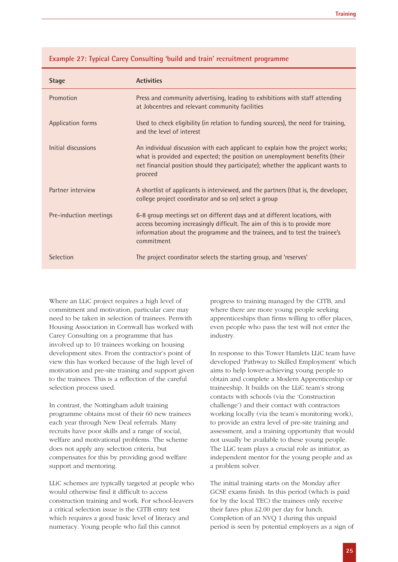| <b>Stage</b>             | <b>Activities</b>                                                                                                                                                                                                                                           |
|--------------------------|-------------------------------------------------------------------------------------------------------------------------------------------------------------------------------------------------------------------------------------------------------------|
| Promotion                | Press and community advertising, leading to exhibitions with staff attending<br>at Jobcentres and relevant community facilities                                                                                                                             |
| <b>Application forms</b> | Used to check eligibility (in relation to funding sources), the need for training,<br>and the level of interest                                                                                                                                             |
| Initial discussions      | An individual discussion with each applicant to explain how the project works;<br>what is provided and expected; the position on unemployment benefits (their<br>net financial position should they participate); whether the applicant wants to<br>proceed |
| Partner interview        | A shortlist of applicants is interviewed, and the partners (that is, the developer,<br>college project coordinator and so on) select a group                                                                                                                |
| Pre-induction meetings   | 6-8 group meetings set on different days and at different locations, with<br>access becoming increasingly difficult. The aim of this is to provide more<br>information about the programme and the trainees, and to test the trainee's<br>commitment        |
| Selection                | The project coordinator selects the starting group, and 'reserves'                                                                                                                                                                                          |

#### **Example 27: Typical Carey Consulting 'build and train' recruitment programme**

Where an LLiC project requires a high level of commitment and motivation, particular care may need to be taken in selection of trainees. Penwith Housing Association in Cornwall has worked with Carey Consulting on a programme that has involved up to 10 trainees working on housing development sites. From the contractor's point of view this has worked because of the high level of motivation and pre-site training and support given to the trainees. This is a reflection of the careful selection process used.

In contrast, the Nottingham adult training programme obtains most of their 60 new trainees each year through New Deal referrals. Many recruits have poor skills and a range of social, welfare and motivational problems. The scheme does not apply any selection criteria, but compensates for this by providing good welfare support and mentoring.

LLiC schemes are typically targeted at people who would otherwise find it difficult to access construction training and work. For school-leavers a critical selection issue is the CITB entry test which requires a good basic level of literacy and numeracy. Young people who fail this cannot

progress to training managed by the CITB, and where there are more young people seeking apprenticeships than firms willing to offer places, even people who pass the test will not enter the industry.

In response to this Tower Hamlets LLiC team have developed 'Pathway to Skilled Employment' which aims to help lower-achieving young people to obtain and complete a Modern Apprenticeship or traineeship. It builds on the LLiC team's strong contacts with schools (via the 'Construction challenge') and their contact with contractors working locally (via the team's monitoring work), to provide an extra level of pre-site training and assessment, and a training opportunity that would not usually be available to these young people. The LLiC team plays a crucial role as initiator, as independent mentor for the young people and as a problem solver.

The initial training starts on the Monday after GCSE exams finish. In this period (which is paid for by the local TEC) the trainees only receive their fares plus £2.00 per day for lunch. Completion of an NVQ 1 during this unpaid period is seen by potential employers as a sign of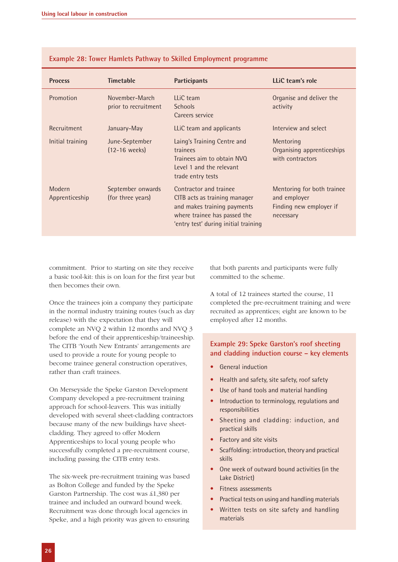| <b>Process</b>           | <b>Timetable</b>                       | <b>Participants</b>                                                                                                                                            | LLiC team's role                                                                   |
|--------------------------|----------------------------------------|----------------------------------------------------------------------------------------------------------------------------------------------------------------|------------------------------------------------------------------------------------|
| Promotion                | November-March<br>prior to recruitment | LLiC team<br><b>Schools</b><br>Careers service                                                                                                                 | Organise and deliver the<br>activity                                               |
| Recruitment              | January-May                            | LLIC team and applicants                                                                                                                                       | Interview and select                                                               |
| Initial training         | June-September<br>$(12-16$ weeks)      | Laing's Training Centre and<br>trainees<br>Trainees aim to obtain NVQ<br>Level 1 and the relevant<br>trade entry tests                                         | Mentoring<br>Organising apprenticeships<br>with contractors                        |
| Modern<br>Apprenticeship | September onwards<br>(for three years) | Contractor and trainee<br>CITB acts as training manager<br>and makes training payments<br>where trainee has passed the<br>'entry test' during initial training | Mentoring for both trainee<br>and employer<br>Finding new employer if<br>necessary |

**Example 28: Tower Hamlets Pathway to Skilled Employment programme**

commitment. Prior to starting on site they receive a basic tool-kit: this is on loan for the first year but then becomes their own.

Once the trainees join a company they participate in the normal industry training routes (such as day release) with the expectation that they will complete an NVQ 2 within 12 months and NVQ 3 before the end of their apprenticeship/traineeship. The CITB 'Youth New Entrants' arrangements are used to provide a route for young people to become trainee general construction operatives, rather than craft trainees.

On Merseyside the Speke Garston Development Company developed a pre-recruitment training approach for school-leavers. This was initially developed with several sheet-cladding contractors because many of the new buildings have sheetcladding. They agreed to offer Modern Apprenticeships to local young people who successfully completed a pre-recruitment course, including passing the CITB entry tests.

The six-week pre-recruitment training was based as Bolton College and funded by the Speke Garston Partnership. The cost was £1,380 per trainee and included an outward bound week. Recruitment was done through local agencies in Speke, and a high priority was given to ensuring

that both parents and participants were fully committed to the scheme.

A total of 12 trainees started the course, 11 completed the pre-recruitment training and were recruited as apprentices; eight are known to be employed after 12 months.

#### **Example 29: Speke Garston's roof sheeting and cladding induction course – key elements**

- General induction
- Health and safety, site safety, roof safety
- Use of hand tools and material handling
- Introduction to terminology, regulations and responsibilities
- Sheeting and cladding: induction, and practical skills
- Factory and site visits
- Scaffolding: introduction, theory and practical skills
- One week of outward bound activities (in the Lake District)
- Fitness assessments
- Practical tests on using and handling materials
- Written tests on site safety and handling materials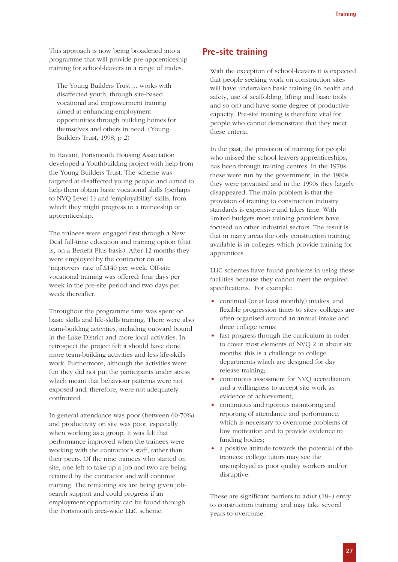This approach is now being broadened into a programme that will provide pre-apprenticeship training for school-leavers in a range of trades.

The Young Builders Trust ... works with disaffected youth, through site-based vocational and empowerment training aimed at enhancing employment opportunities through building homes for themselves and others in need. (Young Builders Trust, 1998, p 2)

In Havant, Portsmouth Housing Association developed a Youthbuilding project with help from the Young Builders Trust. The scheme was targeted at disaffected young people and aimed to help them obtain basic vocational skills (perhaps to NVQ Level 1) and 'employability' skills, from which they might progress to a traineeship or apprenticeship.

The trainees were engaged first through a New Deal full-time education and training option (that is, on a Benefit Plus basis). After 12 months they were employed by the contractor on an 'improvers' rate of £140 per week. Off-site vocational training was offered: four days per week in the pre-site period and two days per week thereafter.

Throughout the programme time was spent on basic skills and life-skills training. There were also team-building activities, including outward bound in the Lake District and more local activities. In retrospect the project felt it should have done more team-building activities and less life-skills work. Furthermore, although the activities were fun they did not put the participants under stress which meant that behaviour patterns were not exposed and, therefore, were not adequately confronted.

In general attendance was poor (between 60-70%) and productivity on site was poor, especially when working as a group. It was felt that performance improved when the trainees were working with the contractor's staff, rather than their peers. Of the nine trainees who started on site, one left to take up a job and two are being retained by the contractor and will continue training. The remaining six are being given jobsearch support and could progress if an employment opportunity can be found through the Portsmouth area-wide LLiC scheme.

# **Pre-site training**

With the exception of school-leavers it is expected that people seeking work on construction sites will have undertaken basic training (in health and safety, use of scaffolding, lifting and basic tools and so on) and have some degree of productive capacity. Pre-site training is therefore vital for people who cannot demonstrate that they meet these criteria.

In the past, the provision of training for people who missed the school-leavers apprenticeships, has been through training centres. In the 1970s these were run by the government, in the 1980s they were privatised and in the 1990s they largely disappeared. The main problem is that the provision of training to construction industry standards is expensive and takes time. With limited budgets most training providers have focused on other industrial sectors. The result is that in many areas the only construction training available is in colleges which provide training for apprentices.

LLiC schemes have found problems in using these facilities because they cannot meet the required specifications. For example:

- continual (or at least monthly) intakes, and flexible progression times to sites: colleges are often organised around an annual intake and three college terms;
- fast progress through the curriculum in order to cover most elements of NVQ 2 in about six months: this is a challenge to college departments which are designed for day release training;
- continuous assessment for NVQ accreditation, and a willingness to accept site work as evidence of achievement;
- continuous and rigorous monitoring and reporting of attendance and performance, which is necessary to overcome problems of low motivation and to provide evidence to funding bodies;
- a positive attitude towards the potential of the trainees: college tutors may see the unemployed as poor quality workers and/or disruptive.

These are significant barriers to adult (18+) entry to construction training, and may take several years to overcome.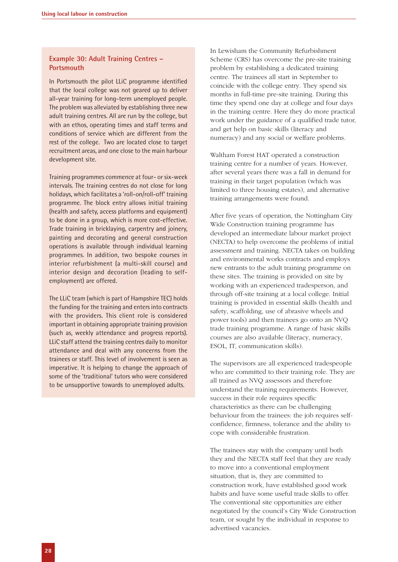#### **Example 30: Adult Training Centres – Portsmouth**

In Portsmouth the pilot LLiC programme identified that the local college was not geared up to deliver all-year training for long-term unemployed people. The problem was alleviated by establishing three new adult training centres. All are run by the college, but with an ethos, operating times and staff terms and conditions of service which are different from the rest of the college. Two are located close to target recruitment areas, and one close to the main harbour development site.

Training programmes commence at four- or six-week intervals. The training centres do not close for long holidays, which facilitates a 'roll-on/roll-off' training programme. The block entry allows initial training (health and safety, access platforms and equipment) to be done in a group, which is more cost-effective. Trade training in bricklaying, carpentry and joinery, painting and decorating and general construction operations is available through individual learning programmes. In addition, two bespoke courses in interior refurbishment (a multi-skill course) and interior design and decoration (leading to selfemployment) are offered.

The LLiC team (which is part of Hampshire TEC) holds the funding for the training and enters into contracts with the providers. This client role is considered important in obtaining appropriate training provision (such as, weekly attendance and progress reports). LLiC staff attend the training centres daily to monitor attendance and deal with any concerns from the trainees or staff. This level of involvement is seen as imperative. It is helping to change the approach of some of the 'traditional' tutors who were considered to be unsupportive towards to unemployed adults.

In Lewisham the Community Refurbishment Scheme (CRS) has overcome the pre-site training problem by establishing a dedicated training centre. The trainees all start in September to coincide with the college entry. They spend six months in full-time pre-site training. During this time they spend one day at college and four days in the training centre. Here they do more practical work under the guidance of a qualified trade tutor, and get help on basic skills (literacy and numeracy) and any social or welfare problems.

Waltham Forest HAT operated a construction training centre for a number of years. However, after several years there was a fall in demand for training in their target population (which was limited to three housing estates), and alternative training arrangements were found.

After five years of operation, the Nottingham City Wide Construction training programme has developed an intermediate labour market project (NECTA) to help overcome the problems of initial assessment and training. NECTA takes on building and environmental works contracts and employs new entrants to the adult training programme on these sites. The training is provided on site by working with an experienced tradesperson, and through off-site training at a local college. Initial training is provided in essential skills (health and safety, scaffolding, use of abrasive wheels and power tools) and then trainees go onto an NVQ trade training programme. A range of basic skills courses are also available (literacy, numeracy, ESOL, IT, communication skills).

The supervisors are all experienced tradespeople who are committed to their training role. They are all trained as NVQ assessors and therefore understand the training requirements. However, success in their role requires specific characteristics as there can be challenging behaviour from the trainees: the job requires selfconfidence, firmness, tolerance and the ability to cope with considerable frustration.

The trainees stay with the company until both they and the NECTA staff feel that they are ready to move into a conventional employment situation, that is, they are committed to construction work, have established good work habits and have some useful trade skills to offer. The conventional site opportunities are either negotiated by the council's City Wide Construction team, or sought by the individual in response to advertised vacancies.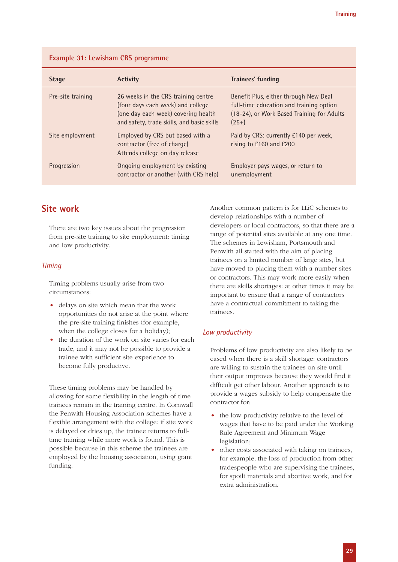| <b>Example 31: Lewisham CRS programme</b> |  |
|-------------------------------------------|--|
|-------------------------------------------|--|

| <b>Stage</b>      | <b>Activity</b>                                                                                                                                               | <b>Trainees' funding</b>                                                                                                                  |
|-------------------|---------------------------------------------------------------------------------------------------------------------------------------------------------------|-------------------------------------------------------------------------------------------------------------------------------------------|
| Pre-site training | 26 weeks in the CRS training centre<br>(four days each week) and college<br>(one day each week) covering health<br>and safety, trade skills, and basic skills | Benefit Plus, either through New Deal<br>full-time education and training option<br>(18-24), or Work Based Training for Adults<br>$(25+)$ |
| Site employment   | Employed by CRS but based with a<br>contractor (free of charge)<br>Attends college on day release                                                             | Paid by CRS: currently £140 per week,<br>rising to £160 and £200                                                                          |
| Progression       | Ongoing employment by existing<br>contractor or another (with CRS help)                                                                                       | Employer pays wages, or return to<br>unemployment                                                                                         |

# **Site work**

There are two key issues about the progression from pre-site training to site employment: timing and low productivity.

#### *Timing*

Timing problems usually arise from two circumstances:

- delays on site which mean that the work opportunities do not arise at the point where the pre-site training finishes (for example, when the college closes for a holiday);
- the duration of the work on site varies for each trade, and it may not be possible to provide a trainee with sufficient site experience to become fully productive.

These timing problems may be handled by allowing for some flexibility in the length of time trainees remain in the training centre. In Cornwall the Penwith Housing Association schemes have a flexible arrangement with the college: if site work is delayed or dries up, the trainee returns to fulltime training while more work is found. This is possible because in this scheme the trainees are employed by the housing association, using grant funding.

Another common pattern is for LLiC schemes to develop relationships with a number of developers or local contractors, so that there are a range of potential sites available at any one time. The schemes in Lewisham, Portsmouth and Penwith all started with the aim of placing trainees on a limited number of large sites, but have moved to placing them with a number sites or contractors. This may work more easily when there are skills shortages: at other times it may be important to ensure that a range of contractors have a contractual commitment to taking the trainees.

### *Low productivity*

Problems of low productivity are also likely to be eased when there is a skill shortage: contractors are willing to sustain the trainees on site until their output improves because they would find it difficult get other labour. Another approach is to provide a wages subsidy to help compensate the contractor for:

- the low productivity relative to the level of wages that have to be paid under the Working Rule Agreement and Minimum Wage legislation;
- other costs associated with taking on trainees, for example, the loss of production from other tradespeople who are supervising the trainees, for spoilt materials and abortive work, and for extra administration.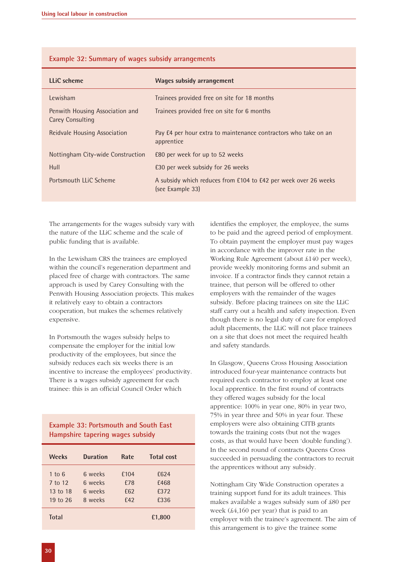| LLiC scheme                                         | <b>Wages subsidy arrangement</b>                                                    |
|-----------------------------------------------------|-------------------------------------------------------------------------------------|
| Lewisham                                            | Trainees provided free on site for 18 months                                        |
| Penwith Housing Association and<br>Carey Consulting | Trainees provided free on site for 6 months                                         |
| Reidvale Housing Association                        | Pay £4 per hour extra to maintenance contractors who take on an<br>apprentice       |
| Nottingham City-wide Construction                   | E80 per week for up to 52 weeks                                                     |
| Hull                                                | £30 per week subsidy for 26 weeks                                                   |
| Portsmouth LLIC Scheme                              | A subsidy which reduces from £104 to £42 per week over 26 weeks<br>(see Example 33) |

#### **Example 32: Summary of wages subsidy arrangements**

The arrangements for the wages subsidy vary with the nature of the LLiC scheme and the scale of public funding that is available.

In the Lewisham CRS the trainees are employed within the council's regeneration department and placed free of charge with contractors. The same approach is used by Carey Consulting with the Penwith Housing Association projects. This makes it relatively easy to obtain a contractors cooperation, but makes the schemes relatively expensive.

In Portsmouth the wages subsidy helps to compensate the employer for the initial low productivity of the employees, but since the subsidy reduces each six weeks there is an incentive to increase the employees' productivity. There is a wages subsidy agreement for each trainee: this is an official Council Order which

#### **Example 33: Portsmouth and South East Hampshire tapering wages subsidy**

| <b>Weeks</b> | <b>Duration</b> | Rate            | <b>Total cost</b> |  |
|--------------|-----------------|-----------------|-------------------|--|
| 1 to 6       | 6 weeks         | £104            | £624              |  |
| 7 to 12      | 6 weeks         | £78             | £468              |  |
| 13 to 18     | 6 weeks         | £62             | £372              |  |
| 19 to 26     | 8 weeks         | f <sub>42</sub> | £336              |  |
| <b>Total</b> |                 |                 | £1,800            |  |

identifies the employer, the employee, the sums to be paid and the agreed period of employment. To obtain payment the employer must pay wages in accordance with the improver rate in the Working Rule Agreement (about £140 per week), provide weekly monitoring forms and submit an invoice. If a contractor finds they cannot retain a trainee, that person will be offered to other employers with the remainder of the wages subsidy. Before placing trainees on site the LLiC staff carry out a health and safety inspection. Even though there is no legal duty of care for employed adult placements, the LLiC will not place trainees on a site that does not meet the required health and safety standards.

In Glasgow, Queens Cross Housing Association introduced four-year maintenance contracts but required each contractor to employ at least one local apprentice. In the first round of contracts they offered wages subsidy for the local apprentice: 100% in year one, 80% in year two, 75% in year three and 50% in year four. These employers were also obtaining CITB grants towards the training costs (but not the wages costs, as that would have been 'double funding'). In the second round of contracts Queens Cross succeeded in persuading the contractors to recruit the apprentices without any subsidy.

Nottingham City Wide Construction operates a training support fund for its adult trainees. This makes available a wages subsidy sum of £80 per week (£4,160 per year) that is paid to an employer with the trainee's agreement. The aim of this arrangement is to give the trainee some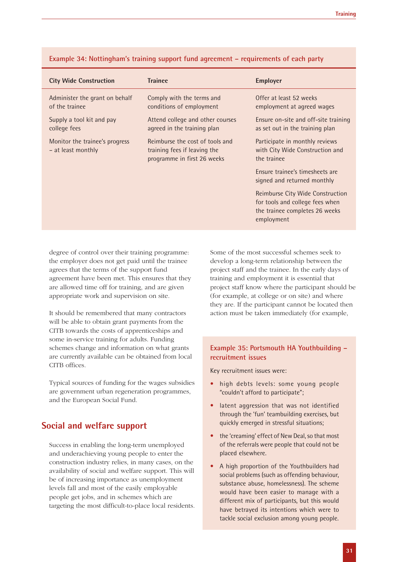| <b>City Wide Construction</b>                        | <b>Trainee</b>                                                                                 | <b>Employer</b>                                                                                                     |
|------------------------------------------------------|------------------------------------------------------------------------------------------------|---------------------------------------------------------------------------------------------------------------------|
| Administer the grant on behalf<br>of the trainee     | Comply with the terms and<br>conditions of employment                                          | Offer at least 52 weeks<br>employment at agreed wages                                                               |
| Supply a tool kit and pay<br>college fees            | Attend college and other courses<br>agreed in the training plan                                | Ensure on-site and off-site training<br>as set out in the training plan                                             |
| Monitor the trainee's progress<br>- at least monthly | Reimburse the cost of tools and<br>training fees if leaving the<br>programme in first 26 weeks | Participate in monthly reviews<br>with City Wide Construction and<br>the trainee                                    |
|                                                      |                                                                                                | Ensure trainee's timesheets are<br>signed and returned monthly                                                      |
|                                                      |                                                                                                | Reimburse City Wide Construction<br>for tools and college fees when<br>the trainee completes 26 weeks<br>employment |

#### **Example 34: Nottingham's training support fund agreement – requirements of each party**

degree of control over their training programme: the employer does not get paid until the trainee agrees that the terms of the support fund agreement have been met. This ensures that they are allowed time off for training, and are given appropriate work and supervision on site.

It should be remembered that many contractors will be able to obtain grant payments from the CITB towards the costs of apprenticeships and some in-service training for adults. Funding schemes change and information on what grants are currently available can be obtained from local CITB offices.

Typical sources of funding for the wages subsidies are government urban regeneration programmes, and the European Social Fund.

### **Social and welfare support**

Success in enabling the long-term unemployed and underachieving young people to enter the construction industry relies, in many cases, on the availability of social and welfare support. This will be of increasing importance as unemployment levels fall and most of the easily employable people get jobs, and in schemes which are targeting the most difficult-to-place local residents. Some of the most successful schemes seek to develop a long-term relationship between the project staff and the trainee. In the early days of training and employment it is essential that project staff know where the participant should be (for example, at college or on site) and where they are. If the participant cannot be located then action must be taken immediately (for example,

#### **Example 35: Portsmouth HA Youthbuilding – recruitment issues**

Key recruitment issues were:

- high debts levels: some young people "couldn't afford to participate";
- latent aggression that was not identified through the 'fun' teambuilding exercises, but quickly emerged in stressful situations;
- the 'creaming' effect of New Deal, so that most of the referrals were people that could not be placed elsewhere.
- A high proportion of the Youthbuilders had social problems (such as offending behaviour, substance abuse, homelessness). The scheme would have been easier to manage with a different mix of participants, but this would have betrayed its intentions which were to tackle social exclusion among young people.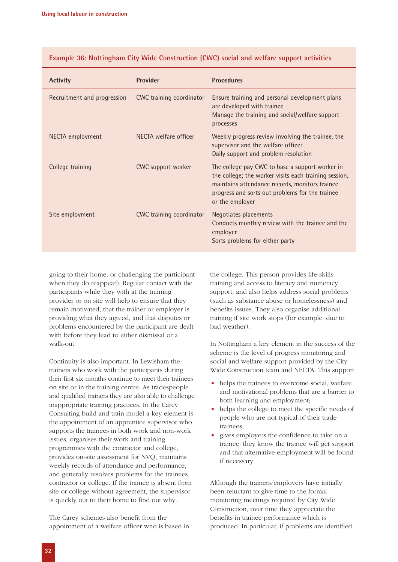| <b>Activity</b>             | <b>Provider</b>          | <b>Procedures</b>                                                                                                                                                                                                                |
|-----------------------------|--------------------------|----------------------------------------------------------------------------------------------------------------------------------------------------------------------------------------------------------------------------------|
| Recruitment and progression | CWC training coordinator | Ensure training and personal development plans<br>are developed with trainee<br>Manage the training and social/welfare support<br>processes                                                                                      |
| NECTA employment            | NECTA welfare officer    | Weekly progress review involving the trainee, the<br>supervisor and the welfare officer<br>Daily support and problem resolution                                                                                                  |
| College training            | CWC support worker       | The college pay CWC to base a support worker in<br>the college; the worker visits each training session,<br>maintains attendance records, monitors trainee<br>progress and sorts out problems for the trainee<br>or the employer |
| Site employment             | CWC training coordinator | Negotiates placements<br>Conducts monthly review with the trainee and the<br>employer<br>Sorts problems for either party                                                                                                         |

#### **Example 36: Nottingham City Wide Construction (CWC) social and welfare support activities**

going to their home, or challenging the participant when they do reappear). Regular contact with the participants while they with at the training provider or on site will help to ensure that they remain motivated, that the trainer or employer is providing what they agreed, and that disputes or problems encountered by the participant are dealt with before they lead to either dismissal or a walk-out.

Continuity is also important. In Lewisham the trainers who work with the participants during their first six months continue to meet their trainees on site or in the training centre. As tradespeople and qualified trainers they are also able to challenge inappropriate training practices. In the Carey Consulting build and train model a key element is the appointment of an apprentice supervisor who supports the trainees in both work and non-work issues, organises their work and training programmes with the contractor and college, provides on-site assessment for NVQ, maintains weekly records of attendance and performance, and generally resolves problems for the trainees, contractor or college. If the trainee is absent from site or college without agreement, the supervisor is quickly out to their home to find out why.

The Carey schemes also benefit from the appointment of a welfare officer who is based in the college. This person provides life-skills training and access to literacy and numeracy support, and also helps address social problems (such as substance abuse or homelessness) and benefits issues. They also organise additional training if site work stops (for example, due to bad weather).

In Nottingham a key element in the success of the scheme is the level of progress monitoring and social and welfare support provided by the City Wide Construction team and NECTA. This support:

- helps the trainees to overcome social, welfare and motivational problems that are a barrier to both learning and employment;
- helps the college to meet the specific needs of people who are not typical of their trade trainees;
- gives employers the confidence to take on a trainee: they know the trainee will get support and that alternative employment will be found if necessary.

Although the trainers/employers have initially been reluctant to give time to the formal monitoring meetings required by City Wide Construction, over time they appreciate the benefits in trainee performance which is produced. In particular, if problems are identified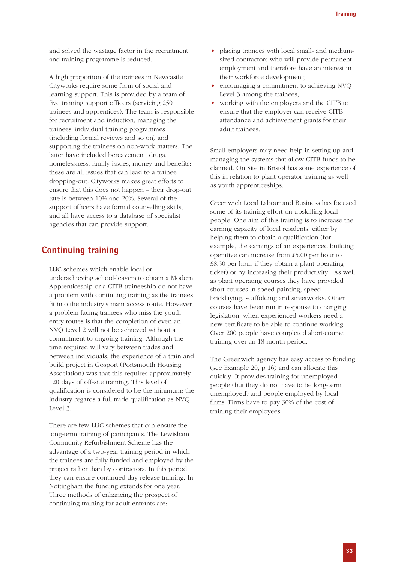and solved the wastage factor in the recruitment and training programme is reduced.

A high proportion of the trainees in Newcastle Cityworks require some form of social and learning support. This is provided by a team of five training support officers (servicing 250 trainees and apprentices). The team is responsible for recruitment and induction, managing the trainees' individual training programmes (including formal reviews and so on) and supporting the trainees on non-work matters. The latter have included bereavement, drugs, homelessness, family issues, money and benefits: these are all issues that can lead to a trainee dropping-out. Cityworks makes great efforts to ensure that this does not happen – their drop-out rate is between 10% and 20%. Several of the support officers have formal counselling skills, and all have access to a database of specialist agencies that can provide support.

# **Continuing training**

LLiC schemes which enable local or underachieving school-leavers to obtain a Modern Apprenticeship or a CITB traineeship do not have a problem with continuing training as the trainees fit into the industry's main access route. However, a problem facing trainees who miss the youth entry routes is that the completion of even an NVQ Level 2 will not be achieved without a commitment to ongoing training. Although the time required will vary between trades and between individuals, the experience of a train and build project in Gosport (Portsmouth Housing Association) was that this requires approximately 120 days of off-site training. This level of qualification is considered to be the minimum: the industry regards a full trade qualification as NVQ Level 3.

There are few LLiC schemes that can ensure the long-term training of participants. The Lewisham Community Refurbishment Scheme has the advantage of a two-year training period in which the trainees are fully funded and employed by the project rather than by contractors. In this period they can ensure continued day release training. In Nottingham the funding extends for one year. Three methods of enhancing the prospect of continuing training for adult entrants are:

- placing trainees with local small- and mediumsized contractors who will provide permanent employment and therefore have an interest in their workforce development;
- encouraging a commitment to achieving NVO Level 3 among the trainees;
- working with the employers and the CITB to ensure that the employer can receive CITB attendance and achievement grants for their adult trainees.

Small employers may need help in setting up and managing the systems that allow CITB funds to be claimed. On Site in Bristol has some experience of this in relation to plant operator training as well as youth apprenticeships.

Greenwich Local Labour and Business has focused some of its training effort on upskilling local people. One aim of this training is to increase the earning capacity of local residents, either by helping them to obtain a qualification (for example, the earnings of an experienced building operative can increase from £5.00 per hour to £8.50 per hour if they obtain a plant operating ticket) or by increasing their productivity. As well as plant operating courses they have provided short courses in speed-painting, speedbricklaying, scaffolding and streetworks. Other courses have been run in response to changing legislation, when experienced workers need a new certificate to be able to continue working. Over 200 people have completed short-course training over an 18-month period.

The Greenwich agency has easy access to funding (see Example 20, p 16) and can allocate this quickly. It provides training for unemployed people (but they do not have to be long-term unemployed) and people employed by local firms. Firms have to pay 30% of the cost of training their employees.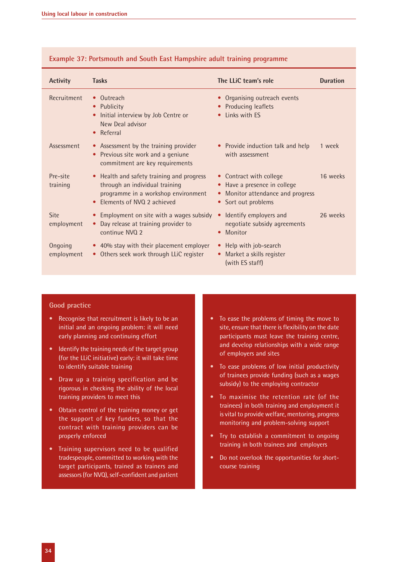| <b>Activity</b>       | <b>Tasks</b>                                                                                                                                     | The LLiC team's role                                                                                                       | <b>Duration</b> |
|-----------------------|--------------------------------------------------------------------------------------------------------------------------------------------------|----------------------------------------------------------------------------------------------------------------------------|-----------------|
| Recruitment           | • Outreach<br>Publicity<br>$\bullet$<br>Initial interview by Job Centre or<br>$\bullet$<br>New Deal advisor<br>Referral                          | • Organising outreach events<br>• Producing leaflets<br>Links with ES                                                      |                 |
| Assessment            | • Assessment by the training provider<br>Previous site work and a geniune<br>$\bullet$<br>commitment are key requirements                        | • Provide induction talk and help<br>with assessment                                                                       | 1 week          |
| Pre-site<br>training  | • Health and safety training and progress<br>through an individual training<br>programme in a workshop environment<br>Flements of NVO 2 achieved | • Contract with college<br>Have a presence in college<br>$\bullet$<br>Monitor attendance and progress<br>Sort out problems | 16 weeks        |
| Site<br>employment    | Employment on site with a wages subsidy<br>Day release at training provider to<br>continue NVQ 2                                                 | Identify employers and<br>$\bullet$<br>negotiate subsidy agreements<br>Monitor<br>$\bullet$                                | 26 weeks        |
| Ongoing<br>employment | • 40% stay with their placement employer<br>• Others seek work through LLiC register                                                             | • Help with job-search<br>Market a skills register<br>(with ES staff)                                                      |                 |

#### **Example 37: Portsmouth and South East Hampshire adult training programme**

#### **Good practice**

- Recognise that recruitment is likely to be an initial and an ongoing problem: it will need early planning and continuing effort
- Identify the training needs of the target group (for the LLiC initiative) early: it will take time to identify suitable training
- Draw up a training specification and be rigorous in checking the ability of the local training providers to meet this
- Obtain control of the training money or get the support of key funders, so that the contract with training providers can be properly enforced
- Training supervisors need to be qualified tradespeople, committed to working with the target participants, trained as trainers and assessors (for NVQ), self-confident and patient
- To ease the problems of timing the move to site, ensure that there is flexibility on the date participants must leave the training centre, and develop relationships with a wide range of employers and sites
- To ease problems of low initial productivity of trainees provide funding (such as a wages subsidy) to the employing contractor
- To maximise the retention rate (of the trainees) in both training and employment it is vital to provide welfare, mentoring, progress monitoring and problem-solving support
- Try to establish a commitment to ongoing training in both trainees and employers
- Do not overlook the opportunities for shortcourse training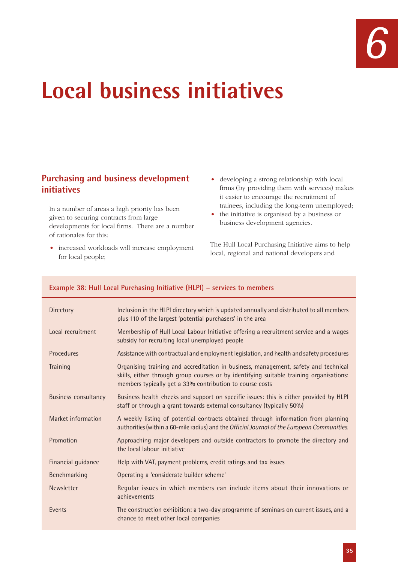# **Local business initiatives**

# **Purchasing and business development initiatives**

In a number of areas a high priority has been given to securing contracts from large developments for local firms. There are a number of rationales for this:

- increased workloads will increase employment for local people;
- developing a strong relationship with local firms (by providing them with services) makes it easier to encourage the recruitment of trainees, including the long-term unemployed;
- the initiative is organised by a business or business development agencies.

The Hull Local Purchasing Initiative aims to help local, regional and national developers and

#### **Example 38: Hull Local Purchasing Initiative (HLPI) – services to members**

| Directory                   | Inclusion in the HLPI directory which is updated annually and distributed to all members<br>plus 110 of the largest 'potential purchasers' in the area                                                                                     |
|-----------------------------|--------------------------------------------------------------------------------------------------------------------------------------------------------------------------------------------------------------------------------------------|
| Local recruitment           | Membership of Hull Local Labour Initiative offering a recruitment service and a wages<br>subsidy for recruiting local unemployed people                                                                                                    |
| Procedures                  | Assistance with contractual and employment legislation, and health and safety procedures                                                                                                                                                   |
| Training                    | Organising training and accreditation in business, management, safety and technical<br>skills, either through group courses or by identifying suitable training organisations:<br>members typically get a 33% contribution to course costs |
| <b>Business consultancy</b> | Business health checks and support on specific issues: this is either provided by HLPI<br>staff or through a grant towards external consultancy (typically 50%)                                                                            |
| Market information          | A weekly listing of potential contracts obtained through information from planning<br>authorities (within a 60-mile radius) and the Official Journal of the European Communities.                                                          |
| Promotion                   | Approaching major developers and outside contractors to promote the directory and<br>the local labour initiative                                                                                                                           |
| Financial guidance          | Help with VAT, payment problems, credit ratings and tax issues                                                                                                                                                                             |
| Benchmarking                | Operating a 'considerate builder scheme'                                                                                                                                                                                                   |
| Newsletter                  | Regular issues in which members can include items about their innovations or<br>achievements                                                                                                                                               |
| Events                      | The construction exhibition: a two-day programme of seminars on current issues, and a<br>chance to meet other local companies                                                                                                              |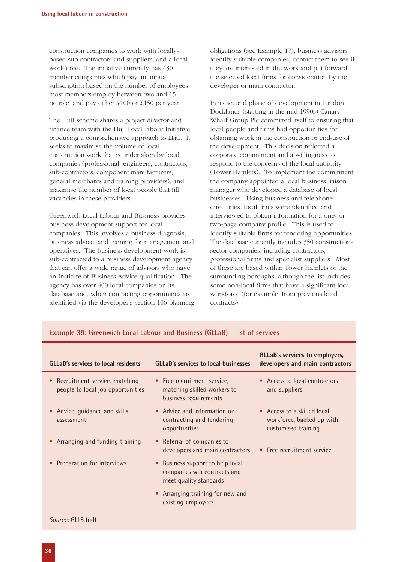construction companies to work with locallybased sub-contractors and suppliers, and a local workforce. The initiative currently has 430 member companies which pay an annual subscription based on the number of employees: most members employ between two and 15 people, and pay either £100 or £150 per year.

The Hull scheme shares a project director and finance team with the Hull Local labour Initiative, producing a comprehensive approach to LLiC. It seeks to maximise the volume of local construction work that is undertaken by local companies (professional, engineers, contractors, sub-contractors, component manufacturers, general merchants and training providers), and maximise the number of local people that fill vacancies in these providers.

Greenwich Local Labour and Business provides business development support for local companies. This involves a business diagnosis, business advice, and training for management and operatives. The business development work is sub-contracted to a business development agency that can offer a wide range of advisors who have an Institute of Business Advice qualification. The agency has over 400 local companies on its database and, when contracting opportunities are identified via the developer's section 106 planning obligations (see Example 17), business advisors identify suitable companies, contact them to see if they are interested in the work and put forward the selected local firms for consideration by the developer or main contractor.

In its second phase of development in London Docklands (starting in the mid-1990s) Canary Wharf Group Plc committed itself to ensuring that local people and firms had opportunities for obtaining work in the construction or end-use of the development. This decision reflected a corporate commitment and a willingness to respond to the concerns of the local authority (Tower Hamlets). To implement the commitment the company appointed a local business liaison manager who developed a database of local businesses. Using business and telephone directories, local firms were identified and interviewed to obtain information for a one- or two-page company profile. This is used to identify suitable firms for tendering opportunities. The database currently includes 350 constructionsector companies, including contractors, professional firms and specialist suppliers. Most of these are based within Tower Hamlets or the surrounding boroughs, although the list includes some non-local firms that have a significant local workforce (for example, from previous local contracts).

| <b>GLLaB's services to local residents</b>                           | <b>GLLaB's services to local businesses</b>                                               | <b>GLLaB's services to employers,</b><br>developers and main contractors        |
|----------------------------------------------------------------------|-------------------------------------------------------------------------------------------|---------------------------------------------------------------------------------|
| • Recruitment service: matching<br>people to local job opportunities | • Free recruitment service,<br>matching skilled workers to<br>business requirements       | • Access to local contractors<br>and suppliers                                  |
| • Advice, guidance and skills<br>assessment                          | • Advice and information on<br>contracting and tendering<br>opportunities                 | • Access to a skilled local<br>workforce, backed up with<br>customised training |
| • Arranging and funding training                                     | • Referral of companies to<br>developers and main contractors                             | • Free recruitment service                                                      |
| Preparation for interviews                                           | • Business support to help local<br>companies win contracts and<br>meet quality standards |                                                                                 |
|                                                                      | • Arranging training for new and<br>existing employees                                    |                                                                                 |
| Source: GLLB (nd)                                                    |                                                                                           |                                                                                 |

#### **Example 39: Greenwich Local Labour and Business (GLLaB) – list of services**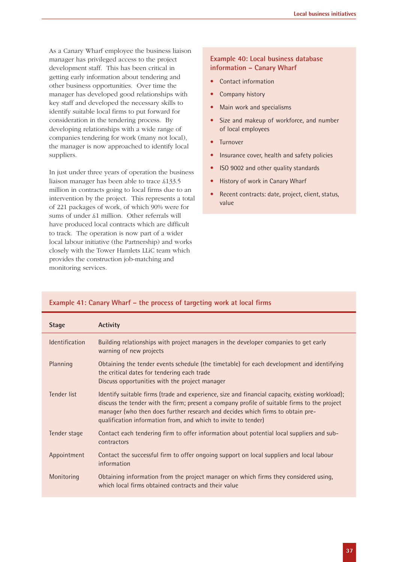As a Canary Wharf employee the business liaison manager has privileged access to the project development staff. This has been critical in getting early information about tendering and other business opportunities. Over time the manager has developed good relationships with key staff and developed the necessary skills to identify suitable local firms to put forward for consideration in the tendering process. By developing relationships with a wide range of companies tendering for work (many not local), the manager is now approached to identify local suppliers.

In just under three years of operation the business liaison manager has been able to trace £133.5 million in contracts going to local firms due to an intervention by the project. This represents a total of 221 packages of work, of which 90% were for sums of under £1 million. Other referrals will have produced local contracts which are difficult to track. The operation is now part of a wider local labour initiative (the Partnership) and works closely with the Tower Hamlets LLiC team which provides the construction job-matching and monitoring services.

#### **Example 40: Local business database information – Canary Wharf**

- Contact information
- Company history
- Main work and specialisms
- Size and makeup of workforce, and number of local employees
- **Turnover**
- Insurance cover, health and safety policies
- ISO 9002 and other quality standards
- History of work in Canary Wharf
- Recent contracts: date, project, client, status, value

| <b>Stage</b>                        | <b>Activity</b>                                                                                                                                                                                                                                                                                                                                     |
|-------------------------------------|-----------------------------------------------------------------------------------------------------------------------------------------------------------------------------------------------------------------------------------------------------------------------------------------------------------------------------------------------------|
| <i><u><b>Identification</b></u></i> | Building relationships with project managers in the developer companies to get early<br>warning of new projects                                                                                                                                                                                                                                     |
| Planning                            | Obtaining the tender events schedule (the timetable) for each development and identifying<br>the critical dates for tendering each trade<br>Discuss opportunities with the project manager                                                                                                                                                          |
| Tender list                         | Identify suitable firms (trade and experience, size and financial capacity, existing workload);<br>discuss the tender with the firm; present a company profile of suitable firms to the project<br>manager (who then does further research and decides which firms to obtain pre-<br>qualification information from, and which to invite to tender) |
| Tender stage                        | Contact each tendering firm to offer information about potential local suppliers and sub-<br>contractors                                                                                                                                                                                                                                            |
| Appointment                         | Contact the successful firm to offer ongoing support on local suppliers and local labour<br>information                                                                                                                                                                                                                                             |
| Monitoring                          | Obtaining information from the project manager on which firms they considered using,<br>which local firms obtained contracts and their value                                                                                                                                                                                                        |

#### **Example 41: Canary Wharf – the process of targeting work at local firms**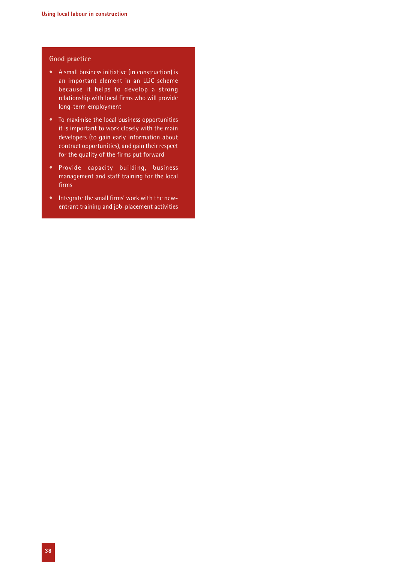#### **Good practice**

- A small business initiative (in construction) is an important element in an LLiC scheme because it helps to develop a strong relationship with local firms who will provide long-term employment
- To maximise the local business opportunities it is important to work closely with the main developers (to gain early information about contract opportunities), and gain their respect for the quality of the firms put forward
- Provide capacity building, business management and staff training for the local firms
- Integrate the small firms' work with the newentrant training and job-placement activities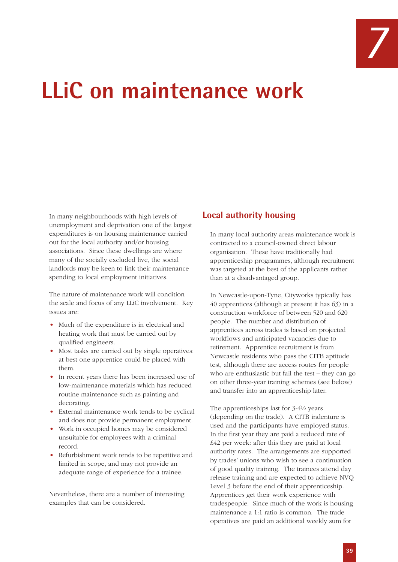# *7*

# **LLiC on maintenance work**

In many neighbourhoods with high levels of unemployment and deprivation one of the largest expenditures is on housing maintenance carried out for the local authority and/or housing associations. Since these dwellings are where many of the socially excluded live, the social landlords may be keen to link their maintenance spending to local employment initiatives.

The nature of maintenance work will condition the scale and focus of any LLiC involvement. Key issues are:

- Much of the expenditure is in electrical and heating work that must be carried out by qualified engineers.
- Most tasks are carried out by single operatives: at best one apprentice could be placed with them.
- In recent years there has been increased use of low-maintenance materials which has reduced routine maintenance such as painting and decorating.
- External maintenance work tends to be cyclical and does not provide permanent employment.
- Work in occupied homes may be considered unsuitable for employees with a criminal record.
- Refurbishment work tends to be repetitive and limited in scope, and may not provide an adequate range of experience for a trainee.

Nevertheless, there are a number of interesting examples that can be considered.

# **Local authority housing**

In many local authority areas maintenance work is contracted to a council-owned direct labour organisation. These have traditionally had apprenticeship programmes, although recruitment was targeted at the best of the applicants rather than at a disadvantaged group.

In Newcastle-upon-Tyne, Cityworks typically has 40 apprentices (although at present it has 63) in a construction workforce of between 520 and 620 people. The number and distribution of apprentices across trades is based on projected workflows and anticipated vacancies due to retirement. Apprentice recruitment is from Newcastle residents who pass the CITB aptitude test, although there are access routes for people who are enthusiastic but fail the test – they can go on other three-year training schemes (see below) and transfer into an apprenticeship later.

The apprenticeships last for 3-4½ years (depending on the trade). A CITB indenture is used and the participants have employed status. In the first year they are paid a reduced rate of £42 per week: after this they are paid at local authority rates. The arrangements are supported by trades' unions who wish to see a continuation of good quality training. The trainees attend day release training and are expected to achieve NVQ Level 3 before the end of their apprenticeship. Apprentices get their work experience with tradespeople. Since much of the work is housing maintenance a 1:1 ratio is common. The trade operatives are paid an additional weekly sum for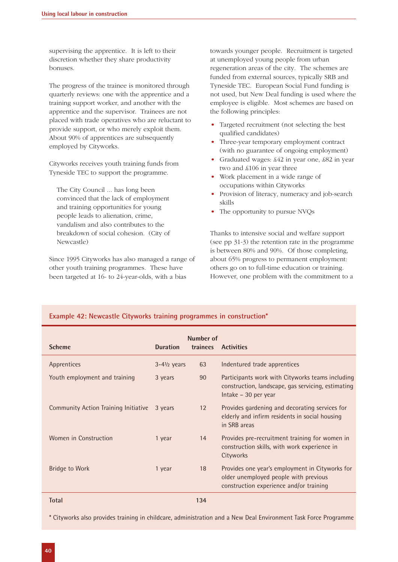supervising the apprentice. It is left to their discretion whether they share productivity bonuses.

The progress of the trainee is monitored through quarterly reviews: one with the apprentice and a training support worker, and another with the apprentice and the supervisor. Trainees are not placed with trade operatives who are reluctant to provide support, or who merely exploit them. About 90% of apprentices are subsequently employed by Cityworks.

Cityworks receives youth training funds from Tyneside TEC to support the programme.

The City Council ... has long been convinced that the lack of employment and training opportunities for young people leads to alienation, crime, vandalism and also contributes to the breakdown of social cohesion. (City of Newcastle)

Since 1995 Cityworks has also managed a range of other youth training programmes. These have been targeted at 16- to 24-year-olds, with a bias

**Example 42: Newcastle Cityworks training programmes in construction\***

towards younger people. Recruitment is targeted at unemployed young people from urban regeneration areas of the city. The schemes are funded from external sources, typically SRB and Tyneside TEC. European Social Fund funding is not used, but New Deal funding is used where the employee is eligible. Most schemes are based on the following principles:

- Targeted recruitment (not selecting the best qualified candidates)
- Three-year temporary employment contract (with no guarantee of ongoing employment)
- Graduated wages: £42 in year one, £82 in year two and £106 in year three
- Work placement in a wide range of occupations within Cityworks
- Provision of literacy, numeracy and job-search skills
- The opportunity to pursue NVQs

Thanks to intensive social and welfare support (see pp 31-3) the retention rate in the programme is between 80% and 90%. Of those completing, about 65% progress to permanent employment: others go on to full-time education or training. However, one problem with the commitment to a

# **Number of Scheme Duration trainees Activities** Apprentices **3-4½ years** 63 Indentured trade apprentices Youth employment and training 3 years 90 Participants work with Cityworks teams including construction, landscape, gas servicing, estimating Intake – 30 per year Community Action Training Initiative 3 years 12 Provides gardening and decorating services for elderly and infirm residents in social housing in SRB areas Women in Construction 1 year 14 Provides pre-recruitment training for women in construction skills, with work experience in **Cityworks** Bridge to Work 1 year 18 Provides one year's employment in Cityworks for older unemployed people with previous construction experience and/or training **Total 134**

\* Cityworks also provides training in childcare, administration and a New Deal Environment Task Force Programme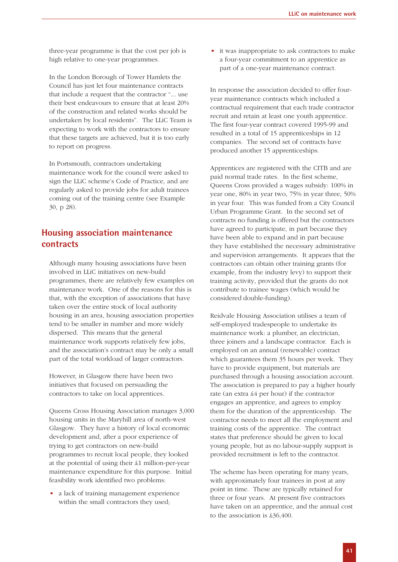three-year programme is that the cost per job is high relative to one-year programmes.

In the London Borough of Tower Hamlets the Council has just let four maintenance contracts that include a request that the contractor "... use their best endeavours to ensure that at least 20% of the construction and related works should be undertaken by local residents". The LLiC Team is expecting to work with the contractors to ensure that these targets are achieved, but it is too early to report on progress.

In Portsmouth, contractors undertaking maintenance work for the council were asked to sign the LLiC scheme's Code of Practice, and are regularly asked to provide jobs for adult trainees coming out of the training centre (see Example 30, p 28).

# **Housing association maintenance contracts**

Although many housing associations have been involved in LLiC initiatives on new-build programmes, there are relatively few examples on maintenance work. One of the reasons for this is that, with the exception of associations that have taken over the entire stock of local authority housing in an area, housing association properties tend to be smaller in number and more widely dispersed. This means that the general maintenance work supports relatively few jobs, and the association's contract may be only a small part of the total workload of larger contractors.

However, in Glasgow there have been two initiatives that focused on persuading the contractors to take on local apprentices.

Queens Cross Housing Association manages 3,000 housing units in the Maryhill area of north-west Glasgow. They have a history of local economic development and, after a poor experience of trying to get contractors on new-build programmes to recruit local people, they looked at the potential of using their £1 million-per-year maintenance expenditure for this purpose. Initial feasibility work identified two problems:

• a lack of training management experience within the small contractors they used;

• it was inappropriate to ask contractors to make a four-year commitment to an apprentice as part of a one-year maintenance contract.

In response the association decided to offer fouryear maintenance contracts which included a contractual requirement that each trade contractor recruit and retain at least one youth apprentice. The first four-year contract covered 1995-99 and resulted in a total of 15 apprenticeships in 12 companies. The second set of contracts have produced another 15 apprenticeships.

Apprentices are registered with the CITB and are paid normal trade rates. In the first scheme, Queens Cross provided a wages subsidy: 100% in year one, 80% in year two, 75% in year three, 50% in year four. This was funded from a City Council Urban Programme Grant. In the second set of contracts no funding is offered but the contractors have agreed to participate, in part because they have been able to expand and in part because they have established the necessary administrative and supervision arrangements. It appears that the contractors can obtain other training grants (for example, from the industry levy) to support their training activity, provided that the grants do not contribute to trainee wages (which would be considered double-funding).

Reidvale Housing Association utilises a team of self-employed tradespeople to undertake its maintenance work: a plumber, an electrician, three joiners and a landscape contractor. Each is employed on an annual (renewable) contract which guarantees them 35 hours per week. They have to provide equipment, but materials are purchased through a housing association account. The association is prepared to pay a higher hourly rate (an extra £4 per hour) if the contractor engages an apprentice, and agrees to employ them for the duration of the apprenticeship. The contractor needs to meet all the employment and training costs of the apprentice. The contract states that preference should be given to local young people, but as no labour-supply support is provided recruitment is left to the contractor.

The scheme has been operating for many years, with approximately four trainees in post at any point in time. These are typically retained for three or four years. At present five contractors have taken on an apprentice, and the annual cost to the association is £36,400.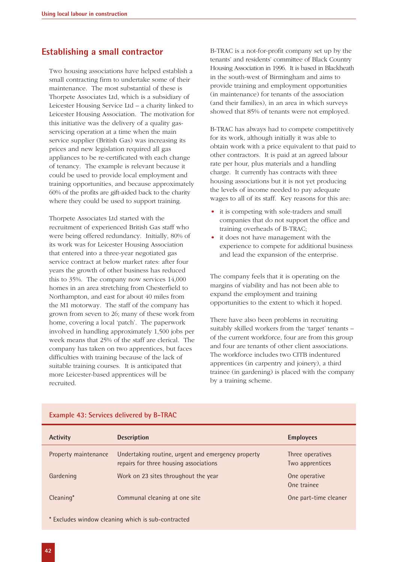# **Establishing a small contractor**

Two housing associations have helped establish a small contracting firm to undertake some of their maintenance. The most substantial of these is Thorpete Associates Ltd, which is a subsidiary of Leicester Housing Service Ltd – a charity linked to Leicester Housing Association. The motivation for this initiative was the delivery of a quality gasservicing operation at a time when the main service supplier (British Gas) was increasing its prices and new legislation required all gas appliances to be re-certificated with each change of tenancy. The example is relevant because it could be used to provide local employment and training opportunities, and because approximately 60% of the profits are gift-aided back to the charity where they could be used to support training.

Thorpete Associates Ltd started with the recruitment of experienced British Gas staff who were being offered redundancy. Initially, 80% of its work was for Leicester Housing Association that entered into a three-year negotiated gas service contract at below market rates: after four years the growth of other business has reduced this to 35%. The company now services 14,000 homes in an area stretching from Chesterfield to Northampton, and east for about 40 miles from the M1 motorway. The staff of the company has grown from seven to 26; many of these work from home, covering a local 'patch'. The paperwork involved in handling approximately 1,500 jobs per week means that 25% of the staff are clerical. The company has taken on two apprentices, but faces difficulties with training because of the lack of suitable training courses. It is anticipated that more Leicester-based apprentices will be recruited.

B-TRAC is a not-for-profit company set up by the tenants' and residents' committee of Black Country Housing Association in 1996. It is based in Blackheath in the south-west of Birmingham and aims to provide training and employment opportunities (in maintenance) for tenants of the association (and their families), in an area in which surveys showed that 85% of tenants were not employed.

B-TRAC has always had to compete competitively for its work, although initially it was able to obtain work with a price equivalent to that paid to other contractors. It is paid at an agreed labour rate per hour, plus materials and a handling charge. It currently has contracts with three housing associations but it is not yet producing the levels of income needed to pay adequate wages to all of its staff. Key reasons for this are:

- it is competing with sole-traders and small companies that do not support the office and training overheads of B-TRAC;
- it does not have management with the experience to compete for additional business and lead the expansion of the enterprise.

The company feels that it is operating on the margins of viability and has not been able to expand the employment and training opportunities to the extent to which it hoped.

There have also been problems in recruiting suitably skilled workers from the 'target' tenants – of the current workforce, four are from this group and four are tenants of other client associations. The workforce includes two CITB indentured apprentices (in carpentry and joinery), a third trainee (in gardening) is placed with the company by a training scheme.

| <b>Activity</b>      | <b>Description</b>                                                                           | <b>Employees</b>                    |
|----------------------|----------------------------------------------------------------------------------------------|-------------------------------------|
| Property maintenance | Undertaking routine, urgent and emergency property<br>repairs for three housing associations | Three operatives<br>Two apprentices |
| Gardening            | Work on 23 sites throughout the year                                                         | One operative<br>One trainee        |
| Cleaning*            | Communal cleaning at one site                                                                | One part-time cleaner               |

#### **Example 43: Services delivered by B-TRAC**

\* Excludes window cleaning which is sub-contracted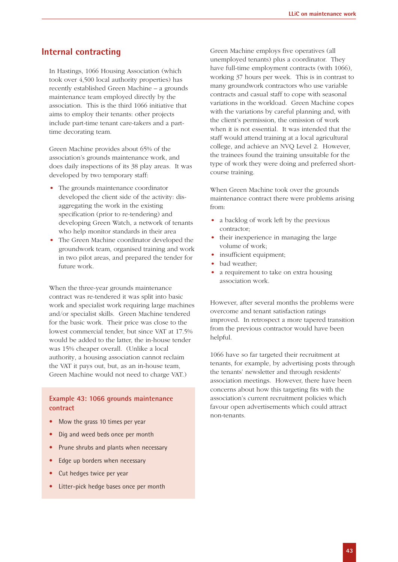#### **Internal contracting**

In Hastings, 1066 Housing Association (which took over 4,500 local authority properties) has recently established Green Machine – a grounds maintenance team employed directly by the association. This is the third 1066 initiative that aims to employ their tenants: other projects include part-time tenant care-takers and a parttime decorating team.

Green Machine provides about 65% of the association's grounds maintenance work, and does daily inspections of its 38 play areas. It was developed by two temporary staff:

- The grounds maintenance coordinator developed the client side of the activity: disaggregating the work in the existing specification (prior to re-tendering) and developing Green Watch, a network of tenants who help monitor standards in their area
- The Green Machine coordinator developed the groundwork team, organised training and work in two pilot areas, and prepared the tender for future work.

When the three-year grounds maintenance contract was re-tendered it was split into basic work and specialist work requiring large machines and/or specialist skills. Green Machine tendered for the basic work. Their price was close to the lowest commercial tender, but since VAT at 17.5% would be added to the latter, the in-house tender was 15% cheaper overall. (Unlike a local authority, a housing association cannot reclaim the VAT it pays out, but, as an in-house team, Green Machine would not need to charge VAT.)

#### **Example 43: 1066 grounds maintenance contract**

- Mow the grass 10 times per year
- Dig and weed beds once per month
- Prune shrubs and plants when necessary
- Edge up borders when necessary
- Cut hedges twice per year
- Litter-pick hedge bases once per month

Green Machine employs five operatives (all unemployed tenants) plus a coordinator. They have full-time employment contracts (with 1066), working 37 hours per week. This is in contrast to many groundwork contractors who use variable contracts and casual staff to cope with seasonal variations in the workload. Green Machine copes with the variations by careful planning and, with the client's permission, the omission of work when it is not essential. It was intended that the staff would attend training at a local agricultural college, and achieve an NVQ Level 2. However, the trainees found the training unsuitable for the type of work they were doing and preferred shortcourse training.

When Green Machine took over the grounds maintenance contract there were problems arising from:

- a backlog of work left by the previous contractor;
- their inexperience in managing the large volume of work;
- insufficient equipment;
- bad weather;
- a requirement to take on extra housing association work.

However, after several months the problems were overcome and tenant satisfaction ratings improved. In retrospect a more tapered transition from the previous contractor would have been helpful.

1066 have so far targeted their recruitment at tenants, for example, by advertising posts through the tenants' newsletter and through residents' association meetings. However, there have been concerns about how this targeting fits with the association's current recruitment policies which favour open advertisements which could attract non-tenants.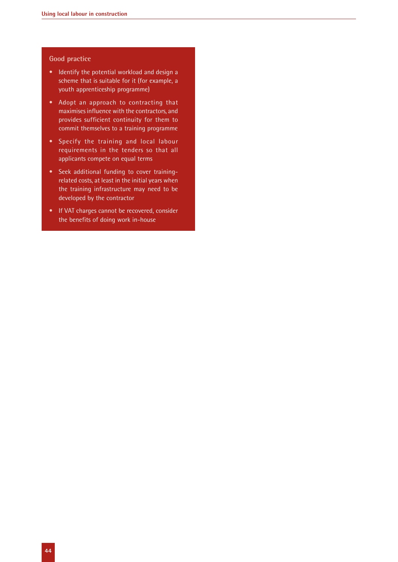#### **Good practice**

- Identify the potential workload and design a scheme that is suitable for it (for example, a youth apprenticeship programme)
- Adopt an approach to contracting that maximises influence with the contractors, and provides sufficient continuity for them to commit themselves to a training programme
- Specify the training and local labour requirements in the tenders so that all applicants compete on equal terms
- Seek additional funding to cover trainingrelated costs, at least in the initial years when the training infrastructure may need to be developed by the contractor
- If VAT charges cannot be recovered, consider the benefits of doing work in-house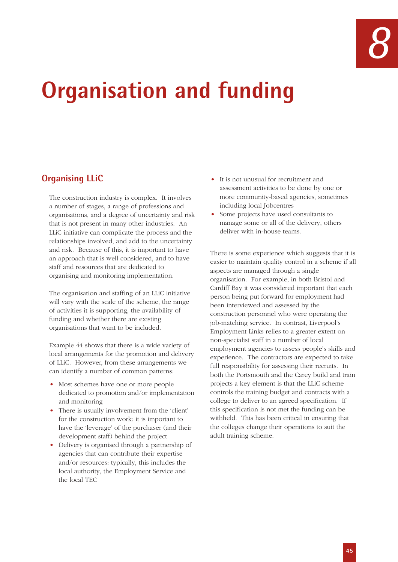

# **Organisation and funding**

# **Organising LLiC**

The construction industry is complex. It involves a number of stages, a range of professions and organisations, and a degree of uncertainty and risk that is not present in many other industries. An LLiC initiative can complicate the process and the relationships involved, and add to the uncertainty and risk. Because of this, it is important to have an approach that is well considered, and to have staff and resources that are dedicated to organising and monitoring implementation.

The organisation and staffing of an LLiC initiative will vary with the scale of the scheme, the range of activities it is supporting, the availability of funding and whether there are existing organisations that want to be included.

Example 44 shows that there is a wide variety of local arrangements for the promotion and delivery of LLiC. However, from these arrangements we can identify a number of common patterns:

- Most schemes have one or more people dedicated to promotion and/or implementation and monitoring
- There is usually involvement from the 'client' for the construction work: it is important to have the 'leverage' of the purchaser (and their development staff) behind the project
- Delivery is organised through a partnership of agencies that can contribute their expertise and/or resources: typically, this includes the local authority, the Employment Service and the local TEC
- It is not unusual for recruitment and assessment activities to be done by one or more community-based agencies, sometimes including local Jobcentres
- Some projects have used consultants to manage some or all of the delivery, others deliver with in-house teams.

There is some experience which suggests that it is easier to maintain quality control in a scheme if all aspects are managed through a single organisation. For example, in both Bristol and Cardiff Bay it was considered important that each person being put forward for employment had been interviewed and assessed by the construction personnel who were operating the job-matching service. In contrast, Liverpool's Employment Links relies to a greater extent on non-specialist staff in a number of local employment agencies to assess people's skills and experience. The contractors are expected to take full responsibility for assessing their recruits. In both the Portsmouth and the Carey build and train projects a key element is that the LLiC scheme controls the training budget and contracts with a college to deliver to an agreed specification. If this specification is not met the funding can be withheld. This has been critical in ensuring that the colleges change their operations to suit the adult training scheme.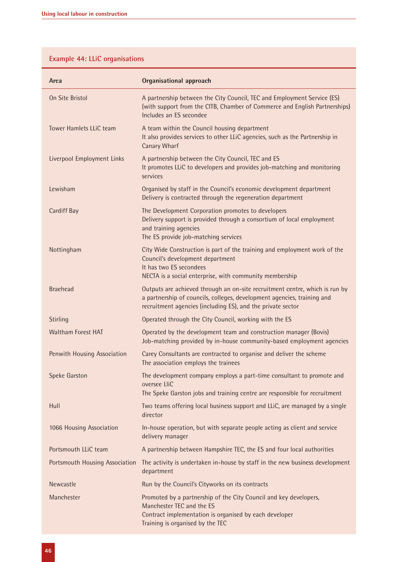# **Example 44: LLiC organisations**

| Area                           | <b>Organisational approach</b>                                                                                                                                                                                        |
|--------------------------------|-----------------------------------------------------------------------------------------------------------------------------------------------------------------------------------------------------------------------|
| On Site Bristol                | A partnership between the City Council, TEC and Employment Service (ES)<br>(with support from the CITB, Chamber of Commerce and English Partnerships)<br>Includes an ES secondee                                      |
| Tower Hamlets LLiC team        | A team within the Council housing department<br>It also provides services to other LLiC agencies, such as the Partnership in<br><b>Canary Wharf</b>                                                                   |
| Liverpool Employment Links     | A partnership between the City Council, TEC and ES<br>It promotes LLiC to developers and provides job-matching and monitoring<br>services                                                                             |
| Lewisham                       | Organised by staff in the Council's economic development department<br>Delivery is contracted through the regeneration department                                                                                     |
| <b>Cardiff Bay</b>             | The Development Corporation promotes to developers<br>Delivery support is provided through a consortium of local employment<br>and training agencies<br>The ES provide job-matching services                          |
| Nottingham                     | City Wide Construction is part of the training and employment work of the<br>Council's development department<br>It has two ES secondees<br>NECTA is a social enterprise, with community membership                   |
| <b>Braehead</b>                | Outputs are achieved through an on-site recruitment centre, which is run by<br>a partnership of councils, colleges, development agencies, training and<br>recruitment agencies (including ES), and the private sector |
| Stirling                       | Operated through the City Council, working with the ES                                                                                                                                                                |
| <b>Waltham Forest HAT</b>      | Operated by the development team and construction manager (Bovis)<br>Job-matching provided by in-house community-based employment agencies                                                                            |
| Penwith Housing Association    | Carey Consultants are contracted to organise and deliver the scheme<br>The association employs the trainees                                                                                                           |
| <b>Speke Garston</b>           | The development company employs a part-time consultant to promote and<br>oversee LliC<br>The Speke Garston jobs and training centre are responsible for recruitment                                                   |
| Hull                           | Two teams offering local business support and LLiC, are managed by a single<br>director                                                                                                                               |
| 1066 Housing Association       | In-house operation, but with separate people acting as client and service<br>delivery manager                                                                                                                         |
| Portsmouth LLiC team           | A partnership between Hampshire TEC, the ES and four local authorities                                                                                                                                                |
| Portsmouth Housing Association | The activity is undertaken in-house by staff in the new business development<br>department                                                                                                                            |
| Newcastle                      | Run by the Council's Cityworks on its contracts                                                                                                                                                                       |
| Manchester                     | Promoted by a partnership of the City Council and key developers,<br>Manchester TEC and the ES<br>Contract implementation is organised by each developer<br>Training is organised by the TEC                          |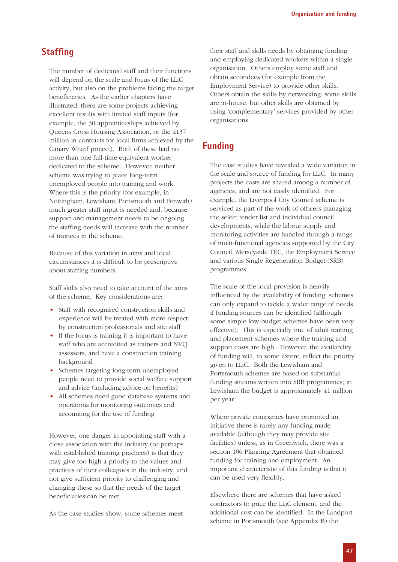### **Staffing**

The number of dedicated staff and their functions will depend on the scale and focus of the LLiC activity, but also on the problems facing the target beneficiaries. As the earlier chapters have illustrated, there are some projects achieving excellent results with limited staff inputs (for example, the 30 apprenticeships achieved by Queens Cross Housing Association, or the £137 million in contracts for local firms achieved by the Canary Wharf project). Both of these had no more than one full-time equivalent worker dedicated to the scheme. However, neither scheme was trying to place long-term unemployed people into training and work. Where this is the priority (for example, in Nottingham, Lewisham, Portsmouth and Penwith) much greater staff input is needed and, because support and management needs to be ongoing, the staffing needs will increase with the number of trainees in the scheme.

Because of this variation in aims and local circumstances it is difficult to be prescriptive about staffing numbers.

Staff skills also need to take account of the aims of the scheme. Key considerations are:

- Staff with recognised construction skills and experience will be treated with more respect by construction professionals and site staff
- If the focus is training it is important to have staff who are accredited as trainers and NVQ assessors, and have a construction training background
- Schemes targeting long-term unemployed people need to provide social welfare support and advice (including advice on benefits)
- All schemes need good database systems and operations for monitoring outcomes and accounting for the use of funding

However, one danger in appointing staff with a close association with the industry (or perhaps with established training practices) is that they may give too high a priority to the values and practices of their colleagues in the industry, and not give sufficient priority to challenging and changing these so that the needs of the target beneficiaries can be met.

As the case studies show, some schemes meet

their staff and skills needs by obtaining funding and employing dedicated workers within a single organisation. Others employ some staff and obtain secondees (for example from the Employment Service) to provide other skills. Others obtain the skills by networking: some skills are in-house, but other skills are obtained by using 'complementary' services provided by other organisations.

# **Funding**

The case studies have revealed a wide variation in the scale and source of funding for LLiC. In many projects the costs are shared among a number of agencies, and are not easily identified. For example, the Liverpool City Council scheme is serviced as part of the work of officers managing the select tender list and individual council developments, while the labour supply and monitoring activities are handled through a range of multi-functional agencies supported by the City Council, Merseyside TEC, the Employment Service and various Single Regeneration Budget (SRB) programmes.

The scale of the local provision is heavily influenced by the availability of funding: schemes can only expand to tackle a wider range of needs if funding sources can be identified (although some simple low-budget schemes have been very effective). This is especially true of adult training and placement schemes where the training and support costs are high. However, the availability of funding will, to some extent, reflect the priority given to LLiC. Both the Lewisham and Portsmouth schemes are based on substantial funding streams written into SRB programmes; in Lewisham the budget is approximately £1 million per year.

Where private companies have promoted an initiative there is rarely any funding made available (although they may provide site facilities) unless, as in Greenwich, there was a section 106 Planning Agreement that obtained funding for training and employment. An important characteristic of this funding is that it can be used very flexibly.

Elsewhere there are schemes that have asked contractors to price the LLiC element, and the additional cost can be identified. In the Landport scheme in Portsmouth (see Appendix B) the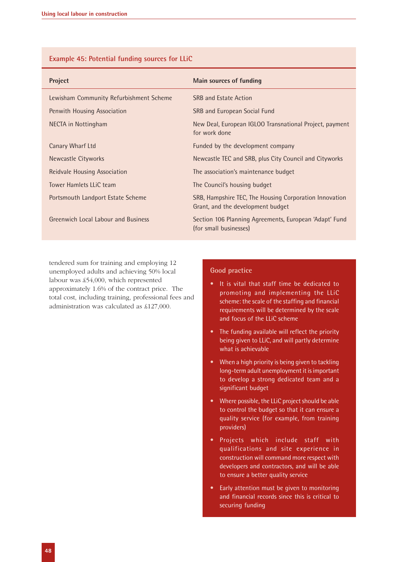|  | Example 45: Potential funding sources for LLiC |  |  |
|--|------------------------------------------------|--|--|
|  |                                                |  |  |

| Project                                    | Main sources of funding                                                                     |
|--------------------------------------------|---------------------------------------------------------------------------------------------|
| Lewisham Community Refurbishment Scheme    | <b>SRB and Estate Action</b>                                                                |
| Penwith Housing Association                | SRB and European Social Fund                                                                |
| NECTA in Nottingham                        | New Deal, European IGLOO Transnational Project, payment<br>for work done                    |
| Canary Wharf Ltd                           | Funded by the development company                                                           |
| Newcastle Cityworks                        | Newcastle TEC and SRB, plus City Council and Cityworks                                      |
| Reidvale Housing Association               | The association's maintenance budget                                                        |
| Tower Hamlets LLiC team                    | The Council's housing budget                                                                |
| Portsmouth Landport Estate Scheme          | SRB, Hampshire TEC, The Housing Corporation Innovation<br>Grant, and the development budget |
| <b>Greenwich Local Labour and Business</b> | Section 106 Planning Agreements, European 'Adapt' Fund<br>(for small businesses)            |

tendered sum for training and employing 12 unemployed adults and achieving 50% local labour was £54,000, which represented approximately 1.6% of the contract price. The total cost, including training, professional fees and administration was calculated as £127,000.

#### **Good practice**

- It is vital that staff time be dedicated to promoting and implementing the LLiC scheme: the scale of the staffing and financial requirements will be determined by the scale and focus of the LLiC scheme
- The funding available will reflect the priority being given to LLiC, and will partly determine what is achievable
- When a high priority is being given to tackling long-term adult unemployment it is important to develop a strong dedicated team and a significant budget
- Where possible, the LLiC project should be able to control the budget so that it can ensure a quality service (for example, from training providers)
- Projects which include staff with qualifications and site experience in construction will command more respect with developers and contractors, and will be able to ensure a better quality service
- Early attention must be given to monitoring and financial records since this is critical to securing funding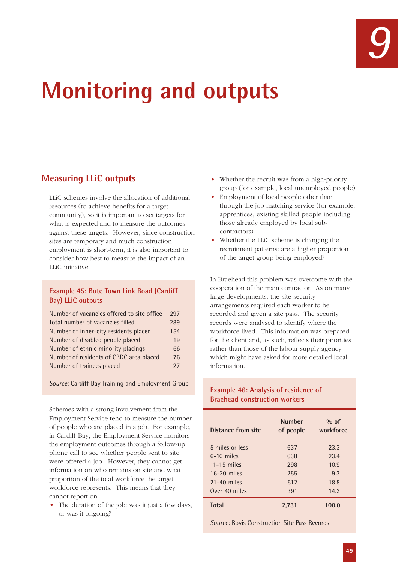# **Monitoring and outputs**

# **Measuring LLiC outputs**

LLiC schemes involve the allocation of additional resources (to achieve benefits for a target community), so it is important to set targets for what is expected and to measure the outcomes against these targets. However, since construction sites are temporary and much construction employment is short-term, it is also important to consider how best to measure the impact of an LLiC initiative.

#### **Example 45: Bute Town Link Road (Cardiff Bay) LLiC outputs**

| Number of vacancies offered to site office | 297 |
|--------------------------------------------|-----|
| Total number of vacancies filled           | 289 |
| Number of inner-city residents placed      | 154 |
| Number of disabled people placed           | 19  |
| Number of ethnic minority placings         | 66  |
| Number of residents of CBDC area placed    | 76  |
| Number of trainees placed                  | 27  |

*Source:* Cardiff Bay Training and Employment Group

Schemes with a strong involvement from the Employment Service tend to measure the number of people who are placed in a job. For example, in Cardiff Bay, the Employment Service monitors the employment outcomes through a follow-up phone call to see whether people sent to site were offered a job. However, they cannot get information on who remains on site and what proportion of the total workforce the target workforce represents. This means that they cannot report on:

• The duration of the job: was it just a few days, or was it ongoing?

- Whether the recruit was from a high-priority group (for example, local unemployed people)
- Employment of local people other than through the job-matching service (for example, apprentices, existing skilled people including those already employed by local subcontractors)
- Whether the LLiC scheme is changing the recruitment patterns: are a higher proportion of the target group being employed?

In Braehead this problem was overcome with the cooperation of the main contractor. As on many large developments, the site security arrangements required each worker to be recorded and given a site pass. The security records were analysed to identify where the workforce lived. This information was prepared for the client and, as such, reflects their priorities rather than those of the labour supply agency which might have asked for more detailed local information.

#### **Example 46: Analysis of residence of Braehead construction workers**

| Distance from site | <b>Number</b><br>of people | $\%$ of<br>workforce |
|--------------------|----------------------------|----------------------|
| 5 miles or less    | 637                        | 23.3                 |
| $6-10$ miles       | 638                        | 23.4                 |
| $11-15$ miles      | 298                        | 10.9                 |
| $16-20$ miles      | 255                        | 9.3                  |
| $21-40$ miles      | 512                        | 18.8                 |
| Over 40 miles      | 391                        | 14.3                 |
| <b>Total</b>       | 2.731                      | 100.0                |

*Source:* Bovis Construction Site Pass Records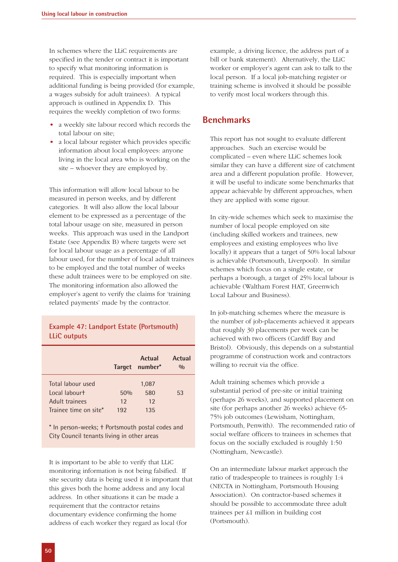In schemes where the LLiC requirements are specified in the tender or contract it is important to specify what monitoring information is required. This is especially important when additional funding is being provided (for example, a wages subsidy for adult trainees). A typical approach is outlined in Appendix D. This requires the weekly completion of two forms:

- a weekly site labour record which records the total labour on site;
- a local labour register which provides specific information about local employees: anyone living in the local area who is working on the site – whoever they are employed by.

This information will allow local labour to be measured in person weeks, and by different categories. It will also allow the local labour element to be expressed as a percentage of the total labour usage on site, measured in person weeks. This approach was used in the Landport Estate (see Appendix B) where targets were set for local labour usage as a percentage of all labour used, for the number of local adult trainees to be employed and the total number of weeks these adult trainees were to be employed on site. The monitoring information also allowed the employer's agent to verify the claims for 'training related payments' made by the contractor.

#### **Example 47: Landport Estate (Portsmouth) LLiC outputs**

|                                                      |                | <b>Actual</b><br>Target number* | Actual<br>$\frac{0}{0}$ |
|------------------------------------------------------|----------------|---------------------------------|-------------------------|
| Total labour used<br>Local labourt<br>Adult trainees | 50%<br>$12 \,$ | 1,087<br>580<br>12              | 53                      |
| Trainee time on site*                                | 192            | 135                             |                         |

\* In person-weeks; † Portsmouth postal codes and City Council tenants living in other areas

It is important to be able to verify that LLiC monitoring information is not being falsified. If site security data is being used it is important that this gives both the home address and any local address. In other situations it can be made a requirement that the contractor retains documentary evidence confirming the home address of each worker they regard as local (for

example, a driving licence, the address part of a bill or bank statement). Alternatively, the LLiC worker or employer's agent can ask to talk to the local person. If a local job-matching register or training scheme is involved it should be possible to verify most local workers through this.

# **Benchmarks**

This report has not sought to evaluate different approaches. Such an exercise would be complicated – even where LLiC schemes look similar they can have a different size of catchment area and a different population profile. However, it will be useful to indicate some benchmarks that appear achievable by different approaches, when they are applied with some rigour.

In city-wide schemes which seek to maximise the number of local people employed on site (including skilled workers and trainees, new employees and existing employees who live locally) it appears that a target of 50% local labour is achievable (Portsmouth, Liverpool). In similar schemes which focus on a single estate, or perhaps a borough, a target of 25% local labour is achievable (Waltham Forest HAT, Greenwich Local Labour and Business).

In job-matching schemes where the measure is the number of job-placements achieved it appears that roughly 30 placements per week can be achieved with two officers (Cardiff Bay and Bristol). Obviously, this depends on a substantial programme of construction work and contractors willing to recruit via the office.

Adult training schemes which provide a substantial period of pre-site or initial training (perhaps 26 weeks), and supported placement on site (for perhaps another 26 weeks) achieve 65- 75% job outcomes (Lewisham, Nottingham, Portsmouth, Penwith). The recommended ratio of social welfare officers to trainees in schemes that focus on the socially excluded is roughly 1:50 (Nottingham, Newcastle).

On an intermediate labour market approach the ratio of tradespeople to trainees is roughly 1:4 (NECTA in Nottingham, Portsmouth Housing Association). On contractor-based schemes it should be possible to accommodate three adult trainees per £1 million in building cost (Portsmouth).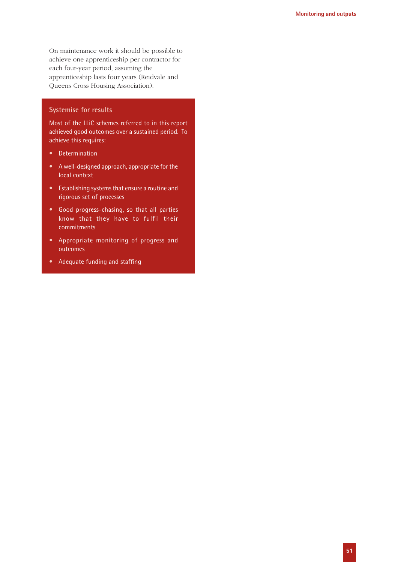On maintenance work it should be possible to achieve one apprenticeship per contractor for each four-year period, assuming the apprenticeship lasts four years (Reidvale and Queens Cross Housing Association).

#### **Systemise for results**

Most of the LLiC schemes referred to in this report achieved good outcomes over a sustained period. To achieve this requires:

- Determination
- A well-designed approach, appropriate for the local context
- Establishing systems that ensure a routine and rigorous set of processes
- Good progress-chasing, so that all parties know that they have to fulfil their commitments
- Appropriate monitoring of progress and outcomes
- Adequate funding and staffing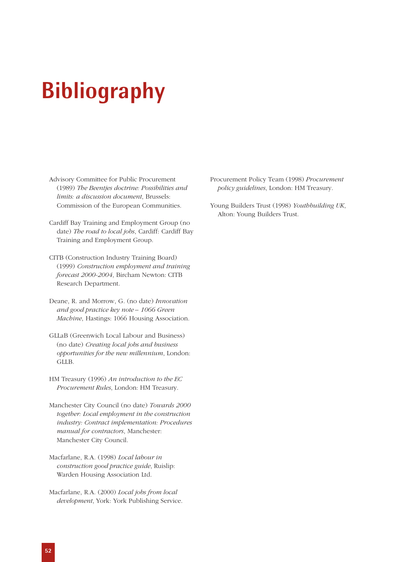# **Bibliography**

- Advisory Committee for Public Procurement (1989) *The Beentjes doctrine: Possibilities and limits: a discussion document*, Brussels: Commission of the European Communities.
- Cardiff Bay Training and Employment Group (no date) *The road to local jobs*, Cardiff: Cardiff Bay Training and Employment Group.
- CITB (Construction Industry Training Board) (1999) *Construction employment and training forecast 2000-2004*, Bircham Newton: CITB Research Department.
- Deane, R. and Morrow, G. (no date) *Innovation and good practice key note – 1066 Green Machine*, Hastings: 1066 Housing Association.
- GLLaB (Greenwich Local Labour and Business) (no date) *Creating local jobs and business opportunities for the new millennium*, London: GLLB.
- HM Treasury (1996) *An introduction to the EC Procurement Rules*, London: HM Treasury.
- Manchester City Council (no date) *Towards 2000 together: Local employment in the construction industry: Contract implementation: Procedures manual for contractors*, Manchester: Manchester City Council.
- Macfarlane, R.A. (1998) *Local labour in construction good practice guide*, Ruislip: Warden Housing Association Ltd.
- Macfarlane, R.A. (2000) *Local jobs from local development*, York: York Publishing Service.

Procurement Policy Team (1998) *Procurement policy guidelines*, London: HM Treasury.

Young Builders Trust (1998) *Youthbuilding UK*, Alton: Young Builders Trust.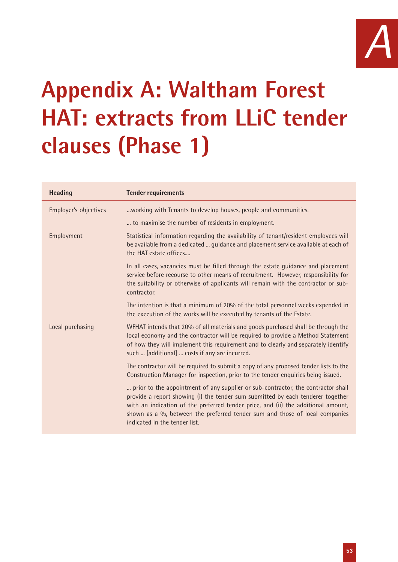

# **Appendix A: Waltham Forest HAT: extracts from LLiC tender clauses (Phase 1)**

| <b>Heading</b>        | <b>Tender requirements</b>                                                                                                                                                                                                                                                                                                                                               |
|-----------------------|--------------------------------------------------------------------------------------------------------------------------------------------------------------------------------------------------------------------------------------------------------------------------------------------------------------------------------------------------------------------------|
| Employer's objectives | working with Tenants to develop houses, people and communities.                                                                                                                                                                                                                                                                                                          |
|                       | to maximise the number of residents in employment.                                                                                                                                                                                                                                                                                                                       |
| Employment            | Statistical information regarding the availability of tenant/resident employees will<br>be available from a dedicated  guidance and placement service available at each of<br>the HAT estate offices                                                                                                                                                                     |
|                       | In all cases, vacancies must be filled through the estate guidance and placement<br>service before recourse to other means of recruitment. However, responsibility for<br>the suitability or otherwise of applicants will remain with the contractor or sub-<br>contractor.                                                                                              |
|                       | The intention is that a minimum of 20% of the total personnel weeks expended in<br>the execution of the works will be executed by tenants of the Estate.                                                                                                                                                                                                                 |
| Local purchasing      | WFHAT intends that 20% of all materials and goods purchased shall be through the<br>local economy and the contractor will be required to provide a Method Statement<br>of how they will implement this requirement and to clearly and separately identify<br>such  [additional]  costs if any are incurred.                                                              |
|                       | The contractor will be required to submit a copy of any proposed tender lists to the<br>Construction Manager for inspection, prior to the tender enquiries being issued.                                                                                                                                                                                                 |
|                       | prior to the appointment of any supplier or sub-contractor, the contractor shall<br>provide a report showing (i) the tender sum submitted by each tenderer together<br>with an indication of the preferred tender price, and (ii) the additional amount,<br>shown as a %, between the preferred tender sum and those of local companies<br>indicated in the tender list. |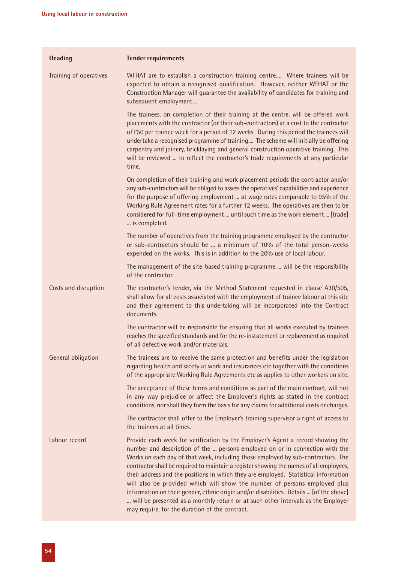| <b>Heading</b>         | <b>Tender requirements</b>                                                                                                                                                                                                                                                                                                                                                                                                                                                                                                                                                                                                                                                                                                                          |
|------------------------|-----------------------------------------------------------------------------------------------------------------------------------------------------------------------------------------------------------------------------------------------------------------------------------------------------------------------------------------------------------------------------------------------------------------------------------------------------------------------------------------------------------------------------------------------------------------------------------------------------------------------------------------------------------------------------------------------------------------------------------------------------|
| Training of operatives | WFHAT are to establish a construction training centre Where trainees will be<br>expected to obtain a recognised qualification. However, neither WFHAT or the<br>Construction Manager will quarantee the availability of candidates for training and<br>subsequent employment                                                                                                                                                                                                                                                                                                                                                                                                                                                                        |
|                        | The trainees, on completion of their training at the centre, will be offered work<br>placements with the contractor (or their sub-contractors) at a cost to the contractor<br>of £50 per trainee week for a period of 12 weeks. During this period the trainees will<br>undertake a recognised programme of training The scheme will initially be offering<br>carpentry and joinery, bricklaying and general construction operative training. This<br>will be reviewed  to reflect the contractor's trade requirements at any particular<br>time.                                                                                                                                                                                                   |
|                        | On completion of their training and work placement periods the contractor and/or<br>any sub-contractors will be obliged to assess the operatives' capabilities and experience<br>for the purpose of offering employment  at wage rates comparable to 95% of the<br>Working Rule Agreement rates for a further 12 weeks. The operatives are then to be<br>considered for full-time employment  until such time as the work element  [trade]<br>is completed.                                                                                                                                                                                                                                                                                         |
|                        | The number of operatives from the training programme employed by the contractor<br>or sub-contractors should be  a minimum of 10% of the total person-weeks<br>expended on the works. This is in addition to the 20% use of local labour.                                                                                                                                                                                                                                                                                                                                                                                                                                                                                                           |
|                        | The management of the site-based training programme  will be the responsibility<br>of the contractor.                                                                                                                                                                                                                                                                                                                                                                                                                                                                                                                                                                                                                                               |
| Costs and disruption   | The contractor's tender, via the Method Statement requested in clause A30/505,<br>shall allow for all costs associated with the employment of trainee labour at this site<br>and their agreement to this undertaking will be incorporated into the Contract<br>documents.                                                                                                                                                                                                                                                                                                                                                                                                                                                                           |
|                        | The contractor will be responsible for ensuring that all works executed by trainees<br>reaches the specified standards and for the re-instatement or replacement as required<br>of all defective work and/or materials.                                                                                                                                                                                                                                                                                                                                                                                                                                                                                                                             |
| General obligation     | The trainees are to receive the same protection and benefits under the legislation<br>regarding health and safety at work and insurances etc together with the conditions<br>of the appropriate Working Rule Agreements etc as applies to other workers on site.                                                                                                                                                                                                                                                                                                                                                                                                                                                                                    |
|                        | The acceptance of these terms and conditions as part of the main contract, will not<br>in any way prejudice or affect the Employer's rights as stated in the contract<br>conditions, nor shall they form the basis for any claims for additional costs or charges.                                                                                                                                                                                                                                                                                                                                                                                                                                                                                  |
|                        | The contractor shall offer to the Employer's training supervisor a right of access to<br>the trainees at all times.                                                                                                                                                                                                                                                                                                                                                                                                                                                                                                                                                                                                                                 |
| Labour record          | Provide each week for verification by the Employer's Agent a record showing the<br>number and description of the  persons employed on or in connection with the<br>Works on each day of that week, including those employed by sub-contractors. The<br>contractor shall be required to maintain a register showing the names of all employees,<br>their address and the positions in which they are employed. Statistical information<br>will also be provided which will show the number of persons employed plus<br>information on their gender, ethnic origin and/or disabilities. Details  [of the above]<br>will be presented as a monthly return or at such other intervals as the Employer<br>may require, for the duration of the contract. |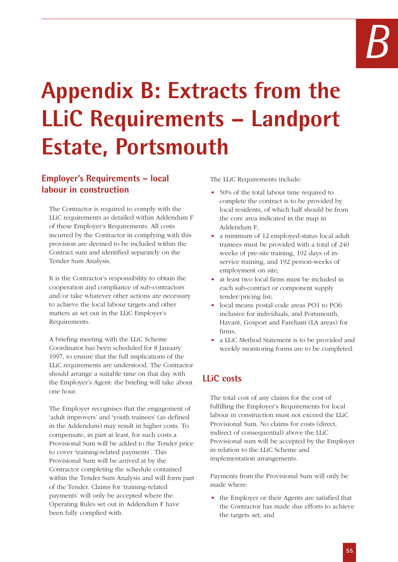# **Appendix B: Extracts from the LLiC Requirements – Landport Estate, Portsmouth**

# **Employer's Requirements – local labour in construction**

The Contractor is required to comply with the LLiC requirements as detailed within Addendum F of these Employer's Requirements. All costs incurred by the Contractor in complying with this provision are deemed to be included within the Contract sum and identified separately on the Tender Sum Analysis.

It is the Contractor's responsibility to obtain the cooperation and compliance of sub-contractors and/or take whatever other actions are necessary to achieve the local labour targets and other matters as set out in the LLiC Employer's Requirements.

A briefing meeting with the LLiC Scheme Coordinator has been scheduled for 8 January 1997, to ensure that the full implications of the LLiC requirements are understood. The Contractor should arrange a suitable time on that day with the Employer's Agent: the briefing will take about one hour.

The Employer recognises that the engagement of 'adult improvers' and 'youth trainees' (as defined in the Addendum) may result in higher costs. To compensate, in part at least, for such costs a Provisional Sum will be added to the Tender price to cover 'training-related payments'. This Provisional Sum will be arrived at by the Contractor completing the schedule contained within the Tender Sum Analysis and will form part of the Tender. Claims for 'training-related payments' will only be accepted where the Operating Rules set out in Addendum F have been fully complied with.

The LLiC Requirements include:

- 50% of the total labour time required to complete the contract is to be provided by local residents, of which half should be from the core area indicated in the map in Addendum F;
- a minimum of 12 employed-status local adult trainees must be provided with a total of 240 weeks of pre-site training, 192 days of inservice training, and 192 person-weeks of employment on site;
- at least two local firms must be included in each sub-contract or component supply tender/pricing list;
- local means postal code areas PO1 to PO6 inclusive for individuals, and Portsmouth, Havant, Gosport and Fareham (LA areas) for firms;
- a LLiC Method Statement is to be provided and weekly monitoring forms are to be completed.

# **LLiC costs**

The total cost of any claims for the cost of fulfilling the Employer's Requirements for local labour in construction must not exceed the LLiC Provisional Sum. No claims for costs (direct, indirect of consequential) above the LLiC Provisional sum will be accepted by the Employer in relation to the LLiC Scheme and implementation arrangements.

Payments from the Provisional Sum will only be made where:

• the Employer or their Agents are satisfied that the Contractor has made due efforts to achieve the targets set; and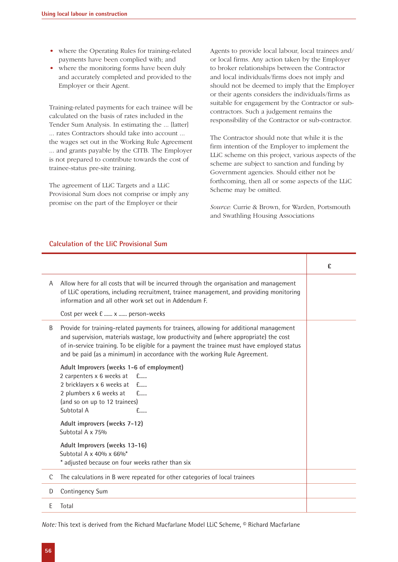- where the Operating Rules for training-related payments have been complied with; and
- where the monitoring forms have been duly and accurately completed and provided to the Employer or their Agent.

Training-related payments for each trainee will be calculated on the basis of rates included in the Tender Sum Analysis. In estimating the ... [latter] ... rates Contractors should take into account ... the wages set out in the Working Rule Agreement ... and grants payable by the CITB. The Employer is not prepared to contribute towards the cost of trainee-status pre-site training.

The agreement of LLiC Targets and a LLiC Provisional Sum does not comprise or imply any promise on the part of the Employer or their

Agents to provide local labour, local trainees and/ or local firms. Any action taken by the Employer to broker relationships between the Contractor and local individuals/firms does not imply and should not be deemed to imply that the Employer or their agents considers the individuals/firms as suitable for engagement by the Contractor or subcontractors. Such a judgement remains the responsibility of the Contractor or sub-contractor.

The Contractor should note that while it is the firm intention of the Employer to implement the LLiC scheme on this project, various aspects of the scheme are subject to sanction and funding by Government agencies. Should either not be forthcoming, then all or some aspects of the LLiC Scheme may be omitted.

*Source:* Currie & Brown, for Warden, Portsmouth and Swathling Housing Associations

#### **Calculation of the LliC Provisional Sum**

|   |                                                                                                                                                                                                                                                                                                                                                            | £ |
|---|------------------------------------------------------------------------------------------------------------------------------------------------------------------------------------------------------------------------------------------------------------------------------------------------------------------------------------------------------------|---|
| A | Allow here for all costs that will be incurred through the organisation and management<br>of LLiC operations, including recruitment, trainee management, and providing monitoring<br>information and all other work set out in Addendum F.                                                                                                                 |   |
|   | Cost per week £  x  person-weeks                                                                                                                                                                                                                                                                                                                           |   |
| B | Provide for training-related payments for trainees, allowing for additional management<br>and supervision, materials wastage, low productivity and (where appropriate) the cost<br>of in-service training. To be eligible for a payment the trainee must have employed status<br>and be paid (as a minimum) in accordance with the working Rule Agreement. |   |
|   | Adult Improvers (weeks 1-6 of employment)<br>2 carpenters x 6 weeks at f<br>2 bricklayers x 6 weeks at £<br>2 plumbers x 6 weeks at<br>£<br>(and so on up to 12 trainees)<br>Subtotal A<br>£                                                                                                                                                               |   |
|   | Adult improvers (weeks 7-12)<br>Subtotal A x 75%                                                                                                                                                                                                                                                                                                           |   |
|   | Adult Improvers (weeks 13-16)<br>Subtotal A $\times$ 40% $\times$ 66% <sup>*</sup><br>* adjusted because on four weeks rather than six                                                                                                                                                                                                                     |   |
| C | The calculations in B were repeated for other categories of local trainees                                                                                                                                                                                                                                                                                 |   |
| D | Contingency Sum                                                                                                                                                                                                                                                                                                                                            |   |
| E | Total                                                                                                                                                                                                                                                                                                                                                      |   |

*Note:* This text is derived from the Richard Macfarlane Model LLiC Scheme, © Richard Macfarlane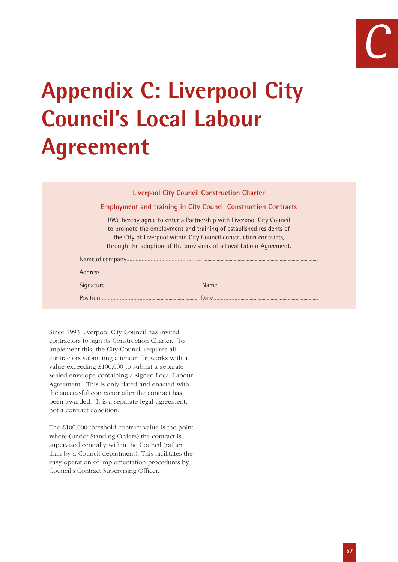# *C*

# **Appendix C: Liverpool City Council's Local Labour Agreement**

#### **Liverpool City Council Construction Charter**

#### **Employment and training in City Council Construction Contracts**

I/We hereby agree to enter a Partnership with Liverpool City Council to promote the employment and training of established residents of the City of Liverpool within City Council construction contracts, through the adoption of the provisions of a Local Labour Agreement.

Since 1993 Liverpool City Council has invited contractors to sign its Construction Charter. To implement this, the City Council requires all contractors submitting a tender for works with a value exceeding £100,000 to submit a separate sealed envelope containing a signed Local Labour Agreement. This is only dated and enacted with the successful contractor after the contract has been awarded. It is a separate legal agreement, not a contract condition.

The £100,000 threshold contract value is the point where (under Standing Orders) the contract is supervised centrally within the Council (rather than by a Council department). This facilitates the easy operation of implementation procedures by Council's Contract Supervising Officer.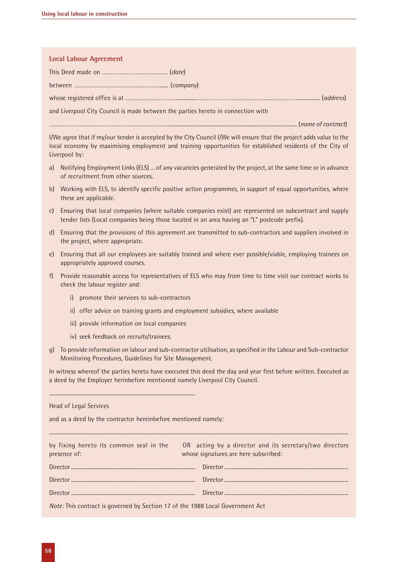#### **Local Labour Agreement**

This Deed made on ……………………………………. (*date*)

between …………………………………………………..... (*company*)

whose registered office is at ……………………………...............…………………………………………………………................. (*address*)

and Liverpool City Council is made between the parties hereto in connection with

…………………………………………………………………….................................................................................................. (*name of contract*)

I/We agree that if my/our tender is accepted by the City Council I/We will ensure that the project adds value to the local economy by maximising employment and training opportunities for established residents of the City of Liverpool by:

- a) Notifying Employment Links (ELS) ... of any vacancies generated by the project, at the same time or in advance of recruitment from other sources.
- b) Working with ELS, to identify specific positive action programmes, in support of equal opportunities, where these are applicable.
- c) Ensuring that local companies (where suitable companies exist) are represented on subcontract and supply tender lists (Local companies being those located in an area having an "L" postcode prefix).
- d) Ensuring that the provisions of this agreement are transmitted to sub-contractors and suppliers involved in the project, where appropriate.
- e) Ensuring that all our employees are suitably trained and where ever possible/viable, employing trainees on appropriately approved courses.
- f) Provide reasonable access for representatives of ELS who may from time to time visit our contract works to check the labour register and:
	- i) promote their services to sub-contractors
	- ii) offer advice on training grants and employment subsidies, where available
	- iii) provide information on local companies
	- iv) seek feedback on recruits/trainees.

...................................................................................................................

g) To provide information on labour and sub-contractor utilisation, as specified in the Labour and Sub-contractor Monitoring Procedures, Guidelines for Site Management.

In witness whereof the parties hereto have executed this deed the day and year first before written. Executed as a deed by the Employer herinbefore mentioned namely Liverpool City Council.

and as a deed by the contractor hereinbefore mentioned namely:

| presence of:                                                                   | by fixing hereto its common seal in the OR acting by a director and its secretary/two directors<br>whose signatures are here subscribed: |
|--------------------------------------------------------------------------------|------------------------------------------------------------------------------------------------------------------------------------------|
|                                                                                |                                                                                                                                          |
|                                                                                |                                                                                                                                          |
|                                                                                |                                                                                                                                          |
| Note: This contract is governed by Section 17 of the 1988 Local Government Act |                                                                                                                                          |

...............................................................................................................................................................................................................................................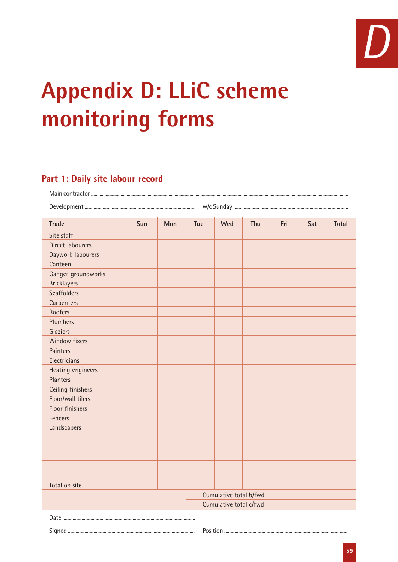

# **Appendix D: LLiC scheme monitoring forms**

# **Part 1: Daily site labour record**

| <b>Trade</b>            | Sun | Mon | <b>Tue</b> | Wed                    | Thu | Fri | Sat | <b>Total</b> |
|-------------------------|-----|-----|------------|------------------------|-----|-----|-----|--------------|
| Site staff              |     |     |            |                        |     |     |     |              |
| <b>Direct labourers</b> |     |     |            |                        |     |     |     |              |
| Daywork labourers       |     |     |            |                        |     |     |     |              |
| Canteen                 |     |     |            |                        |     |     |     |              |
| Ganger groundworks      |     |     |            |                        |     |     |     |              |
| <b>Bricklayers</b>      |     |     |            |                        |     |     |     |              |
| <b>Scaffolders</b>      |     |     |            |                        |     |     |     |              |
| Carpenters              |     |     |            |                        |     |     |     |              |
| Roofers                 |     |     |            |                        |     |     |     |              |
| Plumbers                |     |     |            |                        |     |     |     |              |
| Glaziers                |     |     |            |                        |     |     |     |              |
| Window fixers           |     |     |            |                        |     |     |     |              |
| Painters                |     |     |            |                        |     |     |     |              |
| Electricians            |     |     |            |                        |     |     |     |              |
| Heating engineers       |     |     |            |                        |     |     |     |              |
| Planters                |     |     |            |                        |     |     |     |              |
| Ceiling finishers       |     |     |            |                        |     |     |     |              |
| Floor/wall tilers       |     |     |            |                        |     |     |     |              |
| Floor finishers         |     |     |            |                        |     |     |     |              |
| Fencers                 |     |     |            |                        |     |     |     |              |
| Landscapers             |     |     |            |                        |     |     |     |              |
|                         |     |     |            |                        |     |     |     |              |
|                         |     |     |            |                        |     |     |     |              |
|                         |     |     |            |                        |     |     |     |              |
|                         |     |     |            |                        |     |     |     |              |
|                         |     |     |            |                        |     |     |     |              |
| Total on site           |     |     |            |                        |     |     |     |              |
|                         |     |     |            | Cumulative total b/fwd |     |     |     |              |
|                         |     |     |            | Cumulative total c/fwd |     |     |     |              |
|                         |     |     |            |                        |     |     |     |              |

Signed ................................................................................................... Position .................................................................................................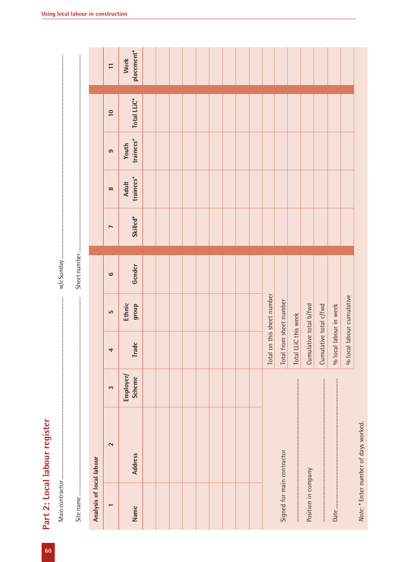|                            | Part 2: Local labour register        |                            |                         |                            |              |                       |                           |                           |             |                           |
|----------------------------|--------------------------------------|----------------------------|-------------------------|----------------------------|--------------|-----------------------|---------------------------|---------------------------|-------------|---------------------------|
|                            |                                      |                            |                         |                            |              |                       |                           |                           |             |                           |
|                            |                                      |                            |                         |                            |              |                       |                           |                           |             |                           |
|                            |                                      |                            |                         |                            |              |                       |                           |                           |             |                           |
| Analysis of local labour   |                                      |                            |                         |                            |              |                       |                           |                           |             |                           |
| $\overline{\phantom{0}}$   | $\sim$                               | 3                          | 4                       | LO                         | $\mathbf{c}$ | $\blacktriangleright$ | $\infty$                  | ၜ                         | 10          | $\equiv$                  |
| Name                       | <b>Address</b>                       | Employer/<br><b>Scheme</b> | <b>Trade</b>            | Ethnic<br>group            | Gender       | Skilled*              | trainees*<br><b>Adult</b> | trainees*<br><b>Youth</b> | Total LLiC* | placement*<br><b>Work</b> |
|                            |                                      |                            |                         |                            |              |                       |                           |                           |             |                           |
|                            |                                      |                            |                         |                            |              |                       |                           |                           |             |                           |
|                            |                                      |                            |                         |                            |              |                       |                           |                           |             |                           |
|                            |                                      |                            |                         |                            |              |                       |                           |                           |             |                           |
|                            |                                      |                            |                         |                            |              |                       |                           |                           |             |                           |
|                            |                                      |                            |                         |                            |              |                       |                           |                           |             |                           |
|                            |                                      |                            |                         |                            |              |                       |                           |                           |             |                           |
|                            |                                      |                            |                         |                            |              |                       |                           |                           |             |                           |
|                            |                                      |                            |                         |                            |              |                       |                           |                           |             |                           |
|                            |                                      |                            |                         | Total on this sheet number |              |                       |                           |                           |             |                           |
| Signed for main contractor |                                      |                            | Total from sheet number |                            |              |                       |                           |                           |             |                           |
|                            |                                      |                            | Total LL                | iC this week               |              |                       |                           |                           |             |                           |
| Position in company        |                                      |                            | Cumulative total b/fwd  |                            |              |                       |                           |                           |             |                           |
|                            |                                      |                            | Cumulative total c/fwd  |                            |              |                       |                           |                           |             |                           |
|                            |                                      |                            | $%$ local               | labour in week             |              |                       |                           |                           |             |                           |
|                            |                                      |                            |                         | % local labour cumulative  |              |                       |                           |                           |             |                           |
|                            | Note: * Enter number of days worked. |                            |                         |                            |              |                       |                           |                           |             |                           |

Part 2: Local labour register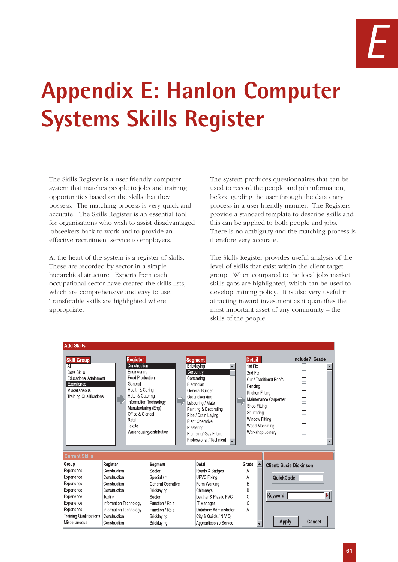# *E*

# **Appendix E: Hanlon Computer Systems Skills Register**

The Skills Register is a user friendly computer system that matches people to jobs and training opportunities based on the skills that they possess. The matching process is very quick and accurate. The Skills Register is an essential tool for organisations who wish to assist disadvantaged jobseekers back to work and to provide an effective recruitment service to employers.

At the heart of the system is a register of skills. These are recorded by sector in a simple hierarchical structure. Experts from each occupational sector have created the skills lists, which are comprehensive and easy to use. Transferable skills are highlighted where appropriate.

The system produces questionnaires that can be used to record the people and job information, before guiding the user through the data entry process in a user friendly manner. The Registers provide a standard template to describe skills and this can be applied to both people and jobs. There is no ambiguity and the matching process is therefore very accurate.

The Skills Register provides useful analysis of the level of skills that exist within the client target group. When compared to the local jobs market, skills gaps are highlighted, which can be used to develop training policy. It is also very useful in attracting inward investment as it quantifies the most important asset of any community – the skills of the people.

| <b>Add Skills</b>                                                                                                                   |                              |              |                                                                                                                                                                                                                                            |                       |                                           |                       |                                                                                                                                                                                                                                                                       |              |                                                                                                                   |                  |                                                                                        |                                                                                      |  |
|-------------------------------------------------------------------------------------------------------------------------------------|------------------------------|--------------|--------------------------------------------------------------------------------------------------------------------------------------------------------------------------------------------------------------------------------------------|-----------------------|-------------------------------------------|-----------------------|-----------------------------------------------------------------------------------------------------------------------------------------------------------------------------------------------------------------------------------------------------------------------|--------------|-------------------------------------------------------------------------------------------------------------------|------------------|----------------------------------------------------------------------------------------|--------------------------------------------------------------------------------------|--|
| Skill Group<br>All<br>Core Skills<br><b>Educational Attainment</b><br>Experience<br>Miscellaneous<br><b>Training Qualifications</b> |                              | ₿            | Register<br>Construction<br>Engineering<br><b>Food Production</b><br>General<br>Health & Caring<br>Hotel & Catering<br>Information Technology<br>Manufacturing (Eng)<br>Office & Clerical<br>Retail<br>Textile<br>Warehousing/distribution |                       |                                           |                       | <b>Segment</b><br>Bricklaying<br>Carpentry<br>Concretina<br>Electrician<br>General Builder<br>Groundworking<br>Labouring / Mate<br>Painting & Decorating<br>Pipe / Drain Laying<br>Plant Operative<br>Plastering<br>Plumbing/ Gas Fitting<br>Professional / Technical |              | <b>Detail</b><br>1st Fix<br>2nd Fix<br>Fencing<br>Kitchen Fitting<br>Shop Fitting<br>Shuttering<br>Window Fitting |                  | Cut / Traditional Roofs<br>Maintenance Carpenter<br>Wood Machining<br>Workshop Joinery | Include? Grade<br>П<br>П<br>Π<br>$\Box$<br>$\Box$<br>$\Box$<br>$\Box$<br>$\Box$<br>П |  |
| <b>Current Skills</b>                                                                                                               |                              |              |                                                                                                                                                                                                                                            |                       |                                           |                       |                                                                                                                                                                                                                                                                       |              |                                                                                                                   |                  |                                                                                        |                                                                                      |  |
| Group                                                                                                                               | Register                     |              |                                                                                                                                                                                                                                            | Segment               |                                           |                       | Detail                                                                                                                                                                                                                                                                |              | Grade                                                                                                             | $\blacktriangle$ | <b>Client: Susie Dickinson</b>                                                         |                                                                                      |  |
| Experience                                                                                                                          |                              | Construction |                                                                                                                                                                                                                                            | Sector                |                                           |                       | Roads & Bridges                                                                                                                                                                                                                                                       |              | Α                                                                                                                 |                  |                                                                                        |                                                                                      |  |
| Experience                                                                                                                          | Construction<br>Construction |              | Specialism                                                                                                                                                                                                                                 |                       |                                           | <b>UPVC Fixing</b>    |                                                                                                                                                                                                                                                                       | А            |                                                                                                                   | QuickCode:       |                                                                                        |                                                                                      |  |
| Experience                                                                                                                          |                              |              |                                                                                                                                                                                                                                            | General Operative     |                                           |                       | Form Working                                                                                                                                                                                                                                                          |              | E                                                                                                                 |                  |                                                                                        |                                                                                      |  |
| Experience                                                                                                                          | Construction                 |              |                                                                                                                                                                                                                                            | Bricklaying           |                                           |                       | Chimneys                                                                                                                                                                                                                                                              |              | B<br>C                                                                                                            |                  | Keyword:                                                                               |                                                                                      |  |
| Experience<br><b>Textile</b><br>Experience<br>Information Technology                                                                |                              |              | Sector<br>Function / Role                                                                                                                                                                                                                  |                       | Leather & Plastic PVC<br><b>T</b> Manager |                       |                                                                                                                                                                                                                                                                       | C            |                                                                                                                   |                  |                                                                                        |                                                                                      |  |
| Experience                                                                                                                          |                              |              | Information Technology<br>Function / Role                                                                                                                                                                                                  |                       |                                           |                       | Database Administrator                                                                                                                                                                                                                                                |              | A                                                                                                                 |                  |                                                                                        |                                                                                      |  |
| <b>Training Qualifications</b>                                                                                                      |                              |              | Bricklaying                                                                                                                                                                                                                                |                       |                                           | City & Guilds / N V Q |                                                                                                                                                                                                                                                                       |              |                                                                                                                   |                  |                                                                                        |                                                                                      |  |
| Construction<br>Miscellaneous<br>Construction                                                                                       |                              | Bricklaying  |                                                                                                                                                                                                                                            | Apprenticeship Served |                                           |                       |                                                                                                                                                                                                                                                                       | <b>Apply</b> |                                                                                                                   | Cancel           |                                                                                        |                                                                                      |  |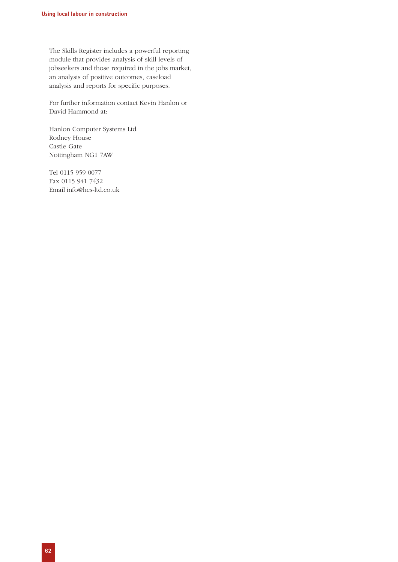The Skills Register includes a powerful reporting module that provides analysis of skill levels of jobseekers and those required in the jobs market, an analysis of positive outcomes, caseload analysis and reports for specific purposes.

For further information contact Kevin Hanlon or David Hammond at:

Hanlon Computer Systems Ltd Rodney House Castle Gate Nottingham NG1 7AW

Tel 0115 959 0077 Fax 0115 941 7432 Email info@hcs-ltd.co.uk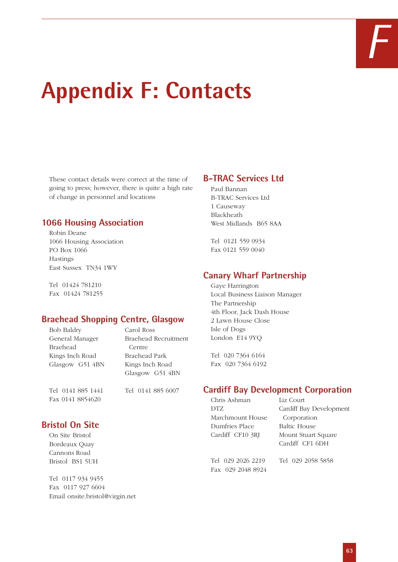

# **Appendix F: Contacts**

These contact details were correct at the time of going to press; however, there is quite a high rate of change in personnel and locations

# **1066 Housing Association**

Robin Deane 1066 Housing Association PO Box 1066 Hastings East Sussex TN34 1WY

Tel 01424 781210 Fax 01424 781255

# **Braehead Shopping Centre, Glasgow**

| <b>Bob Baldry</b> | Carol Ross           |
|-------------------|----------------------|
| General Manager   | Braehead Recruitment |
| <b>Braehead</b>   | Centre               |
| Kings Inch Road   | Braehead Park        |
| Glasgow G51 4BN   | Kings Inch Road      |
|                   | Glasgow G51 4BN      |
|                   |                      |

Fax 0141 8854620

Tel 0141 885 1441 Tel 0141 885 6007

# **Bristol On Site**

On Site Bristol Bordeaux Quay Cannons Road Bristol BS1 5UH

Tel 0117 934 9455 Fax 0117 927 6604 Email onsite.bristol@virgin.net

# **B-TRAC Services Ltd**

Paul Bannan B-TRAC Services Ltd 1 Causeway Blackheath West Midlands B65 8AA

Tel 0121 559 0934 Fax 0121 559 0040

# **Canary Wharf Partnership**

Gaye Harrington Local Business Liaison Manager The Partnership 4th Floor, Jack Dash House 2 Lawn House Close Isle of Dogs London E14 9YQ

Tel 020 7364 6164 Fax 020 7364 6192

# **Cardiff Bay Development Corporation**

Chris Ashman Liz Court DTZ Cardiff Bay Development Marchmount House Corporation Dumfries Place Baltic House Cardiff CF10 3RJ Mount Stuart Square

Cardiff CF1 6DH

Tel 029 2026 2219 Tel 029 2058 5858 Fax 029 2048 8924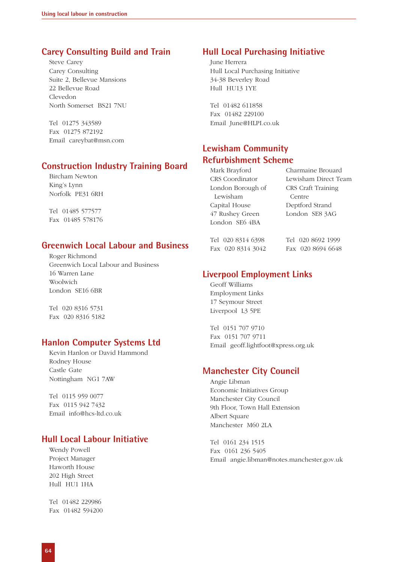# **Carey Consulting Build and Train**

Steve Carey Carey Consulting Suite 2, Bellevue Mansions 22 Bellevue Road Clevedon North Somerset BS21 7NU

Tel 01275 343589 Fax 01275 872192 Email careybat@msn.com

### **Construction Industry Training Board**

Bircham Newton King's Lynn Norfolk PE31 6RH

Tel 01485 577577 Fax 01485 578176

# **Greenwich Local Labour and Business**

Roger Richmond Greenwich Local Labour and Business 16 Warren Lane Woolwich London SE16 6BR

Tel 020 8316 5731 Fax 020 8316 5182

# **Hanlon Computer Systems Ltd**

Kevin Hanlon or David Hammond Rodney House Castle Gate Nottingham NG1 7AW

Tel 0115 959 0077 Fax 0115 942 7432 Email info@hcs-ltd.co.uk

# **Hull Local Labour Initiative**

Wendy Powell Project Manager Haworth House 202 High Street Hull HU1 1HA

Tel 01482 229986 Fax 01482 594200

### **Hull Local Purchasing Initiative**

June Herrera Hull Local Purchasing Initiative 34-38 Beverley Road Hull HU13 1YE

Tel 01482 611858 Fax 01482 229100 Email June@HLPI.co.uk

# **Lewisham Community Refurbishment Scheme**

| Mark Brayford     | Charmaine Brouard    |
|-------------------|----------------------|
| CRS Coordinator   | Lewisham Direct Team |
| London Borough of | CRS Craft Training   |
| Lewisham          | Centre               |
| Capital House     | Deptford Strand      |
| 47 Rushey Green   | London SE8 3AG       |
| London SE6 4BA    |                      |
|                   |                      |
|                   |                      |

Fax 020 8314 3042 Fax 020 8694 6648

Tel 020 8314 6398 Tel 020 8692 1999

# **Liverpool Employment Links**

Geoff Williams Employment Links 17 Seymour Street Liverpool L3 5PE

Tel 0151 707 9710 Fax 0151 707 9711 Email geoff.lightfoot@xpress.org.uk

### **Manchester City Council**

Angie Libman Economic Initiatives Group Manchester City Council 9th Floor, Town Hall Extension Albert Square Manchester M60 2LA

Tel 0161 234 1515 Fax 0161 236 5405 Email angie.libman@notes.manchester.gov.uk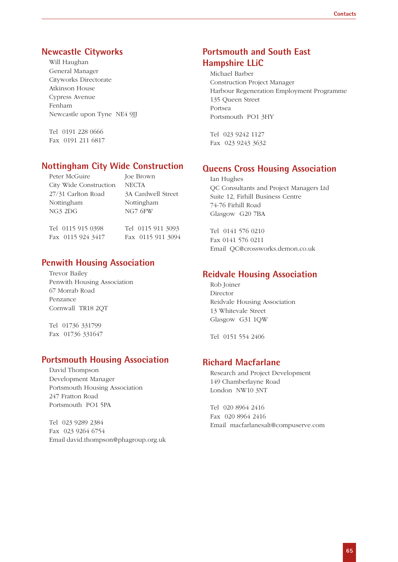# **Newcastle Cityworks**

Will Haughan General Manager Cityworks Directorate Atkinson House Cypress Avenue Fenham Newcastle upon Tyne NE4 9JJ

Tel 0191 228 0666 Fax 0191 211 6817

### **Nottingham City Wide Construction**

| Peter McGuire          | Joe Brown          |
|------------------------|--------------------|
| City Wide Construction | <b>NECTA</b>       |
| 27/31 Carlton Road     | 3A Cardwell Street |
| Nottingham             | Nottingham         |
| NG3 2DG                | NG7 6FW            |
|                        |                    |
| Tel 0115 915 0398      | Tel 0115 911 3093  |
| Fax 0115 924 3417      | Fax 0115 911 3094  |

# **Penwith Housing Association**

Trevor Bailey Penwith Housing Association 67 Morrab Road Penzance Cornwall TR18 2QT

Tel 01736 331799 Fax 01736 331647

# **Portsmouth Housing Association**

David Thompson Development Manager Portsmouth Housing Association 247 Fratton Road Portsmouth PO1 5PA

Tel 023 9289 2384 Fax 023 9264 6754 Email david.thompson@phagroup.org.uk

# **Portsmouth and South East Hampshire LLiC**

Michael Barber Construction Project Manager Harbour Regeneration Employment Programme 135 Queen Street Portsea Portsmouth PO1 3HY

Tel 023 9242 1127 Fax 023 9243 3632

# **Queens Cross Housing Association**

Ian Hughes QC Consultants and Project Managers Ltd Suite 12, Firhill Business Centre 74-76 Firhill Road Glasgow G20 7BA

Tel 0141 576 0210 Fax 0141 576 0211 Email QC@crossworks.demon.co.uk

# **Reidvale Housing Association**

Rob Joiner Director Reidvale Housing Association 13 Whitevale Street Glasgow G31 1QW

Tel 0151 554 2406

# **Richard Macfarlane**

Research and Project Development 149 Chamberlayne Road London NW10 3NT

Tel 020 8964 2416 Fax 020 8964 2416 Email macfarlanesalt@compuserve.com